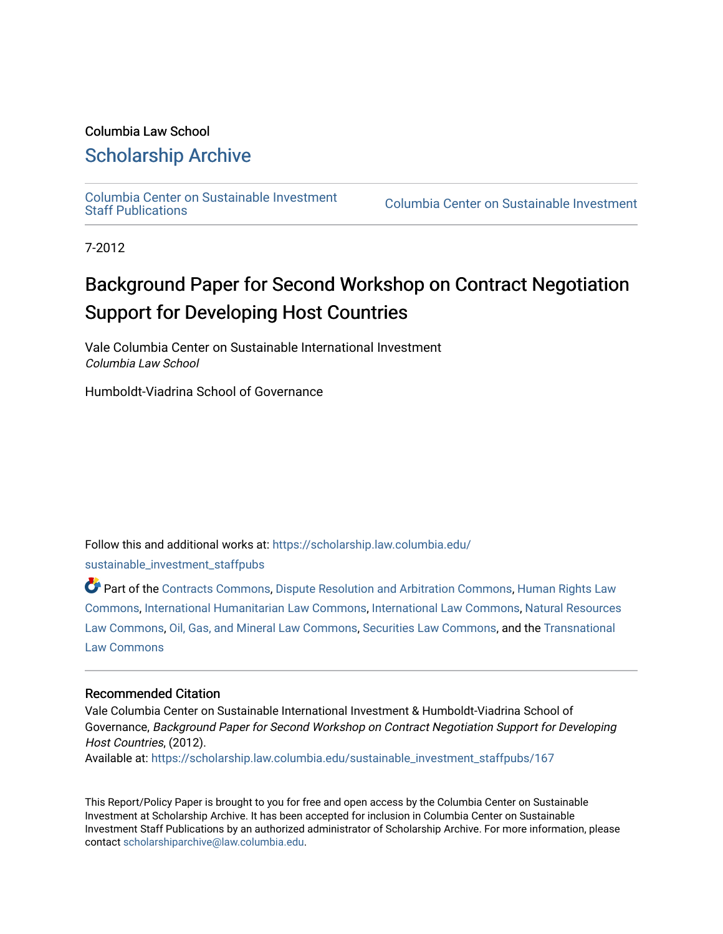## Columbia Law School

## [Scholarship Archive](https://scholarship.law.columbia.edu/)

[Columbia Center on Sustainable Investment](https://scholarship.law.columbia.edu/sustainable_investment_staffpubs) 

Columbia Center on Sustainable Investment

7-2012

## Background Paper for Second Workshop on Contract Negotiation Support for Developing Host Countries

Vale Columbia Center on Sustainable International Investment Columbia Law School

Humboldt-Viadrina School of Governance

Follow this and additional works at: [https://scholarship.law.columbia.edu/](https://scholarship.law.columbia.edu/sustainable_investment_staffpubs?utm_source=scholarship.law.columbia.edu%2Fsustainable_investment_staffpubs%2F167&utm_medium=PDF&utm_campaign=PDFCoverPages)

[sustainable\\_investment\\_staffpubs](https://scholarship.law.columbia.edu/sustainable_investment_staffpubs?utm_source=scholarship.law.columbia.edu%2Fsustainable_investment_staffpubs%2F167&utm_medium=PDF&utm_campaign=PDFCoverPages)

Part of the [Contracts Commons](http://network.bepress.com/hgg/discipline/591?utm_source=scholarship.law.columbia.edu%2Fsustainable_investment_staffpubs%2F167&utm_medium=PDF&utm_campaign=PDFCoverPages), [Dispute Resolution and Arbitration Commons,](http://network.bepress.com/hgg/discipline/890?utm_source=scholarship.law.columbia.edu%2Fsustainable_investment_staffpubs%2F167&utm_medium=PDF&utm_campaign=PDFCoverPages) [Human Rights Law](http://network.bepress.com/hgg/discipline/847?utm_source=scholarship.law.columbia.edu%2Fsustainable_investment_staffpubs%2F167&utm_medium=PDF&utm_campaign=PDFCoverPages) [Commons](http://network.bepress.com/hgg/discipline/847?utm_source=scholarship.law.columbia.edu%2Fsustainable_investment_staffpubs%2F167&utm_medium=PDF&utm_campaign=PDFCoverPages), [International Humanitarian Law Commons,](http://network.bepress.com/hgg/discipline/1330?utm_source=scholarship.law.columbia.edu%2Fsustainable_investment_staffpubs%2F167&utm_medium=PDF&utm_campaign=PDFCoverPages) [International Law Commons](http://network.bepress.com/hgg/discipline/609?utm_source=scholarship.law.columbia.edu%2Fsustainable_investment_staffpubs%2F167&utm_medium=PDF&utm_campaign=PDFCoverPages), [Natural Resources](http://network.bepress.com/hgg/discipline/863?utm_source=scholarship.law.columbia.edu%2Fsustainable_investment_staffpubs%2F167&utm_medium=PDF&utm_campaign=PDFCoverPages)  [Law Commons,](http://network.bepress.com/hgg/discipline/863?utm_source=scholarship.law.columbia.edu%2Fsustainable_investment_staffpubs%2F167&utm_medium=PDF&utm_campaign=PDFCoverPages) [Oil, Gas, and Mineral Law Commons,](http://network.bepress.com/hgg/discipline/864?utm_source=scholarship.law.columbia.edu%2Fsustainable_investment_staffpubs%2F167&utm_medium=PDF&utm_campaign=PDFCoverPages) [Securities Law Commons,](http://network.bepress.com/hgg/discipline/619?utm_source=scholarship.law.columbia.edu%2Fsustainable_investment_staffpubs%2F167&utm_medium=PDF&utm_campaign=PDFCoverPages) and the [Transnational](http://network.bepress.com/hgg/discipline/1123?utm_source=scholarship.law.columbia.edu%2Fsustainable_investment_staffpubs%2F167&utm_medium=PDF&utm_campaign=PDFCoverPages) [Law Commons](http://network.bepress.com/hgg/discipline/1123?utm_source=scholarship.law.columbia.edu%2Fsustainable_investment_staffpubs%2F167&utm_medium=PDF&utm_campaign=PDFCoverPages) 

#### Recommended Citation

Vale Columbia Center on Sustainable International Investment & Humboldt-Viadrina School of Governance, Background Paper for Second Workshop on Contract Negotiation Support for Developing Host Countries, (2012).

Available at: [https://scholarship.law.columbia.edu/sustainable\\_investment\\_staffpubs/167](https://scholarship.law.columbia.edu/sustainable_investment_staffpubs/167?utm_source=scholarship.law.columbia.edu%2Fsustainable_investment_staffpubs%2F167&utm_medium=PDF&utm_campaign=PDFCoverPages) 

This Report/Policy Paper is brought to you for free and open access by the Columbia Center on Sustainable Investment at Scholarship Archive. It has been accepted for inclusion in Columbia Center on Sustainable Investment Staff Publications by an authorized administrator of Scholarship Archive. For more information, please contact [scholarshiparchive@law.columbia.edu.](mailto:scholarshiparchive@law.columbia.edu)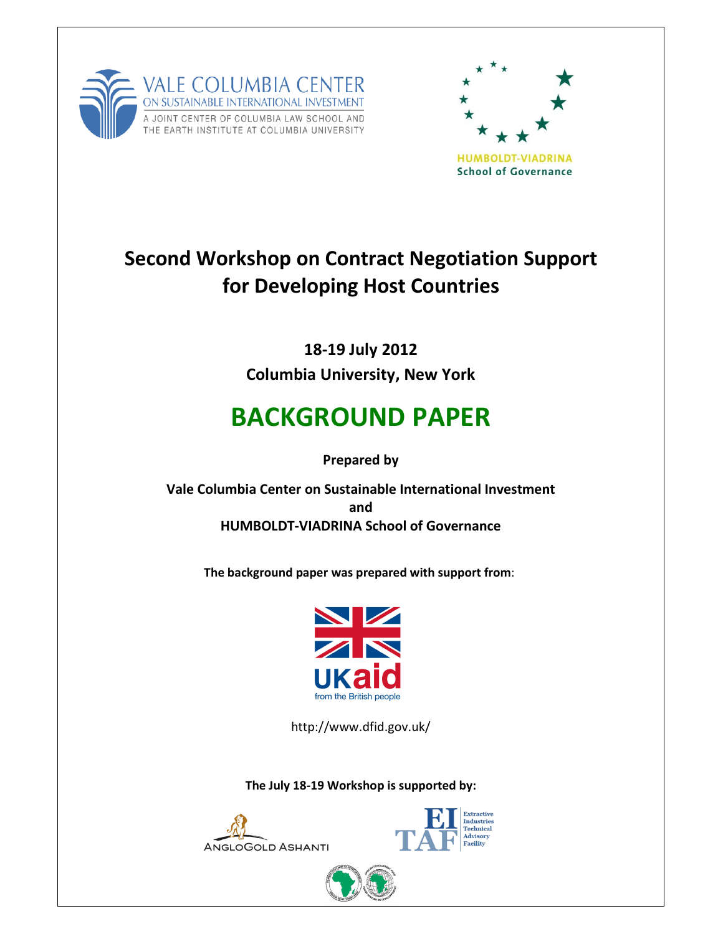



## Second Workshop on Contract Negotiation Support for Developing Host Countries

18-19 July 2012 Columbia University, New York

# BACKGROUND PAPER

Prepared by

Vale Columbia Center on Sustainable International Investment and HUMBOLDT-VIADRINA School of Governance

The background paper was prepared with support from:



http://www.dfid.gov.uk/

The July 18-19 Workshop is supported by:





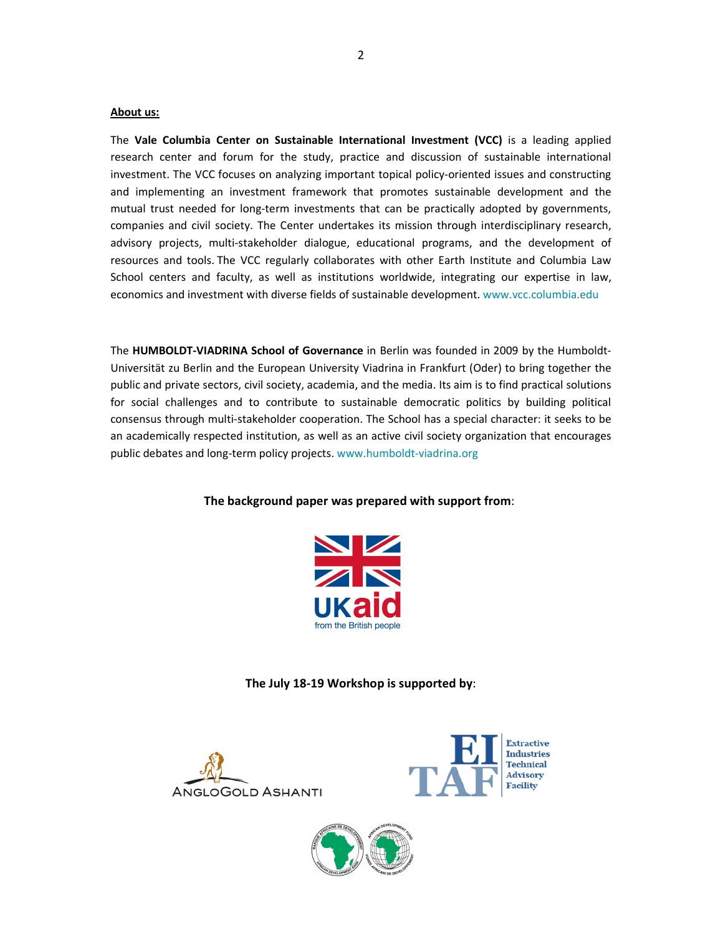#### About us:

The Vale Columbia Center on Sustainable International Investment (VCC) is a leading applied research center and forum for the study, practice and discussion of sustainable international investment. The VCC focuses on analyzing important topical policy-oriented issues and constructing and implementing an investment framework that promotes sustainable development and the mutual trust needed for long-term investments that can be practically adopted by governments, companies and civil society. The Center undertakes its mission through interdisciplinary research, advisory projects, multi-stakeholder dialogue, educational programs, and the development of resources and tools. The VCC regularly collaborates with other Earth Institute and Columbia Law School centers and faculty, as well as institutions worldwide, integrating our expertise in law, economics and investment with diverse fields of sustainable development. www.vcc.columbia.edu

The HUMBOLDT-VIADRINA School of Governance in Berlin was founded in 2009 by the Humboldt-Universität zu Berlin and the European University Viadrina in Frankfurt (Oder) to bring together the public and private sectors, civil society, academia, and the media. Its aim is to find practical solutions for social challenges and to contribute to sustainable democratic politics by building political consensus through multi-stakeholder cooperation. The School has a special character: it seeks to be an academically respected institution, as well as an active civil society organization that encourages public debates and long-term policy projects. www.humboldt-viadrina.org

#### The background paper was prepared with support from:



The July 18-19 Workshop is supported by:

**ANGLOGOLD ASHANTI** 



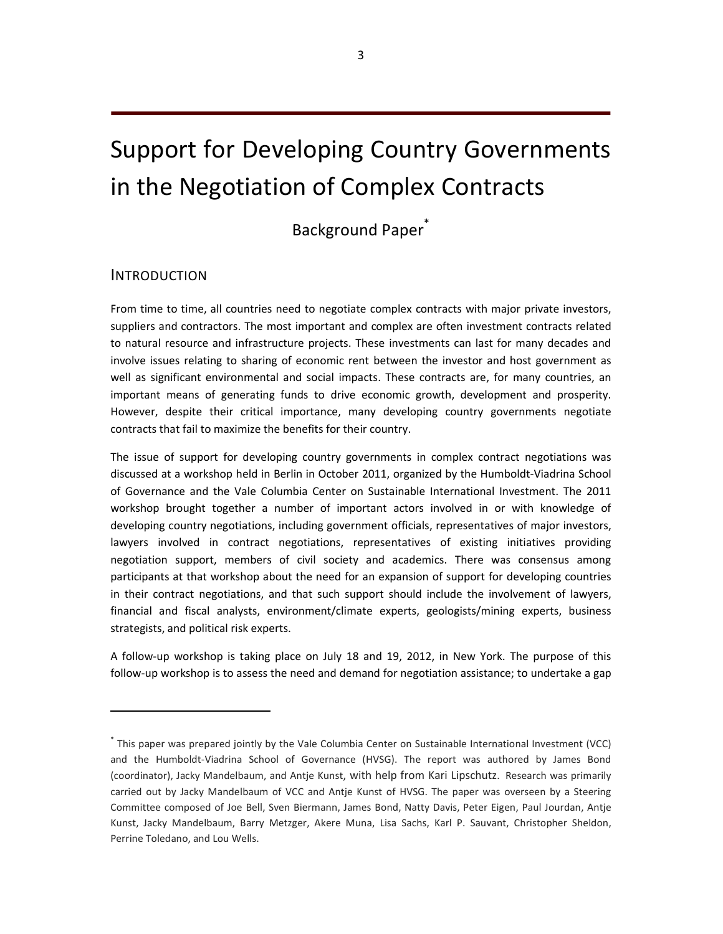# Support for Developing Country Governments in the Negotiation of Complex Contracts

Background Paper<sup>\*</sup>

#### INTRODUCTION

l,

From time to time, all countries need to negotiate complex contracts with major private investors, suppliers and contractors. The most important and complex are often investment contracts related to natural resource and infrastructure projects. These investments can last for many decades and involve issues relating to sharing of economic rent between the investor and host government as well as significant environmental and social impacts. These contracts are, for many countries, an important means of generating funds to drive economic growth, development and prosperity. However, despite their critical importance, many developing country governments negotiate contracts that fail to maximize the benefits for their country.

The issue of support for developing country governments in complex contract negotiations was discussed at a workshop held in Berlin in October 2011, organized by the Humboldt-Viadrina School of Governance and the Vale Columbia Center on Sustainable International Investment. The 2011 workshop brought together a number of important actors involved in or with knowledge of developing country negotiations, including government officials, representatives of major investors, lawyers involved in contract negotiations, representatives of existing initiatives providing negotiation support, members of civil society and academics. There was consensus among participants at that workshop about the need for an expansion of support for developing countries in their contract negotiations, and that such support should include the involvement of lawyers, financial and fiscal analysts, environment/climate experts, geologists/mining experts, business strategists, and political risk experts.

A follow-up workshop is taking place on July 18 and 19, 2012, in New York. The purpose of this follow-up workshop is to assess the need and demand for negotiation assistance; to undertake a gap

<sup>\*</sup> This paper was prepared jointly by the Vale Columbia Center on Sustainable International Investment (VCC) and the Humboldt-Viadrina School of Governance (HVSG). The report was authored by James Bond (coordinator), Jacky Mandelbaum, and Antje Kunst, with help from Kari Lipschutz. Research was primarily carried out by Jacky Mandelbaum of VCC and Antje Kunst of HVSG. The paper was overseen by a Steering Committee composed of Joe Bell, Sven Biermann, James Bond, Natty Davis, Peter Eigen, Paul Jourdan, Antje Kunst, Jacky Mandelbaum, Barry Metzger, Akere Muna, Lisa Sachs, Karl P. Sauvant, Christopher Sheldon, Perrine Toledano, and Lou Wells.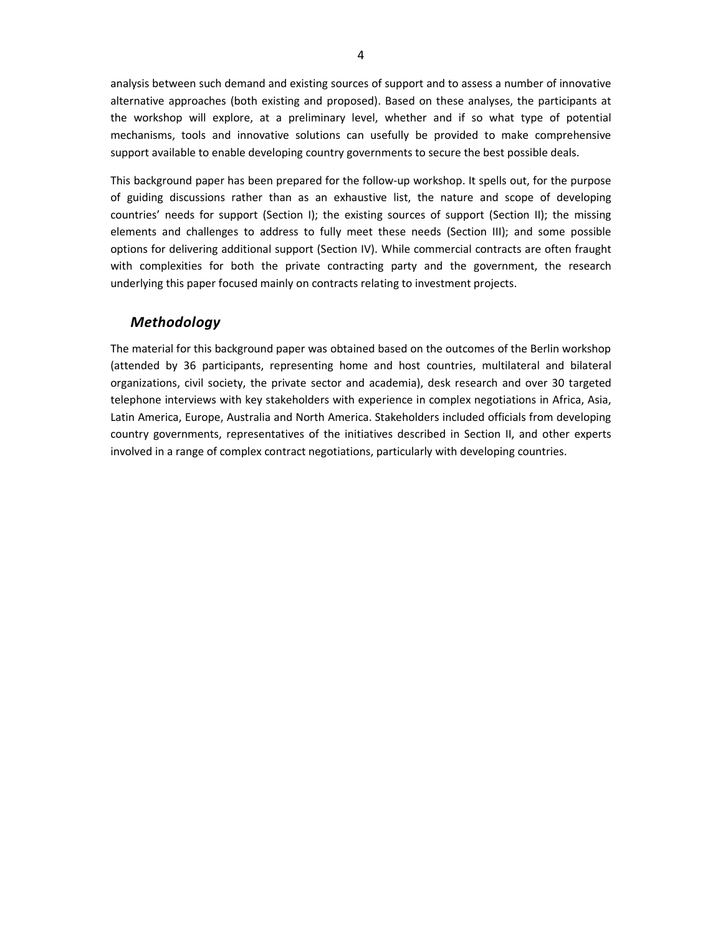analysis between such demand and existing sources of support and to assess a number of innovative alternative approaches (both existing and proposed). Based on these analyses, the participants at the workshop will explore, at a preliminary level, whether and if so what type of potential mechanisms, tools and innovative solutions can usefully be provided to make comprehensive support available to enable developing country governments to secure the best possible deals.

This background paper has been prepared for the follow-up workshop. It spells out, for the purpose of guiding discussions rather than as an exhaustive list, the nature and scope of developing countries' needs for support (Section I); the existing sources of support (Section II); the missing elements and challenges to address to fully meet these needs (Section III); and some possible options for delivering additional support (Section IV). While commercial contracts are often fraught with complexities for both the private contracting party and the government, the research underlying this paper focused mainly on contracts relating to investment projects.

### Methodology

The material for this background paper was obtained based on the outcomes of the Berlin workshop (attended by 36 participants, representing home and host countries, multilateral and bilateral organizations, civil society, the private sector and academia), desk research and over 30 targeted telephone interviews with key stakeholders with experience in complex negotiations in Africa, Asia, Latin America, Europe, Australia and North America. Stakeholders included officials from developing country governments, representatives of the initiatives described in Section II, and other experts involved in a range of complex contract negotiations, particularly with developing countries.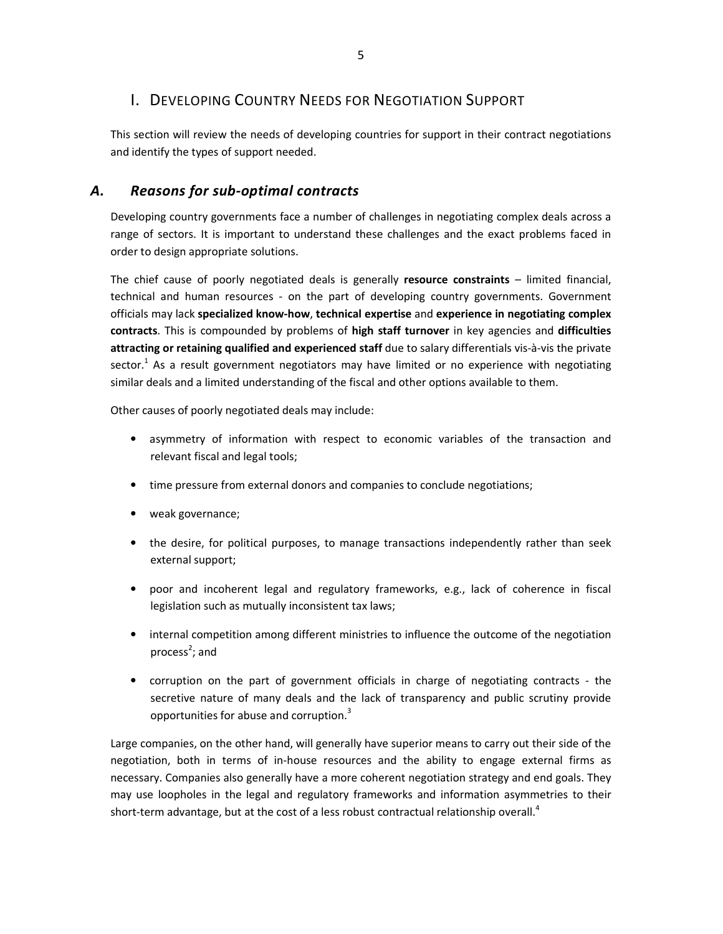## I. DEVELOPING COUNTRY NEEDS FOR NEGOTIATION SUPPORT

This section will review the needs of developing countries for support in their contract negotiations and identify the types of support needed.

## A. Reasons for sub-optimal contracts

Developing country governments face a number of challenges in negotiating complex deals across a range of sectors. It is important to understand these challenges and the exact problems faced in order to design appropriate solutions.

The chief cause of poorly negotiated deals is generally resource constraints  $-$  limited financial, technical and human resources - on the part of developing country governments. Government officials may lack specialized know-how, technical expertise and experience in negotiating complex contracts. This is compounded by problems of high staff turnover in key agencies and difficulties attracting or retaining qualified and experienced staff due to salary differentials vis-à-vis the private sector.<sup>1</sup> As a result government negotiators may have limited or no experience with negotiating similar deals and a limited understanding of the fiscal and other options available to them.

Other causes of poorly negotiated deals may include:

- asymmetry of information with respect to economic variables of the transaction and relevant fiscal and legal tools;
- time pressure from external donors and companies to conclude negotiations;
- weak governance;
- the desire, for political purposes, to manage transactions independently rather than seek external support;
- poor and incoherent legal and regulatory frameworks, e.g., lack of coherence in fiscal legislation such as mutually inconsistent tax laws;
- internal competition among different ministries to influence the outcome of the negotiation process<sup>2</sup>; and
- corruption on the part of government officials in charge of negotiating contracts the secretive nature of many deals and the lack of transparency and public scrutiny provide opportunities for abuse and corruption.<sup>3</sup>

Large companies, on the other hand, will generally have superior means to carry out their side of the negotiation, both in terms of in-house resources and the ability to engage external firms as necessary. Companies also generally have a more coherent negotiation strategy and end goals. They may use loopholes in the legal and regulatory frameworks and information asymmetries to their short-term advantage, but at the cost of a less robust contractual relationship overall.<sup>4</sup>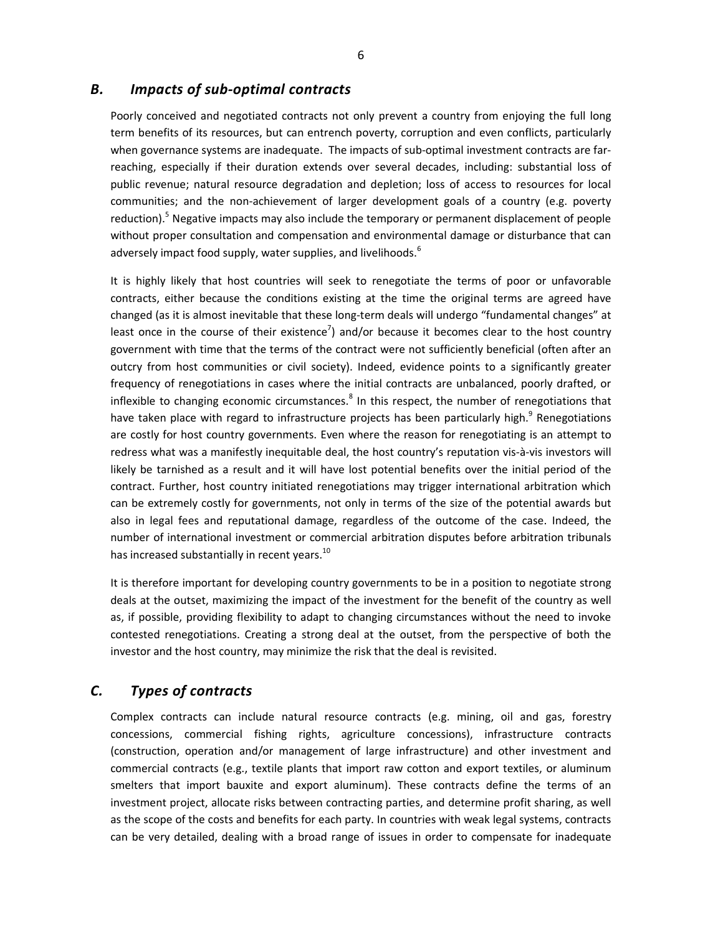#### B. Impacts of sub-optimal contracts

Poorly conceived and negotiated contracts not only prevent a country from enjoying the full long term benefits of its resources, but can entrench poverty, corruption and even conflicts, particularly when governance systems are inadequate. The impacts of sub-optimal investment contracts are farreaching, especially if their duration extends over several decades, including: substantial loss of public revenue; natural resource degradation and depletion; loss of access to resources for local communities; and the non-achievement of larger development goals of a country (e.g. poverty reduction).<sup>5</sup> Negative impacts may also include the temporary or permanent displacement of people without proper consultation and compensation and environmental damage or disturbance that can adversely impact food supply, water supplies, and livelihoods.<sup>6</sup>

It is highly likely that host countries will seek to renegotiate the terms of poor or unfavorable contracts, either because the conditions existing at the time the original terms are agreed have changed (as it is almost inevitable that these long-term deals will undergo "fundamental changes" at least once in the course of their existence<sup>7</sup>) and/or because it becomes clear to the host country government with time that the terms of the contract were not sufficiently beneficial (often after an outcry from host communities or civil society). Indeed, evidence points to a significantly greater frequency of renegotiations in cases where the initial contracts are unbalanced, poorly drafted, or inflexible to changing economic circumstances.<sup>8</sup> In this respect, the number of renegotiations that have taken place with regard to infrastructure projects has been particularly high.<sup>9</sup> Renegotiations are costly for host country governments. Even where the reason for renegotiating is an attempt to redress what was a manifestly inequitable deal, the host country's reputation vis-à-vis investors will likely be tarnished as a result and it will have lost potential benefits over the initial period of the contract. Further, host country initiated renegotiations may trigger international arbitration which can be extremely costly for governments, not only in terms of the size of the potential awards but also in legal fees and reputational damage, regardless of the outcome of the case. Indeed, the number of international investment or commercial arbitration disputes before arbitration tribunals has increased substantially in recent years.<sup>10</sup>

It is therefore important for developing country governments to be in a position to negotiate strong deals at the outset, maximizing the impact of the investment for the benefit of the country as well as, if possible, providing flexibility to adapt to changing circumstances without the need to invoke contested renegotiations. Creating a strong deal at the outset, from the perspective of both the investor and the host country, may minimize the risk that the deal is revisited.

## C. Types of contracts

Complex contracts can include natural resource contracts (e.g. mining, oil and gas, forestry concessions, commercial fishing rights, agriculture concessions), infrastructure contracts (construction, operation and/or management of large infrastructure) and other investment and commercial contracts (e.g., textile plants that import raw cotton and export textiles, or aluminum smelters that import bauxite and export aluminum). These contracts define the terms of an investment project, allocate risks between contracting parties, and determine profit sharing, as well as the scope of the costs and benefits for each party. In countries with weak legal systems, contracts can be very detailed, dealing with a broad range of issues in order to compensate for inadequate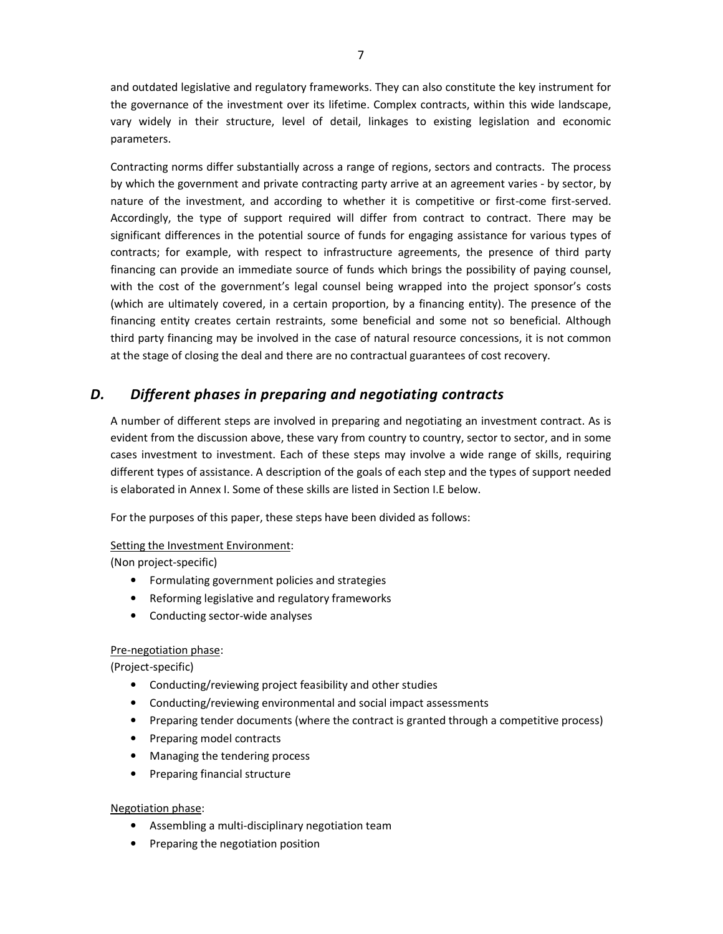and outdated legislative and regulatory frameworks. They can also constitute the key instrument for the governance of the investment over its lifetime. Complex contracts, within this wide landscape, vary widely in their structure, level of detail, linkages to existing legislation and economic parameters.

Contracting norms differ substantially across a range of regions, sectors and contracts. The process by which the government and private contracting party arrive at an agreement varies - by sector, by nature of the investment, and according to whether it is competitive or first-come first-served. Accordingly, the type of support required will differ from contract to contract. There may be significant differences in the potential source of funds for engaging assistance for various types of contracts; for example, with respect to infrastructure agreements, the presence of third party financing can provide an immediate source of funds which brings the possibility of paying counsel, with the cost of the government's legal counsel being wrapped into the project sponsor's costs (which are ultimately covered, in a certain proportion, by a financing entity). The presence of the financing entity creates certain restraints, some beneficial and some not so beneficial. Although third party financing may be involved in the case of natural resource concessions, it is not common at the stage of closing the deal and there are no contractual guarantees of cost recovery.

## D. Different phases in preparing and negotiating contracts

A number of different steps are involved in preparing and negotiating an investment contract. As is evident from the discussion above, these vary from country to country, sector to sector, and in some cases investment to investment. Each of these steps may involve a wide range of skills, requiring different types of assistance. A description of the goals of each step and the types of support needed is elaborated in Annex I. Some of these skills are listed in Section I.E below.

For the purposes of this paper, these steps have been divided as follows:

#### Setting the Investment Environment:

(Non project-specific)

- Formulating government policies and strategies
- Reforming legislative and regulatory frameworks
- Conducting sector-wide analyses

#### Pre-negotiation phase:

(Project-specific)

- Conducting/reviewing project feasibility and other studies
- Conducting/reviewing environmental and social impact assessments
- Preparing tender documents (where the contract is granted through a competitive process)
- Preparing model contracts
- Managing the tendering process
- Preparing financial structure

#### Negotiation phase:

- Assembling a multi-disciplinary negotiation team
- Preparing the negotiation position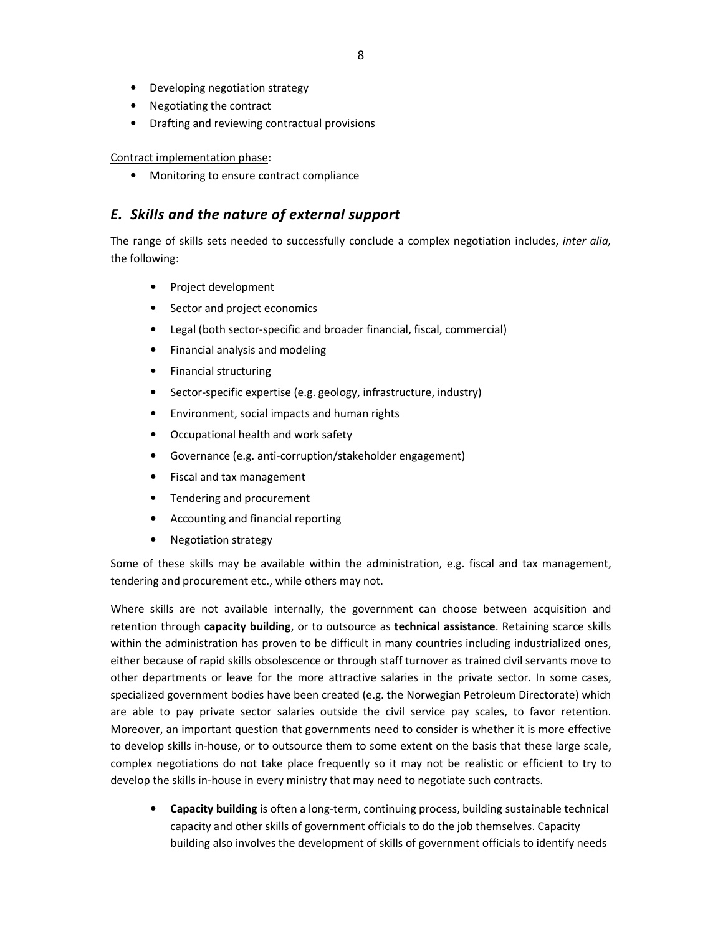- Developing negotiation strategy
- Negotiating the contract
- Drafting and reviewing contractual provisions

#### Contract implementation phase:

• Monitoring to ensure contract compliance

## E. Skills and the nature of external support

The range of skills sets needed to successfully conclude a complex negotiation includes, inter alia, the following:

- Project development
- Sector and project economics
- Legal (both sector-specific and broader financial, fiscal, commercial)
- Financial analysis and modeling
- Financial structuring
- Sector-specific expertise (e.g. geology, infrastructure, industry)
- Environment, social impacts and human rights
- Occupational health and work safety
- Governance (e.g. anti-corruption/stakeholder engagement)
- Fiscal and tax management
- Tendering and procurement
- Accounting and financial reporting
- Negotiation strategy

Some of these skills may be available within the administration, e.g. fiscal and tax management, tendering and procurement etc., while others may not.

Where skills are not available internally, the government can choose between acquisition and retention through capacity building, or to outsource as technical assistance. Retaining scarce skills within the administration has proven to be difficult in many countries including industrialized ones, either because of rapid skills obsolescence or through staff turnover as trained civil servants move to other departments or leave for the more attractive salaries in the private sector. In some cases, specialized government bodies have been created (e.g. the Norwegian Petroleum Directorate) which are able to pay private sector salaries outside the civil service pay scales, to favor retention. Moreover, an important question that governments need to consider is whether it is more effective to develop skills in-house, or to outsource them to some extent on the basis that these large scale, complex negotiations do not take place frequently so it may not be realistic or efficient to try to develop the skills in-house in every ministry that may need to negotiate such contracts.

Capacity building is often a long-term, continuing process, building sustainable technical capacity and other skills of government officials to do the job themselves. Capacity building also involves the development of skills of government officials to identify needs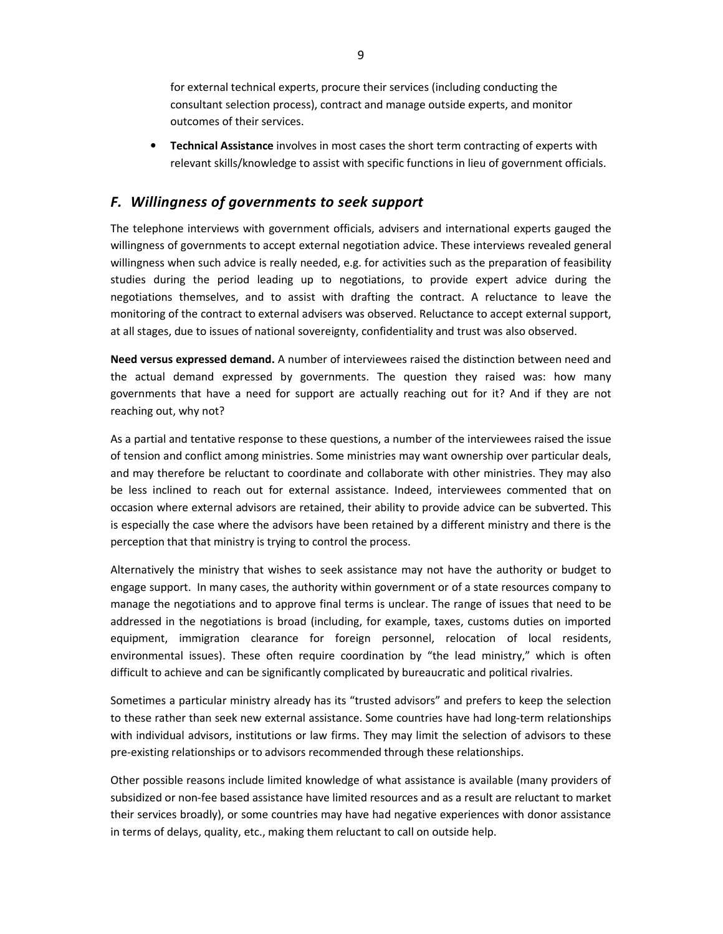for external technical experts, procure their services (including conducting the consultant selection process), contract and manage outside experts, and monitor outcomes of their services.

**Technical Assistance** involves in most cases the short term contracting of experts with relevant skills/knowledge to assist with specific functions in lieu of government officials.

### F. Willingness of governments to seek support

The telephone interviews with government officials, advisers and international experts gauged the willingness of governments to accept external negotiation advice. These interviews revealed general willingness when such advice is really needed, e.g. for activities such as the preparation of feasibility studies during the period leading up to negotiations, to provide expert advice during the negotiations themselves, and to assist with drafting the contract. A reluctance to leave the monitoring of the contract to external advisers was observed. Reluctance to accept external support, at all stages, due to issues of national sovereignty, confidentiality and trust was also observed.

Need versus expressed demand. A number of interviewees raised the distinction between need and the actual demand expressed by governments. The question they raised was: how many governments that have a need for support are actually reaching out for it? And if they are not reaching out, why not?

As a partial and tentative response to these questions, a number of the interviewees raised the issue of tension and conflict among ministries. Some ministries may want ownership over particular deals, and may therefore be reluctant to coordinate and collaborate with other ministries. They may also be less inclined to reach out for external assistance. Indeed, interviewees commented that on occasion where external advisors are retained, their ability to provide advice can be subverted. This is especially the case where the advisors have been retained by a different ministry and there is the perception that that ministry is trying to control the process.

Alternatively the ministry that wishes to seek assistance may not have the authority or budget to engage support. In many cases, the authority within government or of a state resources company to manage the negotiations and to approve final terms is unclear. The range of issues that need to be addressed in the negotiations is broad (including, for example, taxes, customs duties on imported equipment, immigration clearance for foreign personnel, relocation of local residents, environmental issues). These often require coordination by "the lead ministry," which is often difficult to achieve and can be significantly complicated by bureaucratic and political rivalries.

Sometimes a particular ministry already has its "trusted advisors" and prefers to keep the selection to these rather than seek new external assistance. Some countries have had long-term relationships with individual advisors, institutions or law firms. They may limit the selection of advisors to these pre-existing relationships or to advisors recommended through these relationships.

Other possible reasons include limited knowledge of what assistance is available (many providers of subsidized or non-fee based assistance have limited resources and as a result are reluctant to market their services broadly), or some countries may have had negative experiences with donor assistance in terms of delays, quality, etc., making them reluctant to call on outside help.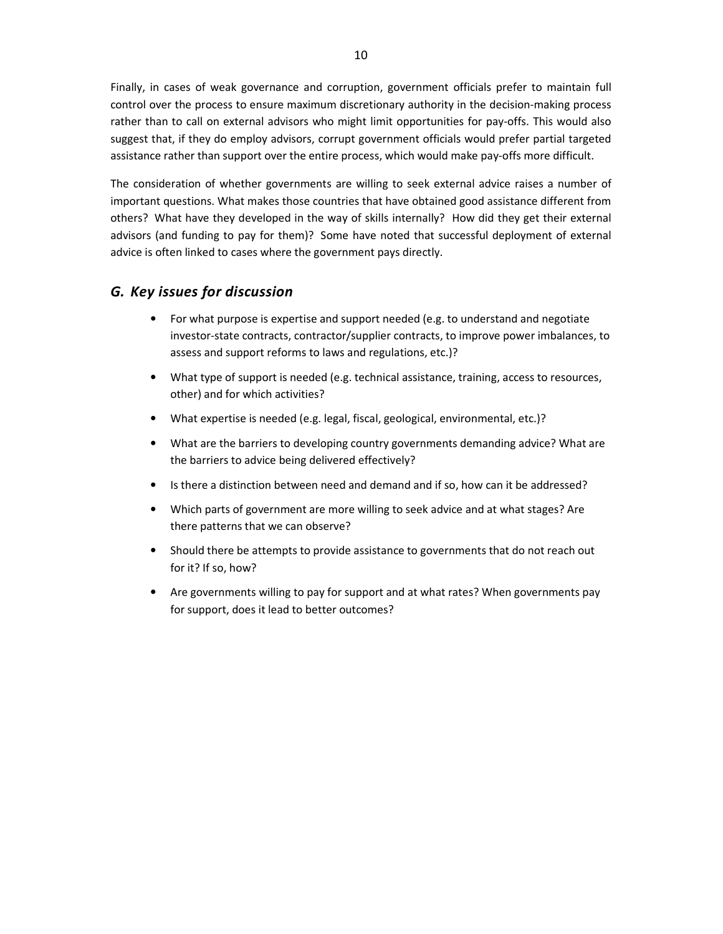Finally, in cases of weak governance and corruption, government officials prefer to maintain full control over the process to ensure maximum discretionary authority in the decision-making process rather than to call on external advisors who might limit opportunities for pay-offs. This would also suggest that, if they do employ advisors, corrupt government officials would prefer partial targeted assistance rather than support over the entire process, which would make pay-offs more difficult.

The consideration of whether governments are willing to seek external advice raises a number of important questions. What makes those countries that have obtained good assistance different from others? What have they developed in the way of skills internally? How did they get their external advisors (and funding to pay for them)? Some have noted that successful deployment of external advice is often linked to cases where the government pays directly.

## G. Key issues for discussion

- For what purpose is expertise and support needed (e.g. to understand and negotiate investor-state contracts, contractor/supplier contracts, to improve power imbalances, to assess and support reforms to laws and regulations, etc.)?
- What type of support is needed (e.g. technical assistance, training, access to resources, other) and for which activities?
- What expertise is needed (e.g. legal, fiscal, geological, environmental, etc.)?
- What are the barriers to developing country governments demanding advice? What are the barriers to advice being delivered effectively?
- Is there a distinction between need and demand and if so, how can it be addressed?
- Which parts of government are more willing to seek advice and at what stages? Are there patterns that we can observe?
- Should there be attempts to provide assistance to governments that do not reach out for it? If so, how?
- Are governments willing to pay for support and at what rates? When governments pay for support, does it lead to better outcomes?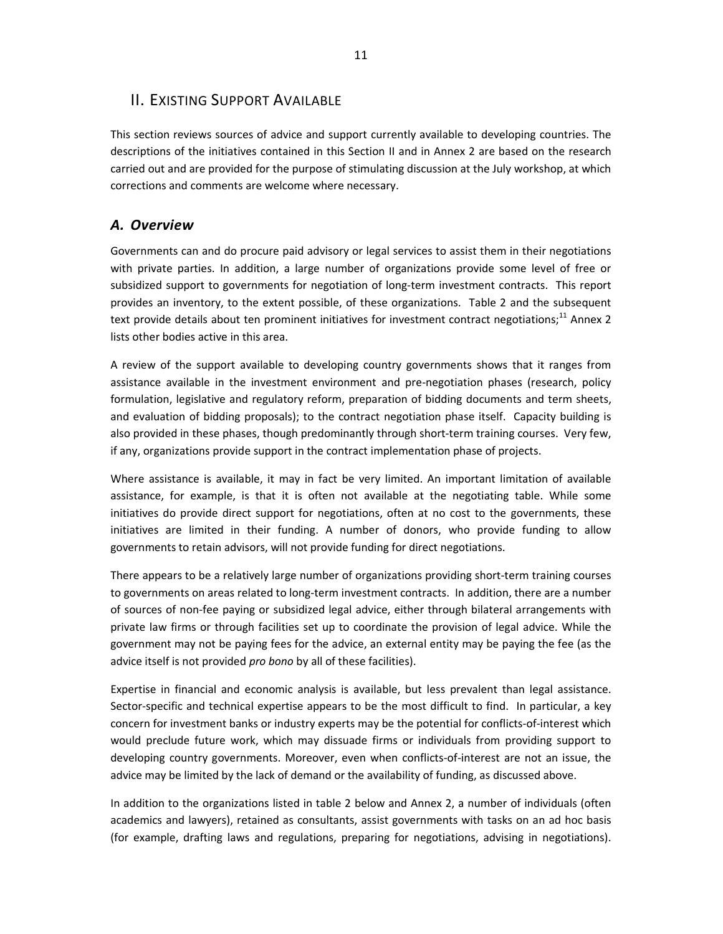## II. EXISTING SUPPORT AVAILABLE

This section reviews sources of advice and support currently available to developing countries. The descriptions of the initiatives contained in this Section II and in Annex 2 are based on the research carried out and are provided for the purpose of stimulating discussion at the July workshop, at which corrections and comments are welcome where necessary.

## A. Overview

Governments can and do procure paid advisory or legal services to assist them in their negotiations with private parties. In addition, a large number of organizations provide some level of free or subsidized support to governments for negotiation of long-term investment contracts. This report provides an inventory, to the extent possible, of these organizations. Table 2 and the subsequent text provide details about ten prominent initiatives for investment contract negotiations; $^{11}$  Annex 2 lists other bodies active in this area.

A review of the support available to developing country governments shows that it ranges from assistance available in the investment environment and pre-negotiation phases (research, policy formulation, legislative and regulatory reform, preparation of bidding documents and term sheets, and evaluation of bidding proposals); to the contract negotiation phase itself. Capacity building is also provided in these phases, though predominantly through short-term training courses. Very few, if any, organizations provide support in the contract implementation phase of projects.

Where assistance is available, it may in fact be very limited. An important limitation of available assistance, for example, is that it is often not available at the negotiating table. While some initiatives do provide direct support for negotiations, often at no cost to the governments, these initiatives are limited in their funding. A number of donors, who provide funding to allow governments to retain advisors, will not provide funding for direct negotiations.

There appears to be a relatively large number of organizations providing short-term training courses to governments on areas related to long-term investment contracts. In addition, there are a number of sources of non-fee paying or subsidized legal advice, either through bilateral arrangements with private law firms or through facilities set up to coordinate the provision of legal advice. While the government may not be paying fees for the advice, an external entity may be paying the fee (as the advice itself is not provided pro bono by all of these facilities).

Expertise in financial and economic analysis is available, but less prevalent than legal assistance. Sector-specific and technical expertise appears to be the most difficult to find. In particular, a key concern for investment banks or industry experts may be the potential for conflicts-of-interest which would preclude future work, which may dissuade firms or individuals from providing support to developing country governments. Moreover, even when conflicts-of-interest are not an issue, the advice may be limited by the lack of demand or the availability of funding, as discussed above.

In addition to the organizations listed in table 2 below and Annex 2, a number of individuals (often academics and lawyers), retained as consultants, assist governments with tasks on an ad hoc basis (for example, drafting laws and regulations, preparing for negotiations, advising in negotiations).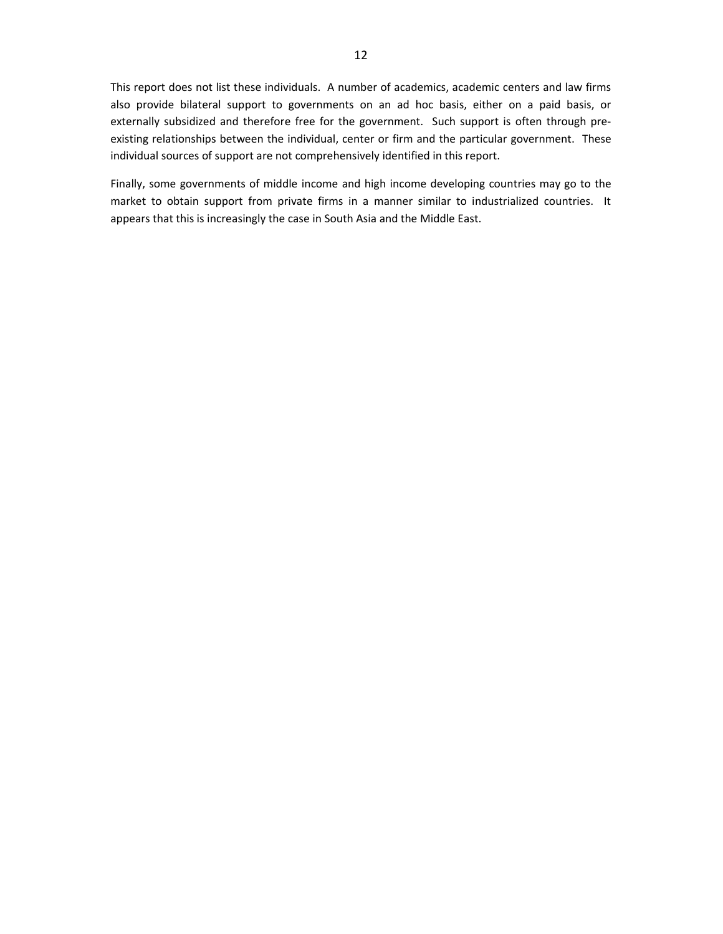This report does not list these individuals. A number of academics, academic centers and law firms also provide bilateral support to governments on an ad hoc basis, either on a paid basis, or externally subsidized and therefore free for the government. Such support is often through preexisting relationships between the individual, center or firm and the particular government. These individual sources of support are not comprehensively identified in this report.

Finally, some governments of middle income and high income developing countries may go to the market to obtain support from private firms in a manner similar to industrialized countries. It appears that this is increasingly the case in South Asia and the Middle East.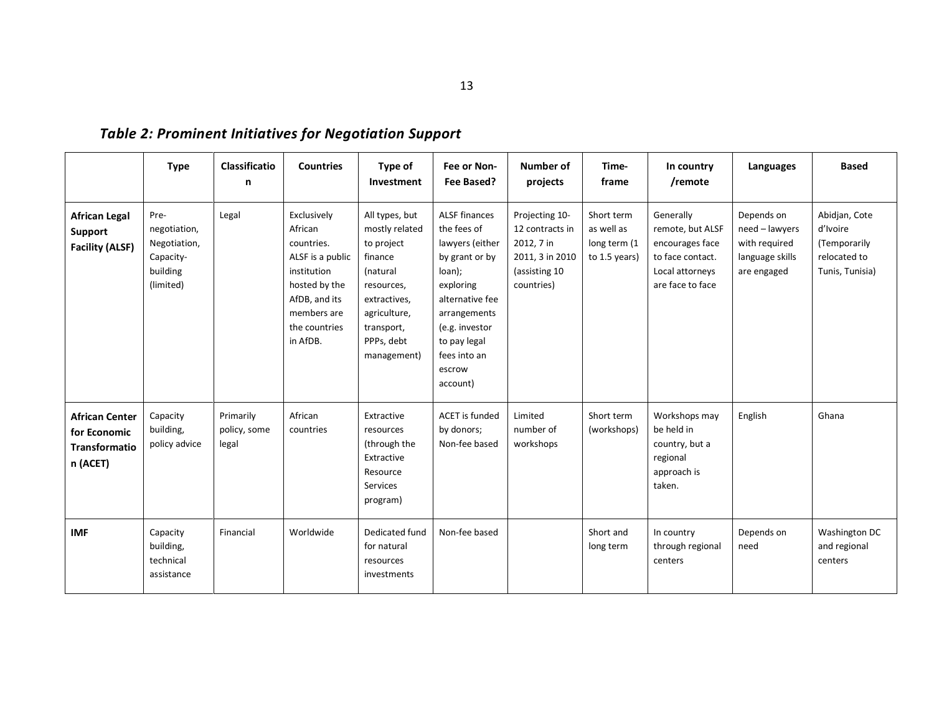Table 2: Prominent Initiatives for Negotiation Support

|                                                                           | <b>Type</b>                                                                | Classificatio<br>n                 | <b>Countries</b>                                                                                                                                      | Type of<br>Investment                                                                                                                                          | Fee or Non-<br>Fee Based?                                                                                                                                                                                  | Number of<br>projects                                                                             | Time-<br>frame                                              | In country<br>/remote                                                                                       | Languages                                                                       | <b>Based</b>                                                                 |
|---------------------------------------------------------------------------|----------------------------------------------------------------------------|------------------------------------|-------------------------------------------------------------------------------------------------------------------------------------------------------|----------------------------------------------------------------------------------------------------------------------------------------------------------------|------------------------------------------------------------------------------------------------------------------------------------------------------------------------------------------------------------|---------------------------------------------------------------------------------------------------|-------------------------------------------------------------|-------------------------------------------------------------------------------------------------------------|---------------------------------------------------------------------------------|------------------------------------------------------------------------------|
| <b>African Legal</b><br><b>Support</b><br><b>Facility (ALSF)</b>          | Pre-<br>negotiation,<br>Negotiation,<br>Capacity-<br>building<br>(limited) | Legal                              | Exclusively<br>African<br>countries.<br>ALSF is a public<br>institution<br>hosted by the<br>AfDB, and its<br>members are<br>the countries<br>in AfDB. | All types, but<br>mostly related<br>to project<br>finance<br>(natural<br>resources,<br>extractives,<br>agriculture,<br>transport,<br>PPPs, debt<br>management) | <b>ALSF finances</b><br>the fees of<br>lawyers (either<br>by grant or by<br>loan);<br>exploring<br>alternative fee<br>arrangements<br>(e.g. investor<br>to pay legal<br>fees into an<br>escrow<br>account) | Projecting 10-<br>12 contracts in<br>2012, 7 in<br>2011, 3 in 2010<br>(assisting 10<br>countries) | Short term<br>as well as<br>long term (1<br>to $1.5$ years) | Generally<br>remote, but ALSF<br>encourages face<br>to face contact.<br>Local attorneys<br>are face to face | Depends on<br>need - lawyers<br>with required<br>language skills<br>are engaged | Abidjan, Cote<br>d'Ivoire<br>(Temporarily<br>relocated to<br>Tunis, Tunisia) |
| <b>African Center</b><br>for Economic<br><b>Transformatio</b><br>n (ACET) | Capacity<br>building,<br>policy advice                                     | Primarily<br>policy, some<br>legal | African<br>countries                                                                                                                                  | Extractive<br>resources<br>(through the<br>Extractive<br>Resource<br><b>Services</b><br>program)                                                               | <b>ACET</b> is funded<br>by donors;<br>Non-fee based                                                                                                                                                       | Limited<br>number of<br>workshops                                                                 | Short term<br>(workshops)                                   | Workshops may<br>be held in<br>country, but a<br>regional<br>approach is<br>taken.                          | English                                                                         | Ghana                                                                        |
| <b>IMF</b>                                                                | Capacity<br>building,<br>technical<br>assistance                           | Financial                          | Worldwide                                                                                                                                             | Dedicated fund<br>for natural<br>resources<br>investments                                                                                                      | Non-fee based                                                                                                                                                                                              |                                                                                                   | Short and<br>long term                                      | In country<br>through regional<br>centers                                                                   | Depends on<br>need                                                              | Washington DC<br>and regional<br>centers                                     |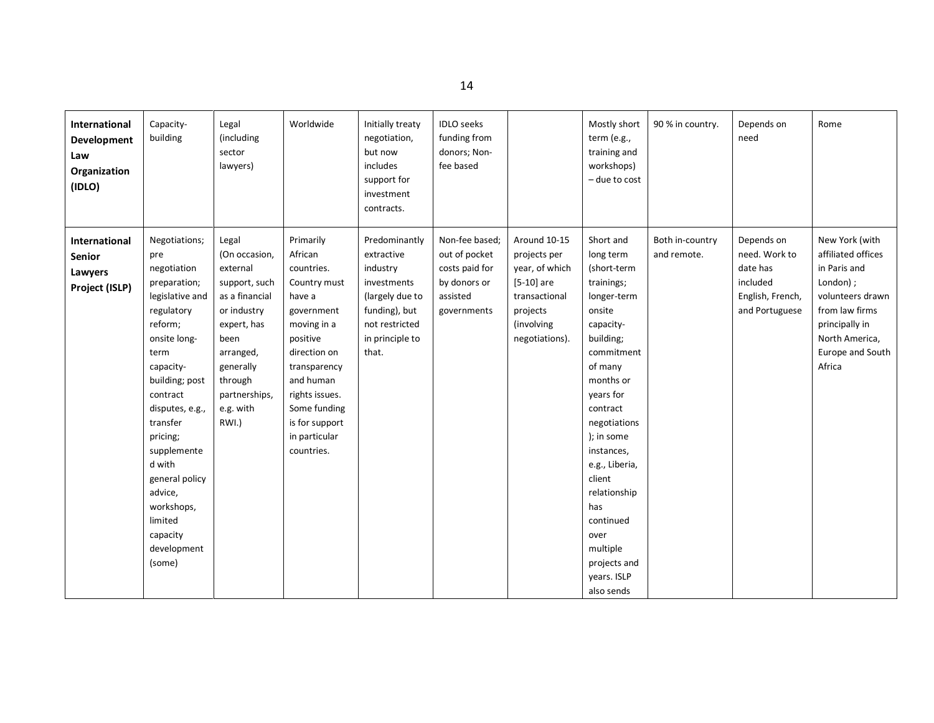| International<br>Development<br>Law<br>Organization<br>(IDLO) | Capacity-<br>building                                                                                                                                                                                                                                                                                                             | Legal<br>(including<br>sector<br>lawyers)                                                                                                                                               | Worldwide                                                                                                                                                                                                                             | Initially treaty<br>negotiation,<br>but now<br>includes<br>support for<br>investment<br>contracts.                                       | <b>IDLO</b> seeks<br>funding from<br>donors; Non-<br>fee based                               |                                                                                                                             | Mostly short<br>term (e.g.,<br>training and<br>workshops)<br>- due to cost                                                                                                                                                                                                                                                                         | 90 % in country.               | Depends on<br>need                                                                        | Rome                                                                                                                                                                     |
|---------------------------------------------------------------|-----------------------------------------------------------------------------------------------------------------------------------------------------------------------------------------------------------------------------------------------------------------------------------------------------------------------------------|-----------------------------------------------------------------------------------------------------------------------------------------------------------------------------------------|---------------------------------------------------------------------------------------------------------------------------------------------------------------------------------------------------------------------------------------|------------------------------------------------------------------------------------------------------------------------------------------|----------------------------------------------------------------------------------------------|-----------------------------------------------------------------------------------------------------------------------------|----------------------------------------------------------------------------------------------------------------------------------------------------------------------------------------------------------------------------------------------------------------------------------------------------------------------------------------------------|--------------------------------|-------------------------------------------------------------------------------------------|--------------------------------------------------------------------------------------------------------------------------------------------------------------------------|
| International<br><b>Senior</b><br>Lawyers<br>Project (ISLP)   | Negotiations;<br>pre<br>negotiation<br>preparation;<br>legislative and<br>regulatory<br>reform;<br>onsite long-<br>term<br>capacity-<br>building; post<br>contract<br>disputes, e.g.,<br>transfer<br>pricing;<br>supplemente<br>d with<br>general policy<br>advice,<br>workshops,<br>limited<br>capacity<br>development<br>(some) | Legal<br>(On occasion,<br>external<br>support, such<br>as a financial<br>or industry<br>expert, has<br>been<br>arranged,<br>generally<br>through<br>partnerships,<br>e.g. with<br>RWI.) | Primarily<br>African<br>countries.<br>Country must<br>have a<br>government<br>moving in a<br>positive<br>direction on<br>transparency<br>and human<br>rights issues.<br>Some funding<br>is for support<br>in particular<br>countries. | Predominantly<br>extractive<br>industry<br>investments<br>(largely due to<br>funding), but<br>not restricted<br>in principle to<br>that. | Non-fee based;<br>out of pocket<br>costs paid for<br>by donors or<br>assisted<br>governments | Around 10-15<br>projects per<br>year, of which<br>$[5-10]$ are<br>transactional<br>projects<br>(involving<br>negotiations). | Short and<br>long term<br>(short-term<br>trainings;<br>longer-term<br>onsite<br>capacity-<br>building;<br>commitment<br>of many<br>months or<br>years for<br>contract<br>negotiations<br>); in some<br>instances,<br>e.g., Liberia,<br>client<br>relationship<br>has<br>continued<br>over<br>multiple<br>projects and<br>years. ISLP<br>also sends | Both in-country<br>and remote. | Depends on<br>need. Work to<br>date has<br>included<br>English, French,<br>and Portuguese | New York (with<br>affiliated offices<br>in Paris and<br>London);<br>volunteers drawn<br>from law firms<br>principally in<br>North America,<br>Europe and South<br>Africa |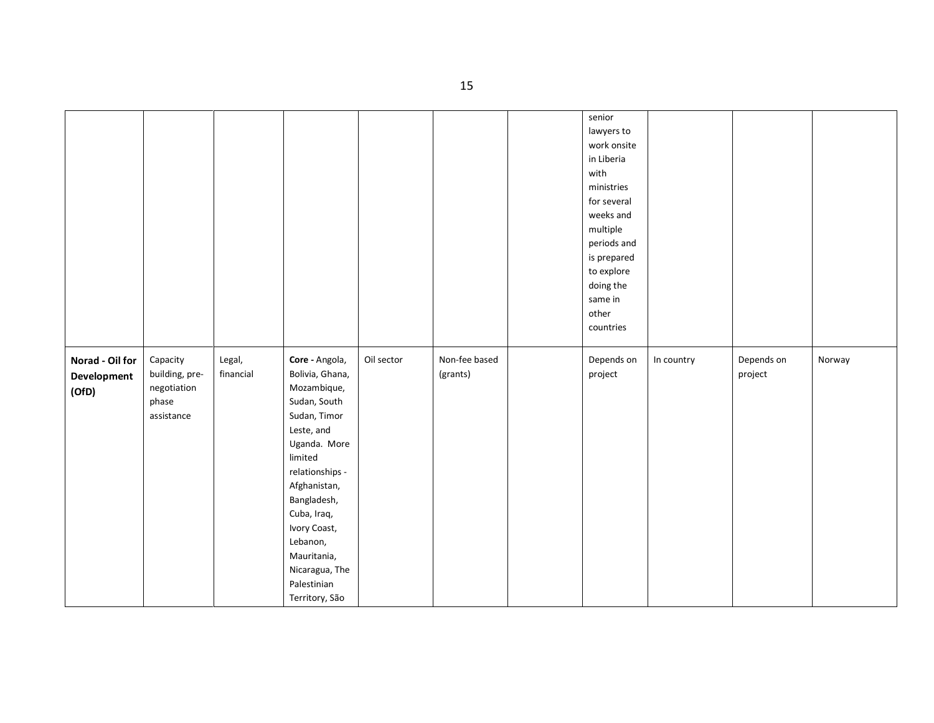| lawyers to<br>work onsite<br>in Liberia<br>with<br>ministries                                                                              |  |
|--------------------------------------------------------------------------------------------------------------------------------------------|--|
|                                                                                                                                            |  |
|                                                                                                                                            |  |
|                                                                                                                                            |  |
|                                                                                                                                            |  |
|                                                                                                                                            |  |
| for several                                                                                                                                |  |
| weeks and                                                                                                                                  |  |
| multiple                                                                                                                                   |  |
| periods and                                                                                                                                |  |
| is prepared                                                                                                                                |  |
| to explore                                                                                                                                 |  |
| doing the                                                                                                                                  |  |
| same in                                                                                                                                    |  |
| other                                                                                                                                      |  |
| countries                                                                                                                                  |  |
|                                                                                                                                            |  |
| Non-fee based<br>Core - Angola,<br>Depends on<br>Norad - Oil for<br>Legal,<br>Oil sector<br>Depends on<br>Capacity<br>In country<br>Norway |  |
| building, pre-<br>Bolivia, Ghana,<br>(grants)<br>financial<br>project<br>project<br>Development                                            |  |
| Mozambique,<br>negotiation                                                                                                                 |  |
| (OfD)<br>Sudan, South<br>phase                                                                                                             |  |
| Sudan, Timor<br>assistance                                                                                                                 |  |
| Leste, and                                                                                                                                 |  |
| Uganda. More                                                                                                                               |  |
| limited                                                                                                                                    |  |
| relationships -                                                                                                                            |  |
| Afghanistan,                                                                                                                               |  |
| Bangladesh,                                                                                                                                |  |
| Cuba, Iraq,                                                                                                                                |  |
| Ivory Coast,                                                                                                                               |  |
| Lebanon,                                                                                                                                   |  |
| Mauritania,                                                                                                                                |  |
| Nicaragua, The                                                                                                                             |  |
| Palestinian                                                                                                                                |  |
| Territory, São                                                                                                                             |  |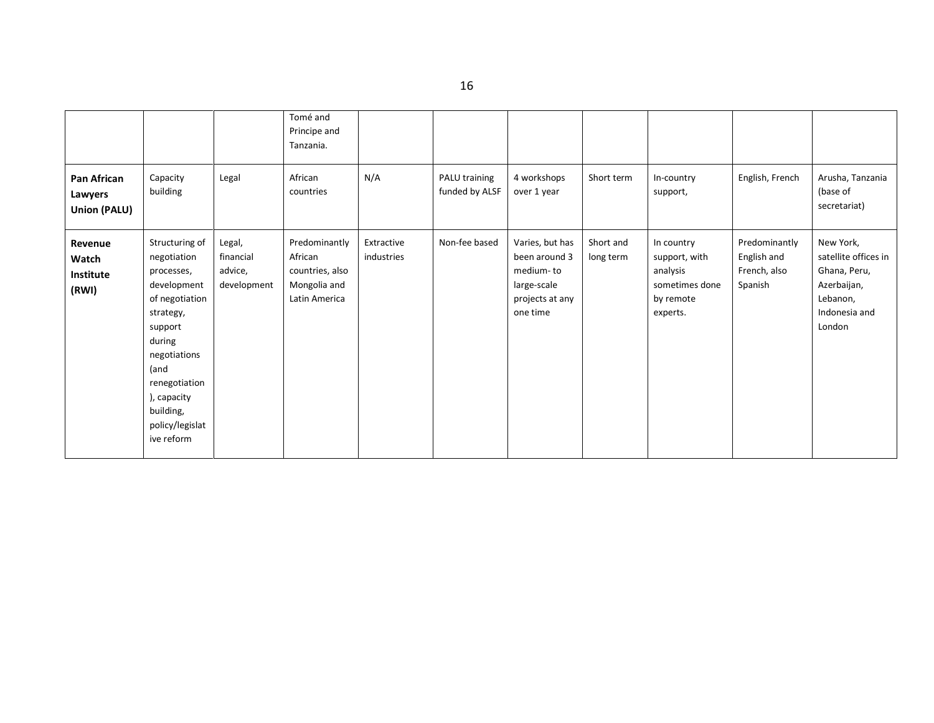| .<br>۰.<br>I<br>I<br>×<br>٩ |
|-----------------------------|
|-----------------------------|

| Pan African<br>Lawyers<br><b>Union (PALU)</b> | Capacity<br>building                                                                                                                                                                                                 | Legal                                         | Tomé and<br>Principe and<br>Tanzania.<br>African<br>countries                | N/A                      | PALU training<br>funded by ALSF | 4 workshops<br>over 1 year                                                                  | Short term             | In-country<br>support,                                                             | English, French                                         | Arusha, Tanzania<br>(base of<br>secretariat)                                                            |
|-----------------------------------------------|----------------------------------------------------------------------------------------------------------------------------------------------------------------------------------------------------------------------|-----------------------------------------------|------------------------------------------------------------------------------|--------------------------|---------------------------------|---------------------------------------------------------------------------------------------|------------------------|------------------------------------------------------------------------------------|---------------------------------------------------------|---------------------------------------------------------------------------------------------------------|
| Revenue<br>Watch<br>Institute<br>(RWI)        | Structuring of<br>negotiation<br>processes,<br>development<br>of negotiation<br>strategy,<br>support<br>during<br>negotiations<br>(and<br>renegotiation<br>), capacity<br>building,<br>policy/legislat<br>ive reform | Legal,<br>financial<br>advice,<br>development | Predominantly<br>African<br>countries, also<br>Mongolia and<br>Latin America | Extractive<br>industries | Non-fee based                   | Varies, but has<br>been around 3<br>medium-to<br>large-scale<br>projects at any<br>one time | Short and<br>long term | In country<br>support, with<br>analysis<br>sometimes done<br>by remote<br>experts. | Predominantly<br>English and<br>French, also<br>Spanish | New York,<br>satellite offices in<br>Ghana, Peru,<br>Azerbaijan,<br>Lebanon,<br>Indonesia and<br>London |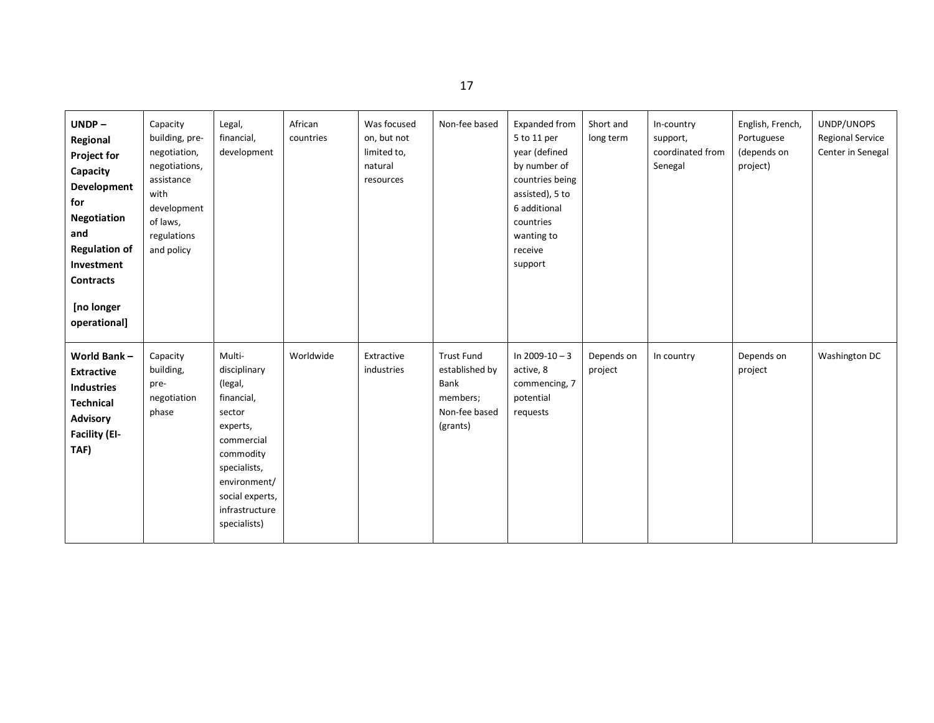| $UNDP -$<br>Regional<br><b>Project for</b><br>Capacity<br>Development<br>for<br>Negotiation<br>and<br><b>Regulation of</b><br>Investment<br><b>Contracts</b><br>[no longer<br>operational] | Capacity<br>building, pre-<br>negotiation,<br>negotiations,<br>assistance<br>with<br>development<br>of laws,<br>regulations<br>and policy | Legal,<br>financial,<br>development                                                                                                                                                   | African<br>countries | Was focused<br>on, but not<br>limited to,<br>natural<br>resources | Non-fee based                                                                        | Expanded from<br>5 to 11 per<br>year (defined<br>by number of<br>countries being<br>assisted), 5 to<br>6 additional<br>countries<br>wanting to<br>receive<br>support | Short and<br>long term | In-country<br>support,<br>coordinated from<br>Senegal | English, French,<br>Portuguese<br>(depends on<br>project) | UNDP/UNOPS<br><b>Regional Service</b><br>Center in Senegal |
|--------------------------------------------------------------------------------------------------------------------------------------------------------------------------------------------|-------------------------------------------------------------------------------------------------------------------------------------------|---------------------------------------------------------------------------------------------------------------------------------------------------------------------------------------|----------------------|-------------------------------------------------------------------|--------------------------------------------------------------------------------------|----------------------------------------------------------------------------------------------------------------------------------------------------------------------|------------------------|-------------------------------------------------------|-----------------------------------------------------------|------------------------------------------------------------|
| World Bank-<br><b>Extractive</b><br><b>Industries</b><br><b>Technical</b><br><b>Advisory</b><br><b>Facility (EI-</b><br>TAF)                                                               | Capacity<br>building,<br>pre-<br>negotiation<br>phase                                                                                     | Multi-<br>disciplinary<br>(legal,<br>financial,<br>sector<br>experts,<br>commercial<br>commodity<br>specialists,<br>environment/<br>social experts,<br>infrastructure<br>specialists) | Worldwide            | Extractive<br>industries                                          | <b>Trust Fund</b><br>established by<br>Bank<br>members;<br>Non-fee based<br>(grants) | In $2009 - 10 - 3$<br>active, 8<br>commencing, 7<br>potential<br>requests                                                                                            | Depends on<br>project  | In country                                            | Depends on<br>project                                     | Washington DC                                              |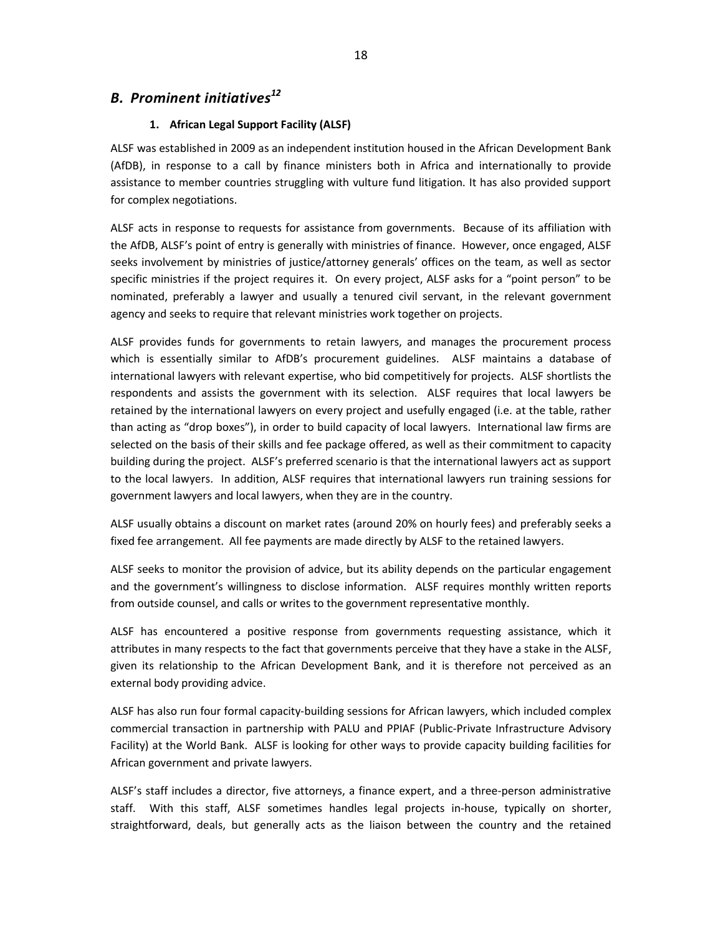## B. Prominent initiatives $^{12}$

#### 1. African Legal Support Facility (ALSF)

ALSF was established in 2009 as an independent institution housed in the African Development Bank (AfDB), in response to a call by finance ministers both in Africa and internationally to provide assistance to member countries struggling with vulture fund litigation. It has also provided support for complex negotiations.

ALSF acts in response to requests for assistance from governments. Because of its affiliation with the AfDB, ALSF's point of entry is generally with ministries of finance. However, once engaged, ALSF seeks involvement by ministries of justice/attorney generals' offices on the team, as well as sector specific ministries if the project requires it. On every project, ALSF asks for a "point person" to be nominated, preferably a lawyer and usually a tenured civil servant, in the relevant government agency and seeks to require that relevant ministries work together on projects.

ALSF provides funds for governments to retain lawyers, and manages the procurement process which is essentially similar to AfDB's procurement guidelines. ALSF maintains a database of international lawyers with relevant expertise, who bid competitively for projects. ALSF shortlists the respondents and assists the government with its selection. ALSF requires that local lawyers be retained by the international lawyers on every project and usefully engaged (i.e. at the table, rather than acting as "drop boxes"), in order to build capacity of local lawyers. International law firms are selected on the basis of their skills and fee package offered, as well as their commitment to capacity building during the project. ALSF's preferred scenario is that the international lawyers act as support to the local lawyers. In addition, ALSF requires that international lawyers run training sessions for government lawyers and local lawyers, when they are in the country.

ALSF usually obtains a discount on market rates (around 20% on hourly fees) and preferably seeks a fixed fee arrangement. All fee payments are made directly by ALSF to the retained lawyers.

ALSF seeks to monitor the provision of advice, but its ability depends on the particular engagement and the government's willingness to disclose information. ALSF requires monthly written reports from outside counsel, and calls or writes to the government representative monthly.

ALSF has encountered a positive response from governments requesting assistance, which it attributes in many respects to the fact that governments perceive that they have a stake in the ALSF, given its relationship to the African Development Bank, and it is therefore not perceived as an external body providing advice.

ALSF has also run four formal capacity-building sessions for African lawyers, which included complex commercial transaction in partnership with PALU and PPIAF (Public-Private Infrastructure Advisory Facility) at the World Bank. ALSF is looking for other ways to provide capacity building facilities for African government and private lawyers.

ALSF's staff includes a director, five attorneys, a finance expert, and a three-person administrative staff. With this staff, ALSF sometimes handles legal projects in-house, typically on shorter, straightforward, deals, but generally acts as the liaison between the country and the retained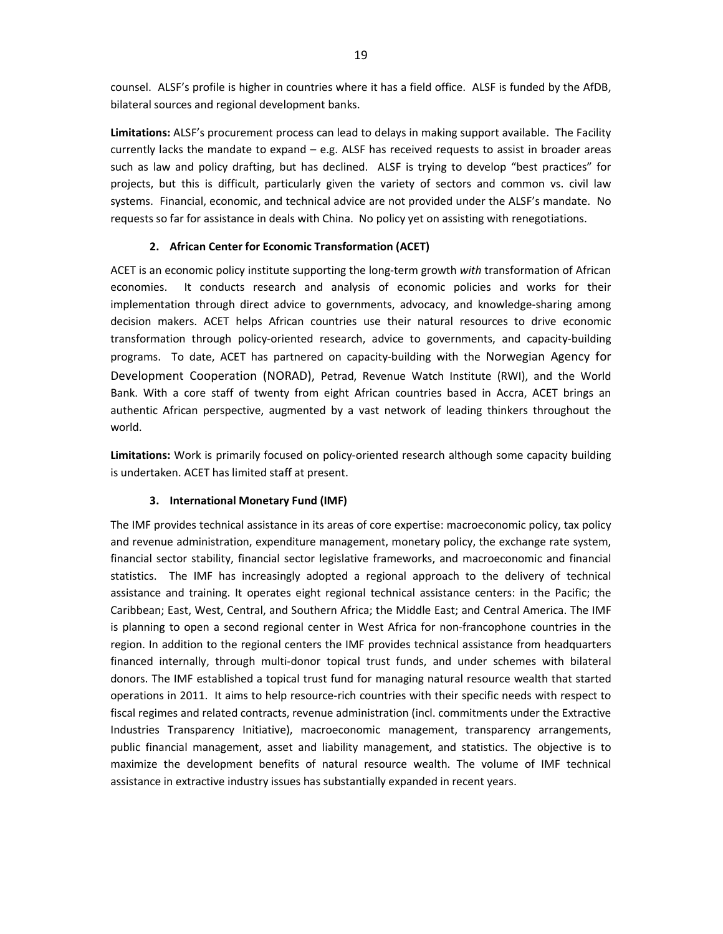counsel. ALSF's profile is higher in countries where it has a field office. ALSF is funded by the AfDB, bilateral sources and regional development banks.

Limitations: ALSF's procurement process can lead to delays in making support available. The Facility currently lacks the mandate to expand – e.g. ALSF has received requests to assist in broader areas such as law and policy drafting, but has declined. ALSF is trying to develop "best practices" for projects, but this is difficult, particularly given the variety of sectors and common vs. civil law systems. Financial, economic, and technical advice are not provided under the ALSF's mandate. No requests so far for assistance in deals with China. No policy yet on assisting with renegotiations.

#### 2. African Center for Economic Transformation (ACET)

ACET is an economic policy institute supporting the long-term growth with transformation of African economies. It conducts research and analysis of economic policies and works for their implementation through direct advice to governments, advocacy, and knowledge-sharing among decision makers. ACET helps African countries use their natural resources to drive economic transformation through policy-oriented research, advice to governments, and capacity-building programs. To date, ACET has partnered on capacity-building with the Norwegian Agency for Development Cooperation (NORAD), Petrad, Revenue Watch Institute (RWI), and the World Bank. With a core staff of twenty from eight African countries based in Accra, ACET brings an authentic African perspective, augmented by a vast network of leading thinkers throughout the world.

Limitations: Work is primarily focused on policy-oriented research although some capacity building is undertaken. ACET has limited staff at present.

#### 3. International Monetary Fund (IMF)

The IMF provides technical assistance in its areas of core expertise: macroeconomic policy, tax policy and revenue administration, expenditure management, monetary policy, the exchange rate system, financial sector stability, financial sector legislative frameworks, and macroeconomic and financial statistics. The IMF has increasingly adopted a regional approach to the delivery of technical assistance and training. It operates eight regional technical assistance centers: in the Pacific; the Caribbean; East, West, Central, and Southern Africa; the Middle East; and Central America. The IMF is planning to open a second regional center in West Africa for non-francophone countries in the region. In addition to the regional centers the IMF provides technical assistance from headquarters financed internally, through multi-donor topical trust funds, and under schemes with bilateral donors. The IMF established a topical trust fund for managing natural resource wealth that started operations in 2011. It aims to help resource-rich countries with their specific needs with respect to fiscal regimes and related contracts, revenue administration (incl. commitments under the Extractive Industries Transparency Initiative), macroeconomic management, transparency arrangements, public financial management, asset and liability management, and statistics. The objective is to maximize the development benefits of natural resource wealth. The volume of IMF technical assistance in extractive industry issues has substantially expanded in recent years.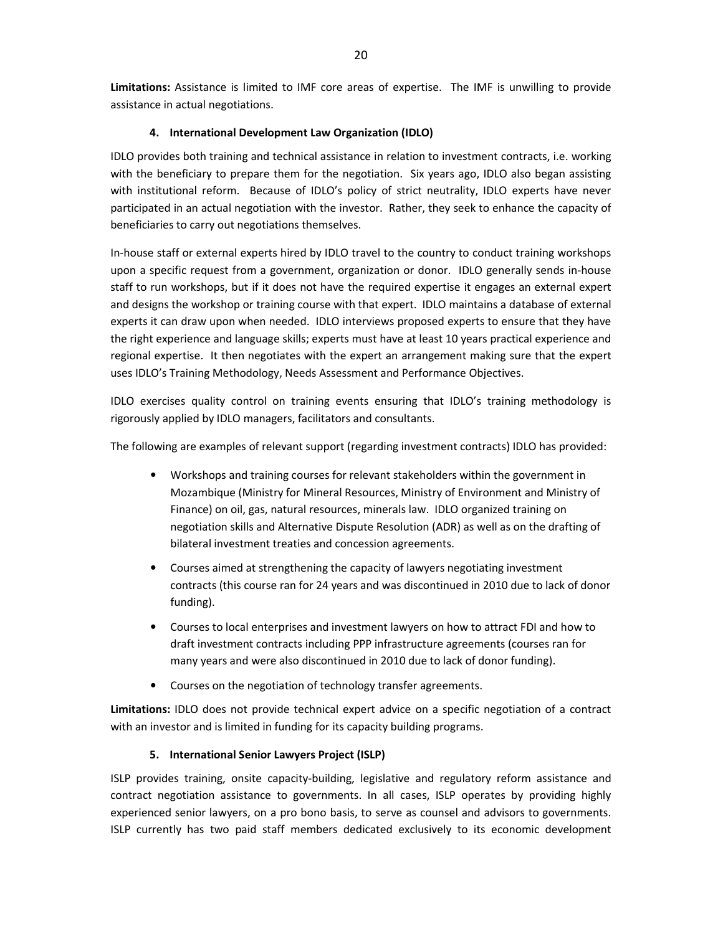Limitations: Assistance is limited to IMF core areas of expertise. The IMF is unwilling to provide assistance in actual negotiations.

#### 4. International Development Law Organization (IDLO)

IDLO provides both training and technical assistance in relation to investment contracts, i.e. working with the beneficiary to prepare them for the negotiation. Six years ago, IDLO also began assisting with institutional reform. Because of IDLO's policy of strict neutrality, IDLO experts have never participated in an actual negotiation with the investor. Rather, they seek to enhance the capacity of beneficiaries to carry out negotiations themselves.

In-house staff or external experts hired by IDLO travel to the country to conduct training workshops upon a specific request from a government, organization or donor. IDLO generally sends in-house staff to run workshops, but if it does not have the required expertise it engages an external expert and designs the workshop or training course with that expert. IDLO maintains a database of external experts it can draw upon when needed. IDLO interviews proposed experts to ensure that they have the right experience and language skills; experts must have at least 10 years practical experience and regional expertise. It then negotiates with the expert an arrangement making sure that the expert uses IDLO's Training Methodology, Needs Assessment and Performance Objectives.

IDLO exercises quality control on training events ensuring that IDLO's training methodology is rigorously applied by IDLO managers, facilitators and consultants.

The following are examples of relevant support (regarding investment contracts) IDLO has provided:

- Workshops and training courses for relevant stakeholders within the government in Mozambique (Ministry for Mineral Resources, Ministry of Environment and Ministry of Finance) on oil, gas, natural resources, minerals law. IDLO organized training on negotiation skills and Alternative Dispute Resolution (ADR) as well as on the drafting of bilateral investment treaties and concession agreements.
- Courses aimed at strengthening the capacity of lawyers negotiating investment contracts (this course ran for 24 years and was discontinued in 2010 due to lack of donor funding).
- Courses to local enterprises and investment lawyers on how to attract FDI and how to draft investment contracts including PPP infrastructure agreements (courses ran for many years and were also discontinued in 2010 due to lack of donor funding).
- Courses on the negotiation of technology transfer agreements.

Limitations: IDLO does not provide technical expert advice on a specific negotiation of a contract with an investor and is limited in funding for its capacity building programs.

#### 5. International Senior Lawyers Project (ISLP)

ISLP provides training, onsite capacity-building, legislative and regulatory reform assistance and contract negotiation assistance to governments. In all cases, ISLP operates by providing highly experienced senior lawyers, on a pro bono basis, to serve as counsel and advisors to governments. ISLP currently has two paid staff members dedicated exclusively to its economic development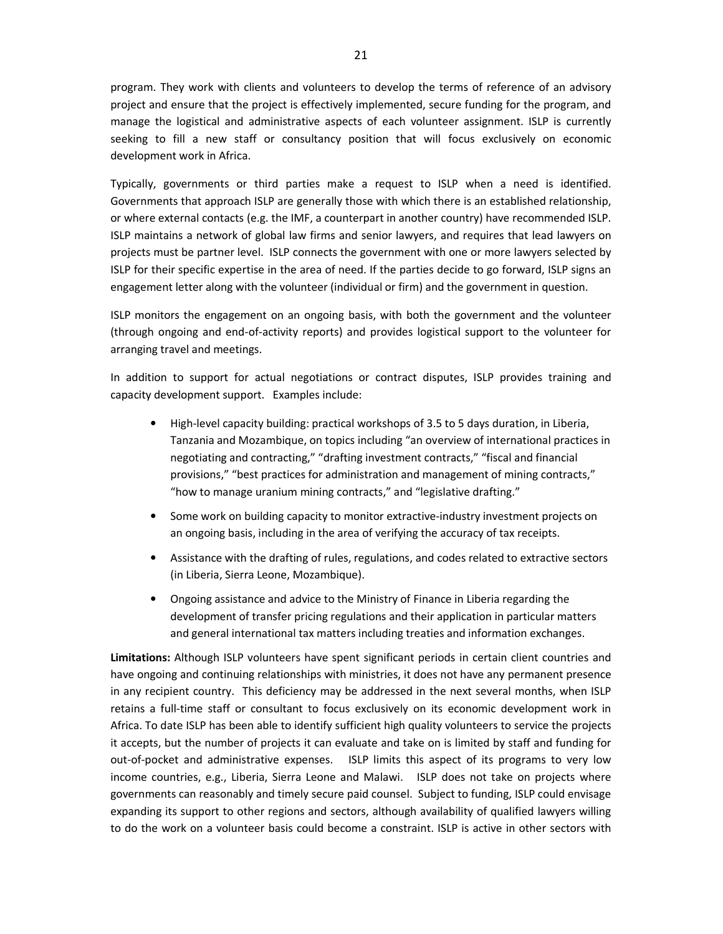program. They work with clients and volunteers to develop the terms of reference of an advisory project and ensure that the project is effectively implemented, secure funding for the program, and manage the logistical and administrative aspects of each volunteer assignment. ISLP is currently seeking to fill a new staff or consultancy position that will focus exclusively on economic development work in Africa.

Typically, governments or third parties make a request to ISLP when a need is identified. Governments that approach ISLP are generally those with which there is an established relationship, or where external contacts (e.g. the IMF, a counterpart in another country) have recommended ISLP. ISLP maintains a network of global law firms and senior lawyers, and requires that lead lawyers on projects must be partner level. ISLP connects the government with one or more lawyers selected by ISLP for their specific expertise in the area of need. If the parties decide to go forward, ISLP signs an engagement letter along with the volunteer (individual or firm) and the government in question.

ISLP monitors the engagement on an ongoing basis, with both the government and the volunteer (through ongoing and end-of-activity reports) and provides logistical support to the volunteer for arranging travel and meetings.

In addition to support for actual negotiations or contract disputes, ISLP provides training and capacity development support. Examples include:

- High-level capacity building: practical workshops of 3.5 to 5 days duration, in Liberia, Tanzania and Mozambique, on topics including "an overview of international practices in negotiating and contracting," "drafting investment contracts," "fiscal and financial provisions," "best practices for administration and management of mining contracts," "how to manage uranium mining contracts," and "legislative drafting."
- Some work on building capacity to monitor extractive-industry investment projects on an ongoing basis, including in the area of verifying the accuracy of tax receipts.
- Assistance with the drafting of rules, regulations, and codes related to extractive sectors (in Liberia, Sierra Leone, Mozambique).
- Ongoing assistance and advice to the Ministry of Finance in Liberia regarding the development of transfer pricing regulations and their application in particular matters and general international tax matters including treaties and information exchanges.

Limitations: Although ISLP volunteers have spent significant periods in certain client countries and have ongoing and continuing relationships with ministries, it does not have any permanent presence in any recipient country. This deficiency may be addressed in the next several months, when ISLP retains a full-time staff or consultant to focus exclusively on its economic development work in Africa. To date ISLP has been able to identify sufficient high quality volunteers to service the projects it accepts, but the number of projects it can evaluate and take on is limited by staff and funding for out-of-pocket and administrative expenses. ISLP limits this aspect of its programs to very low income countries, e.g., Liberia, Sierra Leone and Malawi. ISLP does not take on projects where governments can reasonably and timely secure paid counsel. Subject to funding, ISLP could envisage expanding its support to other regions and sectors, although availability of qualified lawyers willing to do the work on a volunteer basis could become a constraint. ISLP is active in other sectors with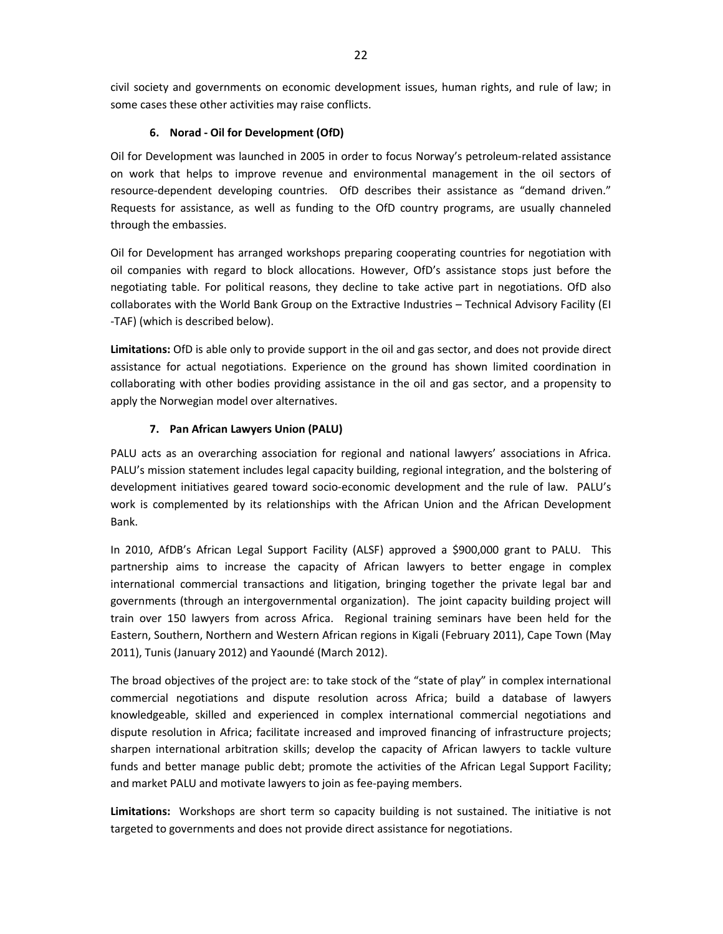civil society and governments on economic development issues, human rights, and rule of law; in some cases these other activities may raise conflicts.

#### 6. Norad - Oil for Development (OfD)

Oil for Development was launched in 2005 in order to focus Norway's petroleum-related assistance on work that helps to improve revenue and environmental management in the oil sectors of resource-dependent developing countries. OfD describes their assistance as "demand driven." Requests for assistance, as well as funding to the OfD country programs, are usually channeled through the embassies.

Oil for Development has arranged workshops preparing cooperating countries for negotiation with oil companies with regard to block allocations. However, OfD's assistance stops just before the negotiating table. For political reasons, they decline to take active part in negotiations. OfD also collaborates with the World Bank Group on the Extractive Industries – Technical Advisory Facility (EI -TAF) (which is described below).

Limitations: OfD is able only to provide support in the oil and gas sector, and does not provide direct assistance for actual negotiations. Experience on the ground has shown limited coordination in collaborating with other bodies providing assistance in the oil and gas sector, and a propensity to apply the Norwegian model over alternatives.

#### 7. Pan African Lawyers Union (PALU)

PALU acts as an overarching association for regional and national lawyers' associations in Africa. PALU's mission statement includes legal capacity building, regional integration, and the bolstering of development initiatives geared toward socio-economic development and the rule of law. PALU's work is complemented by its relationships with the African Union and the African Development Bank.

In 2010, AfDB's African Legal Support Facility (ALSF) approved a \$900,000 grant to PALU. This partnership aims to increase the capacity of African lawyers to better engage in complex international commercial transactions and litigation, bringing together the private legal bar and governments (through an intergovernmental organization). The joint capacity building project will train over 150 lawyers from across Africa. Regional training seminars have been held for the Eastern, Southern, Northern and Western African regions in Kigali (February 2011), Cape Town (May 2011), Tunis (January 2012) and Yaoundé (March 2012).

The broad objectives of the project are: to take stock of the "state of play" in complex international commercial negotiations and dispute resolution across Africa; build a database of lawyers knowledgeable, skilled and experienced in complex international commercial negotiations and dispute resolution in Africa; facilitate increased and improved financing of infrastructure projects; sharpen international arbitration skills; develop the capacity of African lawyers to tackle vulture funds and better manage public debt; promote the activities of the African Legal Support Facility; and market PALU and motivate lawyers to join as fee-paying members.

Limitations: Workshops are short term so capacity building is not sustained. The initiative is not targeted to governments and does not provide direct assistance for negotiations.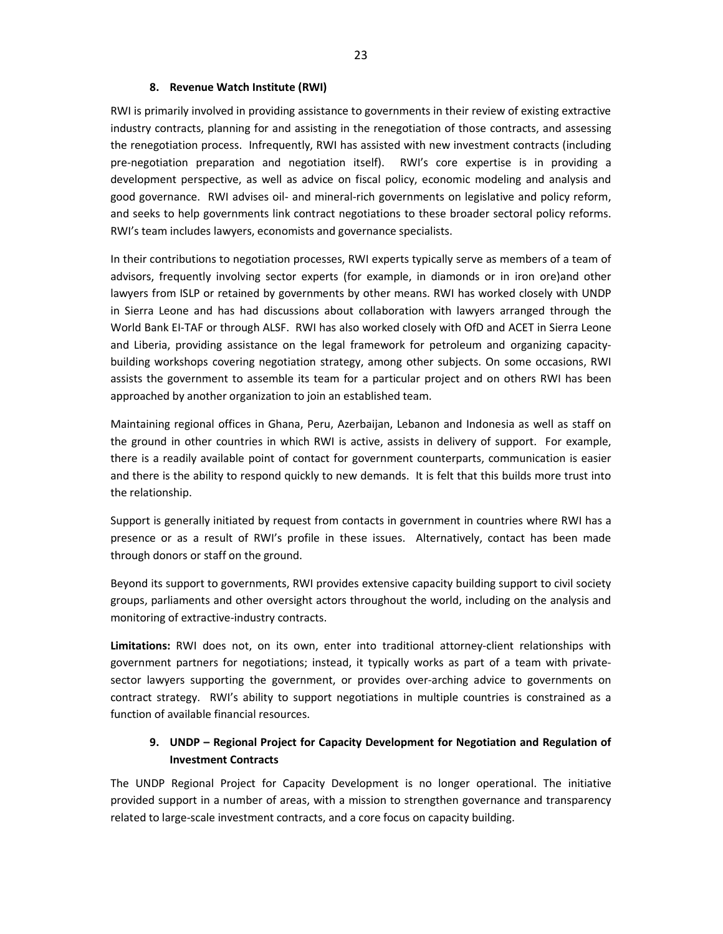#### 8. Revenue Watch Institute (RWI)

RWI is primarily involved in providing assistance to governments in their review of existing extractive industry contracts, planning for and assisting in the renegotiation of those contracts, and assessing the renegotiation process. Infrequently, RWI has assisted with new investment contracts (including pre-negotiation preparation and negotiation itself). RWI's core expertise is in providing a development perspective, as well as advice on fiscal policy, economic modeling and analysis and good governance. RWI advises oil- and mineral-rich governments on legislative and policy reform, and seeks to help governments link contract negotiations to these broader sectoral policy reforms. RWI's team includes lawyers, economists and governance specialists.

In their contributions to negotiation processes, RWI experts typically serve as members of a team of advisors, frequently involving sector experts (for example, in diamonds or in iron ore)and other lawyers from ISLP or retained by governments by other means. RWI has worked closely with UNDP in Sierra Leone and has had discussions about collaboration with lawyers arranged through the World Bank EI-TAF or through ALSF. RWI has also worked closely with OfD and ACET in Sierra Leone and Liberia, providing assistance on the legal framework for petroleum and organizing capacitybuilding workshops covering negotiation strategy, among other subjects. On some occasions, RWI assists the government to assemble its team for a particular project and on others RWI has been approached by another organization to join an established team.

Maintaining regional offices in Ghana, Peru, Azerbaijan, Lebanon and Indonesia as well as staff on the ground in other countries in which RWI is active, assists in delivery of support. For example, there is a readily available point of contact for government counterparts, communication is easier and there is the ability to respond quickly to new demands. It is felt that this builds more trust into the relationship.

Support is generally initiated by request from contacts in government in countries where RWI has a presence or as a result of RWI's profile in these issues. Alternatively, contact has been made through donors or staff on the ground.

Beyond its support to governments, RWI provides extensive capacity building support to civil society groups, parliaments and other oversight actors throughout the world, including on the analysis and monitoring of extractive-industry contracts.

Limitations: RWI does not, on its own, enter into traditional attorney-client relationships with government partners for negotiations; instead, it typically works as part of a team with privatesector lawyers supporting the government, or provides over-arching advice to governments on contract strategy. RWI's ability to support negotiations in multiple countries is constrained as a function of available financial resources.

## 9. UNDP – Regional Project for Capacity Development for Negotiation and Regulation of Investment Contracts

The UNDP Regional Project for Capacity Development is no longer operational. The initiative provided support in a number of areas, with a mission to strengthen governance and transparency related to large-scale investment contracts, and a core focus on capacity building.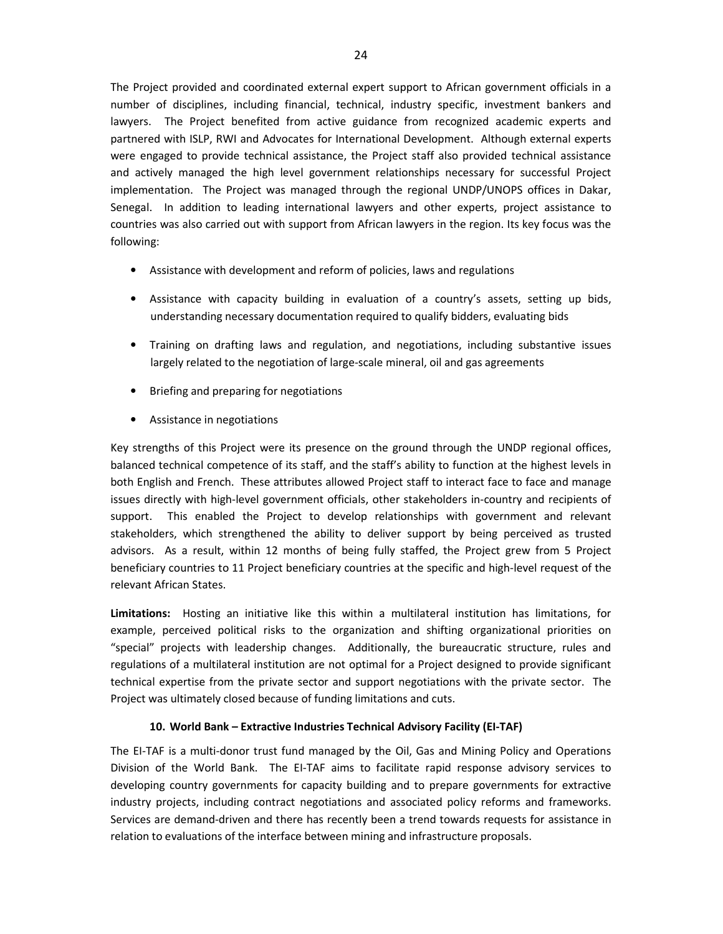The Project provided and coordinated external expert support to African government officials in a number of disciplines, including financial, technical, industry specific, investment bankers and lawyers. The Project benefited from active guidance from recognized academic experts and partnered with ISLP, RWI and Advocates for International Development. Although external experts were engaged to provide technical assistance, the Project staff also provided technical assistance and actively managed the high level government relationships necessary for successful Project implementation. The Project was managed through the regional UNDP/UNOPS offices in Dakar, Senegal. In addition to leading international lawyers and other experts, project assistance to countries was also carried out with support from African lawyers in the region. Its key focus was the following:

- Assistance with development and reform of policies, laws and regulations
- Assistance with capacity building in evaluation of a country's assets, setting up bids, understanding necessary documentation required to qualify bidders, evaluating bids
- Training on drafting laws and regulation, and negotiations, including substantive issues largely related to the negotiation of large-scale mineral, oil and gas agreements
- Briefing and preparing for negotiations
- Assistance in negotiations

Key strengths of this Project were its presence on the ground through the UNDP regional offices, balanced technical competence of its staff, and the staff's ability to function at the highest levels in both English and French. These attributes allowed Project staff to interact face to face and manage issues directly with high-level government officials, other stakeholders in-country and recipients of support. This enabled the Project to develop relationships with government and relevant stakeholders, which strengthened the ability to deliver support by being perceived as trusted advisors. As a result, within 12 months of being fully staffed, the Project grew from 5 Project beneficiary countries to 11 Project beneficiary countries at the specific and high-level request of the relevant African States.

Limitations: Hosting an initiative like this within a multilateral institution has limitations, for example, perceived political risks to the organization and shifting organizational priorities on "special" projects with leadership changes. Additionally, the bureaucratic structure, rules and regulations of a multilateral institution are not optimal for a Project designed to provide significant technical expertise from the private sector and support negotiations with the private sector. The Project was ultimately closed because of funding limitations and cuts.

#### 10. World Bank – Extractive Industries Technical Advisory Facility (EI-TAF)

The EI-TAF is a multi-donor trust fund managed by the Oil, Gas and Mining Policy and Operations Division of the World Bank. The EI-TAF aims to facilitate rapid response advisory services to developing country governments for capacity building and to prepare governments for extractive industry projects, including contract negotiations and associated policy reforms and frameworks. Services are demand-driven and there has recently been a trend towards requests for assistance in relation to evaluations of the interface between mining and infrastructure proposals.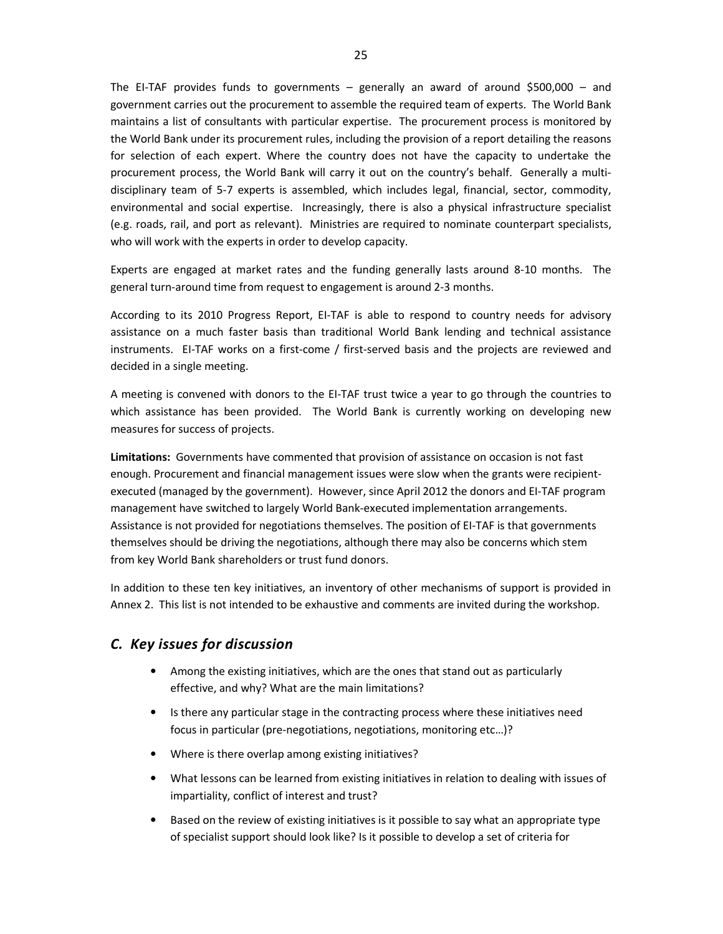The EI-TAF provides funds to governments  $-$  generally an award of around \$500,000  $-$  and government carries out the procurement to assemble the required team of experts. The World Bank maintains a list of consultants with particular expertise. The procurement process is monitored by the World Bank under its procurement rules, including the provision of a report detailing the reasons for selection of each expert. Where the country does not have the capacity to undertake the procurement process, the World Bank will carry it out on the country's behalf. Generally a multidisciplinary team of 5-7 experts is assembled, which includes legal, financial, sector, commodity, environmental and social expertise. Increasingly, there is also a physical infrastructure specialist (e.g. roads, rail, and port as relevant). Ministries are required to nominate counterpart specialists, who will work with the experts in order to develop capacity.

Experts are engaged at market rates and the funding generally lasts around 8-10 months. The general turn-around time from request to engagement is around 2-3 months.

According to its 2010 Progress Report, EI-TAF is able to respond to country needs for advisory assistance on a much faster basis than traditional World Bank lending and technical assistance instruments. EI-TAF works on a first-come / first-served basis and the projects are reviewed and decided in a single meeting.

A meeting is convened with donors to the EI-TAF trust twice a year to go through the countries to which assistance has been provided. The World Bank is currently working on developing new measures for success of projects.

Limitations: Governments have commented that provision of assistance on occasion is not fast enough. Procurement and financial management issues were slow when the grants were recipientexecuted (managed by the government). However, since April 2012 the donors and EI-TAF program management have switched to largely World Bank-executed implementation arrangements. Assistance is not provided for negotiations themselves. The position of EI-TAF is that governments themselves should be driving the negotiations, although there may also be concerns which stem from key World Bank shareholders or trust fund donors.

In addition to these ten key initiatives, an inventory of other mechanisms of support is provided in Annex 2. This list is not intended to be exhaustive and comments are invited during the workshop.

#### C. Key issues for discussion

- Among the existing initiatives, which are the ones that stand out as particularly effective, and why? What are the main limitations?
- Is there any particular stage in the contracting process where these initiatives need focus in particular (pre-negotiations, negotiations, monitoring etc…)?
- Where is there overlap among existing initiatives?
- What lessons can be learned from existing initiatives in relation to dealing with issues of impartiality, conflict of interest and trust?
- Based on the review of existing initiatives is it possible to say what an appropriate type of specialist support should look like? Is it possible to develop a set of criteria for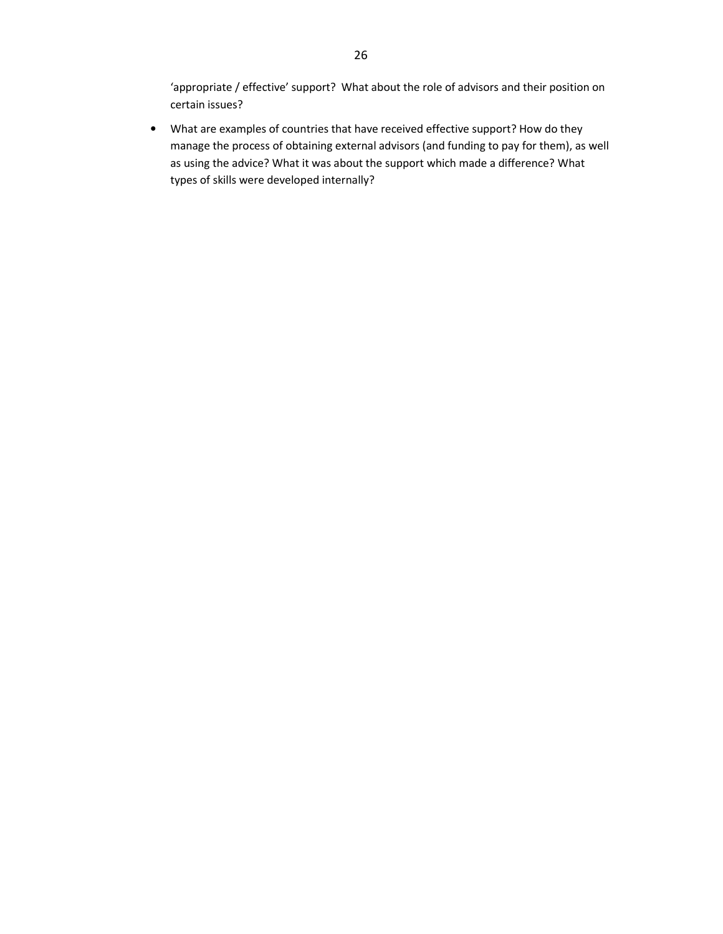'appropriate / effective' support? What about the role of advisors and their position on certain issues?

• What are examples of countries that have received effective support? How do they manage the process of obtaining external advisors (and funding to pay for them), as well as using the advice? What it was about the support which made a difference? What types of skills were developed internally?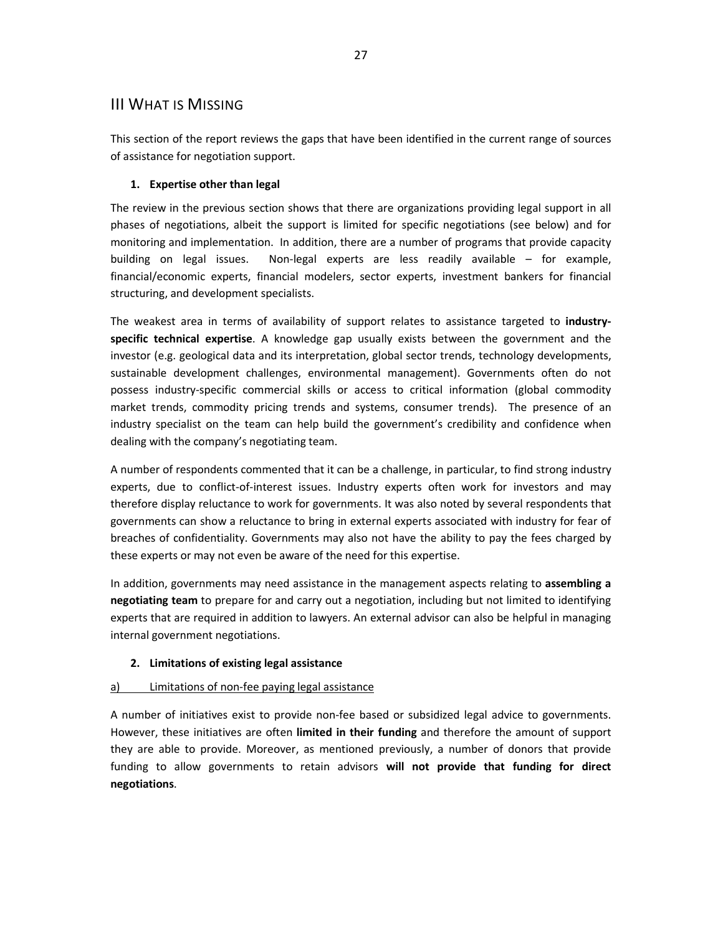## III WHAT IS MISSING

This section of the report reviews the gaps that have been identified in the current range of sources of assistance for negotiation support.

#### 1. Expertise other than legal

The review in the previous section shows that there are organizations providing legal support in all phases of negotiations, albeit the support is limited for specific negotiations (see below) and for monitoring and implementation. In addition, there are a number of programs that provide capacity building on legal issues. Non-legal experts are less readily available – for example, financial/economic experts, financial modelers, sector experts, investment bankers for financial structuring, and development specialists.

The weakest area in terms of availability of support relates to assistance targeted to industryspecific technical expertise. A knowledge gap usually exists between the government and the investor (e.g. geological data and its interpretation, global sector trends, technology developments, sustainable development challenges, environmental management). Governments often do not possess industry-specific commercial skills or access to critical information (global commodity market trends, commodity pricing trends and systems, consumer trends). The presence of an industry specialist on the team can help build the government's credibility and confidence when dealing with the company's negotiating team.

A number of respondents commented that it can be a challenge, in particular, to find strong industry experts, due to conflict-of-interest issues. Industry experts often work for investors and may therefore display reluctance to work for governments. It was also noted by several respondents that governments can show a reluctance to bring in external experts associated with industry for fear of breaches of confidentiality. Governments may also not have the ability to pay the fees charged by these experts or may not even be aware of the need for this expertise.

In addition, governments may need assistance in the management aspects relating to assembling a negotiating team to prepare for and carry out a negotiation, including but not limited to identifying experts that are required in addition to lawyers. An external advisor can also be helpful in managing internal government negotiations.

#### 2. Limitations of existing legal assistance

#### a) Limitations of non-fee paying legal assistance

A number of initiatives exist to provide non-fee based or subsidized legal advice to governments. However, these initiatives are often limited in their funding and therefore the amount of support they are able to provide. Moreover, as mentioned previously, a number of donors that provide funding to allow governments to retain advisors will not provide that funding for direct negotiations.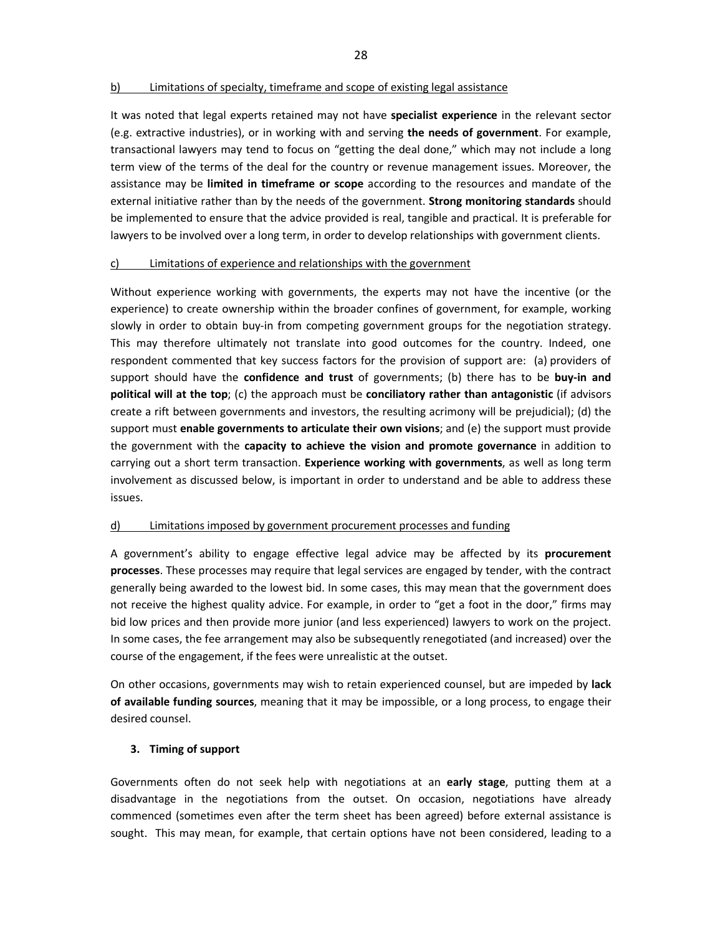b) Limitations of specialty, timeframe and scope of existing legal assistance

It was noted that legal experts retained may not have specialist experience in the relevant sector (e.g. extractive industries), or in working with and serving the needs of government. For example, transactional lawyers may tend to focus on "getting the deal done," which may not include a long term view of the terms of the deal for the country or revenue management issues. Moreover, the assistance may be limited in timeframe or scope according to the resources and mandate of the external initiative rather than by the needs of the government. Strong monitoring standards should be implemented to ensure that the advice provided is real, tangible and practical. It is preferable for lawyers to be involved over a long term, in order to develop relationships with government clients.

#### c) Limitations of experience and relationships with the government

Without experience working with governments, the experts may not have the incentive (or the experience) to create ownership within the broader confines of government, for example, working slowly in order to obtain buy-in from competing government groups for the negotiation strategy. This may therefore ultimately not translate into good outcomes for the country. Indeed, one respondent commented that key success factors for the provision of support are: (a) providers of support should have the **confidence and trust** of governments; (b) there has to be **buy-in and** political will at the top; (c) the approach must be conciliatory rather than antagonistic (if advisors create a rift between governments and investors, the resulting acrimony will be prejudicial); (d) the support must enable governments to articulate their own visions; and (e) the support must provide the government with the capacity to achieve the vision and promote governance in addition to carrying out a short term transaction. Experience working with governments, as well as long term involvement as discussed below, is important in order to understand and be able to address these issues.

#### d) Limitations imposed by government procurement processes and funding

A government's ability to engage effective legal advice may be affected by its **procurement** processes. These processes may require that legal services are engaged by tender, with the contract generally being awarded to the lowest bid. In some cases, this may mean that the government does not receive the highest quality advice. For example, in order to "get a foot in the door," firms may bid low prices and then provide more junior (and less experienced) lawyers to work on the project. In some cases, the fee arrangement may also be subsequently renegotiated (and increased) over the course of the engagement, if the fees were unrealistic at the outset.

On other occasions, governments may wish to retain experienced counsel, but are impeded by lack of available funding sources, meaning that it may be impossible, or a long process, to engage their desired counsel.

#### 3. Timing of support

Governments often do not seek help with negotiations at an early stage, putting them at a disadvantage in the negotiations from the outset. On occasion, negotiations have already commenced (sometimes even after the term sheet has been agreed) before external assistance is sought. This may mean, for example, that certain options have not been considered, leading to a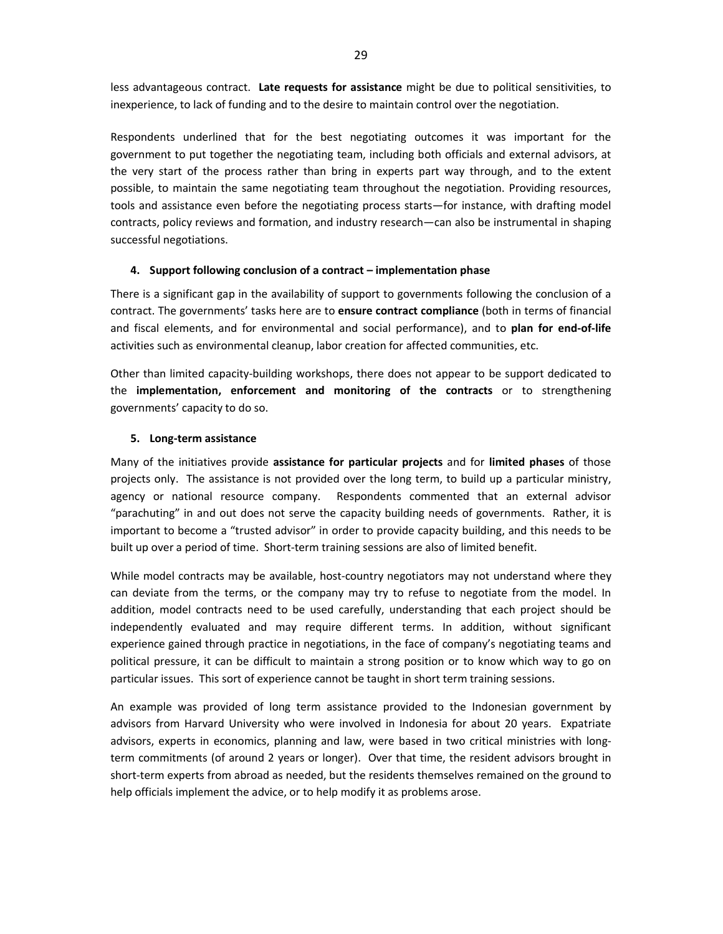less advantageous contract. Late requests for assistance might be due to political sensitivities, to inexperience, to lack of funding and to the desire to maintain control over the negotiation.

Respondents underlined that for the best negotiating outcomes it was important for the government to put together the negotiating team, including both officials and external advisors, at the very start of the process rather than bring in experts part way through, and to the extent possible, to maintain the same negotiating team throughout the negotiation. Providing resources, tools and assistance even before the negotiating process starts—for instance, with drafting model contracts, policy reviews and formation, and industry research—can also be instrumental in shaping successful negotiations.

#### 4. Support following conclusion of a contract – implementation phase

There is a significant gap in the availability of support to governments following the conclusion of a contract. The governments' tasks here are to ensure contract compliance (both in terms of financial and fiscal elements, and for environmental and social performance), and to plan for end-of-life activities such as environmental cleanup, labor creation for affected communities, etc.

Other than limited capacity-building workshops, there does not appear to be support dedicated to the implementation, enforcement and monitoring of the contracts or to strengthening governments' capacity to do so.

#### 5. Long-term assistance

Many of the initiatives provide assistance for particular projects and for limited phases of those projects only. The assistance is not provided over the long term, to build up a particular ministry, agency or national resource company. Respondents commented that an external advisor "parachuting" in and out does not serve the capacity building needs of governments. Rather, it is important to become a "trusted advisor" in order to provide capacity building, and this needs to be built up over a period of time. Short-term training sessions are also of limited benefit.

While model contracts may be available, host-country negotiators may not understand where they can deviate from the terms, or the company may try to refuse to negotiate from the model. In addition, model contracts need to be used carefully, understanding that each project should be independently evaluated and may require different terms. In addition, without significant experience gained through practice in negotiations, in the face of company's negotiating teams and political pressure, it can be difficult to maintain a strong position or to know which way to go on particular issues. This sort of experience cannot be taught in short term training sessions.

An example was provided of long term assistance provided to the Indonesian government by advisors from Harvard University who were involved in Indonesia for about 20 years. Expatriate advisors, experts in economics, planning and law, were based in two critical ministries with longterm commitments (of around 2 years or longer). Over that time, the resident advisors brought in short-term experts from abroad as needed, but the residents themselves remained on the ground to help officials implement the advice, or to help modify it as problems arose.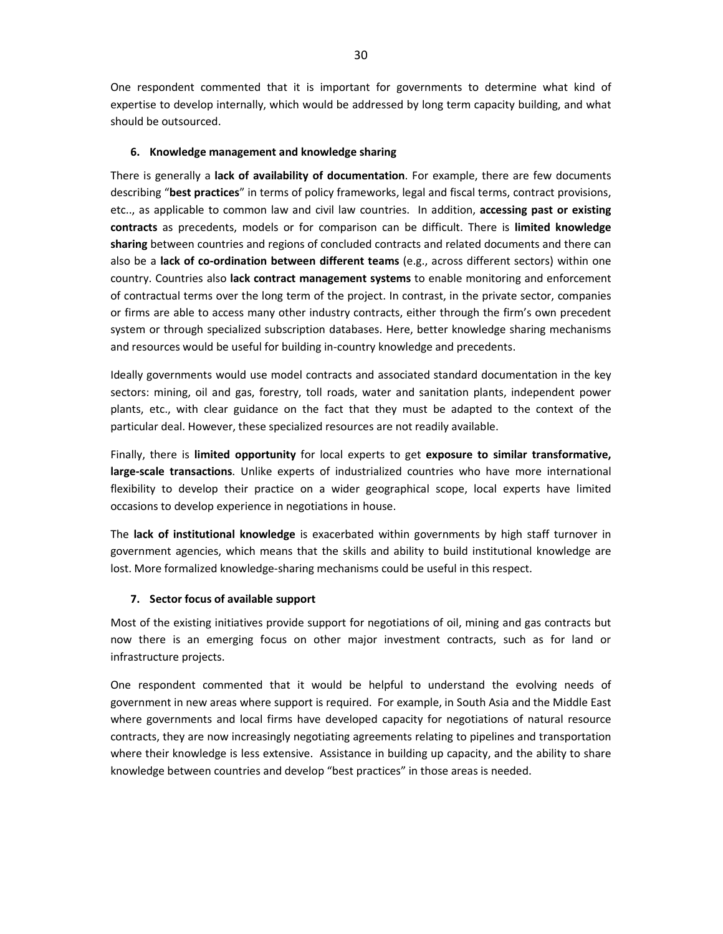One respondent commented that it is important for governments to determine what kind of expertise to develop internally, which would be addressed by long term capacity building, and what should be outsourced.

#### 6. Knowledge management and knowledge sharing

There is generally a lack of availability of documentation. For example, there are few documents describing "best practices" in terms of policy frameworks, legal and fiscal terms, contract provisions, etc.., as applicable to common law and civil law countries. In addition, accessing past or existing contracts as precedents, models or for comparison can be difficult. There is limited knowledge sharing between countries and regions of concluded contracts and related documents and there can also be a lack of co-ordination between different teams (e.g., across different sectors) within one country. Countries also lack contract management systems to enable monitoring and enforcement of contractual terms over the long term of the project. In contrast, in the private sector, companies or firms are able to access many other industry contracts, either through the firm's own precedent system or through specialized subscription databases. Here, better knowledge sharing mechanisms and resources would be useful for building in-country knowledge and precedents.

Ideally governments would use model contracts and associated standard documentation in the key sectors: mining, oil and gas, forestry, toll roads, water and sanitation plants, independent power plants, etc., with clear guidance on the fact that they must be adapted to the context of the particular deal. However, these specialized resources are not readily available.

Finally, there is limited opportunity for local experts to get exposure to similar transformative, large-scale transactions. Unlike experts of industrialized countries who have more international flexibility to develop their practice on a wider geographical scope, local experts have limited occasions to develop experience in negotiations in house.

The lack of institutional knowledge is exacerbated within governments by high staff turnover in government agencies, which means that the skills and ability to build institutional knowledge are lost. More formalized knowledge-sharing mechanisms could be useful in this respect.

#### 7. Sector focus of available support

Most of the existing initiatives provide support for negotiations of oil, mining and gas contracts but now there is an emerging focus on other major investment contracts, such as for land or infrastructure projects.

One respondent commented that it would be helpful to understand the evolving needs of government in new areas where support is required. For example, in South Asia and the Middle East where governments and local firms have developed capacity for negotiations of natural resource contracts, they are now increasingly negotiating agreements relating to pipelines and transportation where their knowledge is less extensive. Assistance in building up capacity, and the ability to share knowledge between countries and develop "best practices" in those areas is needed.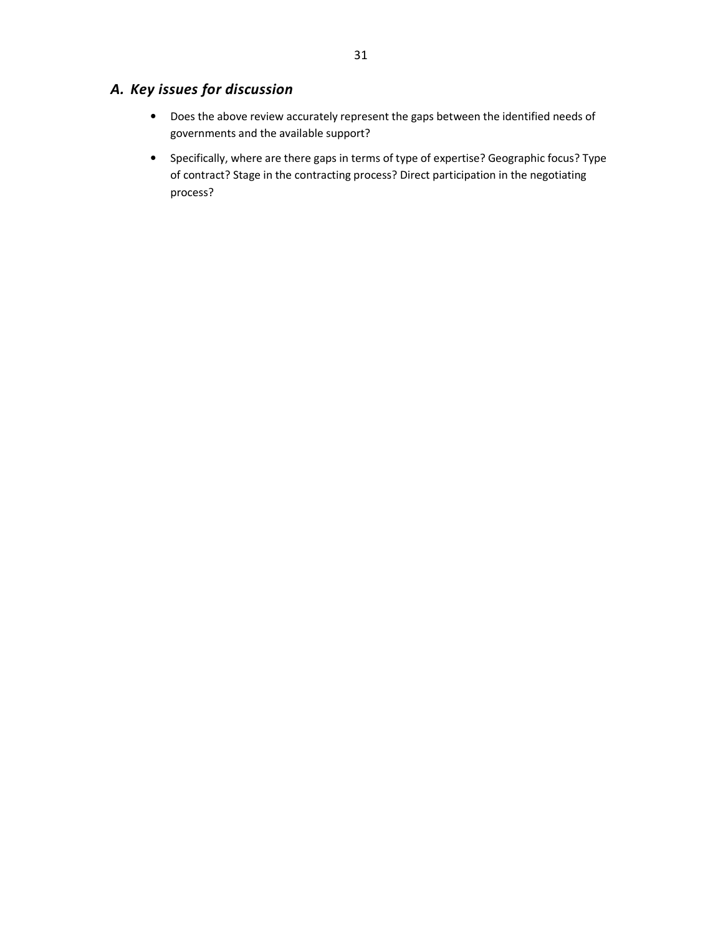## A. Key issues for discussion

- Does the above review accurately represent the gaps between the identified needs of governments and the available support?
- Specifically, where are there gaps in terms of type of expertise? Geographic focus? Type of contract? Stage in the contracting process? Direct participation in the negotiating process?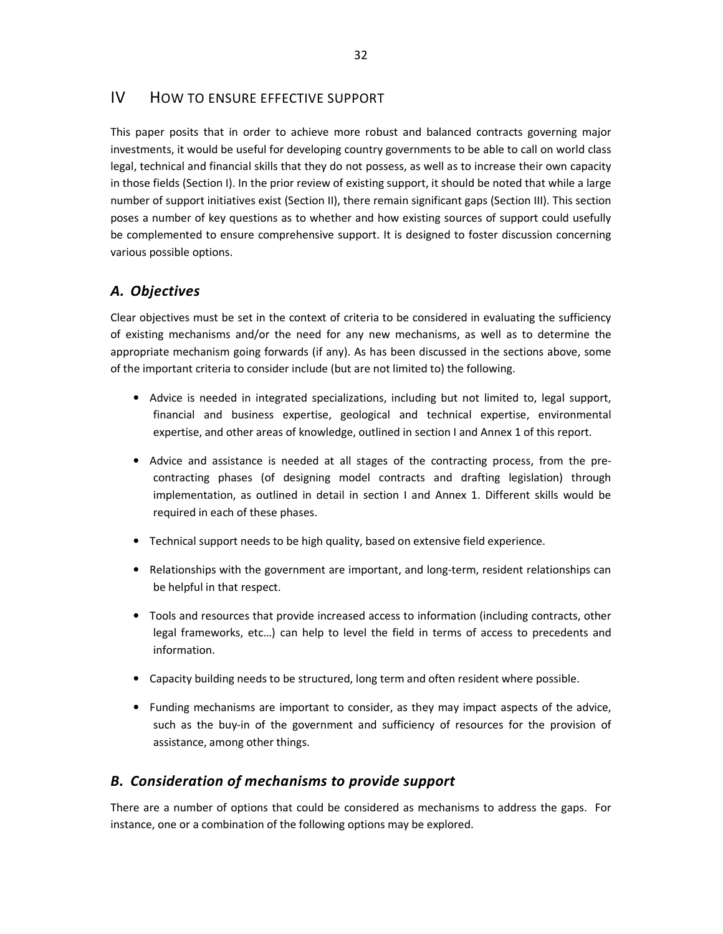## IV HOW TO ENSURE EFFECTIVE SUPPORT

This paper posits that in order to achieve more robust and balanced contracts governing major investments, it would be useful for developing country governments to be able to call on world class legal, technical and financial skills that they do not possess, as well as to increase their own capacity in those fields (Section I). In the prior review of existing support, it should be noted that while a large number of support initiatives exist (Section II), there remain significant gaps (Section III). This section poses a number of key questions as to whether and how existing sources of support could usefully be complemented to ensure comprehensive support. It is designed to foster discussion concerning various possible options.

## A. Objectives

Clear objectives must be set in the context of criteria to be considered in evaluating the sufficiency of existing mechanisms and/or the need for any new mechanisms, as well as to determine the appropriate mechanism going forwards (if any). As has been discussed in the sections above, some of the important criteria to consider include (but are not limited to) the following.

- Advice is needed in integrated specializations, including but not limited to, legal support, financial and business expertise, geological and technical expertise, environmental expertise, and other areas of knowledge, outlined in section I and Annex 1 of this report.
- Advice and assistance is needed at all stages of the contracting process, from the precontracting phases (of designing model contracts and drafting legislation) through implementation, as outlined in detail in section I and Annex 1. Different skills would be required in each of these phases.
- Technical support needs to be high quality, based on extensive field experience.
- Relationships with the government are important, and long-term, resident relationships can be helpful in that respect.
- Tools and resources that provide increased access to information (including contracts, other legal frameworks, etc…) can help to level the field in terms of access to precedents and information.
- Capacity building needs to be structured, long term and often resident where possible.
- Funding mechanisms are important to consider, as they may impact aspects of the advice, such as the buy-in of the government and sufficiency of resources for the provision of assistance, among other things.

## B. Consideration of mechanisms to provide support

There are a number of options that could be considered as mechanisms to address the gaps. For instance, one or a combination of the following options may be explored.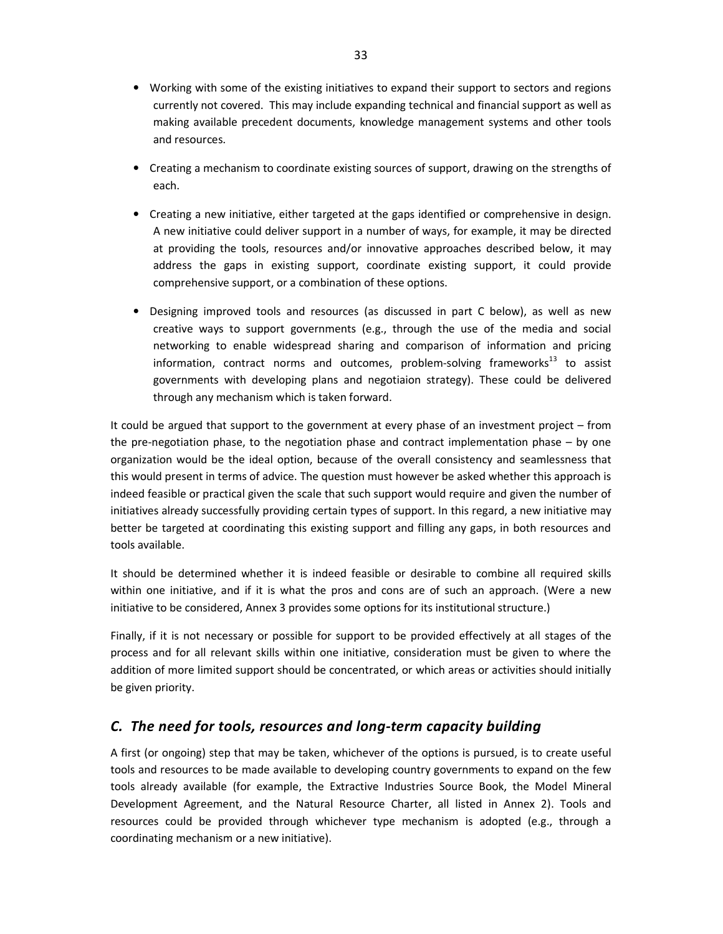- Working with some of the existing initiatives to expand their support to sectors and regions currently not covered. This may include expanding technical and financial support as well as making available precedent documents, knowledge management systems and other tools and resources.
- Creating a mechanism to coordinate existing sources of support, drawing on the strengths of each.
- Creating a new initiative, either targeted at the gaps identified or comprehensive in design. A new initiative could deliver support in a number of ways, for example, it may be directed at providing the tools, resources and/or innovative approaches described below, it may address the gaps in existing support, coordinate existing support, it could provide comprehensive support, or a combination of these options.
- Designing improved tools and resources (as discussed in part C below), as well as new creative ways to support governments (e.g., through the use of the media and social networking to enable widespread sharing and comparison of information and pricing information, contract norms and outcomes, problem-solving frameworks $^{13}$  to assist governments with developing plans and negotiaion strategy). These could be delivered through any mechanism which is taken forward.

It could be argued that support to the government at every phase of an investment project – from the pre-negotiation phase, to the negotiation phase and contract implementation phase – by one organization would be the ideal option, because of the overall consistency and seamlessness that this would present in terms of advice. The question must however be asked whether this approach is indeed feasible or practical given the scale that such support would require and given the number of initiatives already successfully providing certain types of support. In this regard, a new initiative may better be targeted at coordinating this existing support and filling any gaps, in both resources and tools available.

It should be determined whether it is indeed feasible or desirable to combine all required skills within one initiative, and if it is what the pros and cons are of such an approach. (Were a new initiative to be considered, Annex 3 provides some options for its institutional structure.)

Finally, if it is not necessary or possible for support to be provided effectively at all stages of the process and for all relevant skills within one initiative, consideration must be given to where the addition of more limited support should be concentrated, or which areas or activities should initially be given priority.

## C. The need for tools, resources and long-term capacity building

A first (or ongoing) step that may be taken, whichever of the options is pursued, is to create useful tools and resources to be made available to developing country governments to expand on the few tools already available (for example, the Extractive Industries Source Book, the Model Mineral Development Agreement, and the Natural Resource Charter, all listed in Annex 2). Tools and resources could be provided through whichever type mechanism is adopted (e.g., through a coordinating mechanism or a new initiative).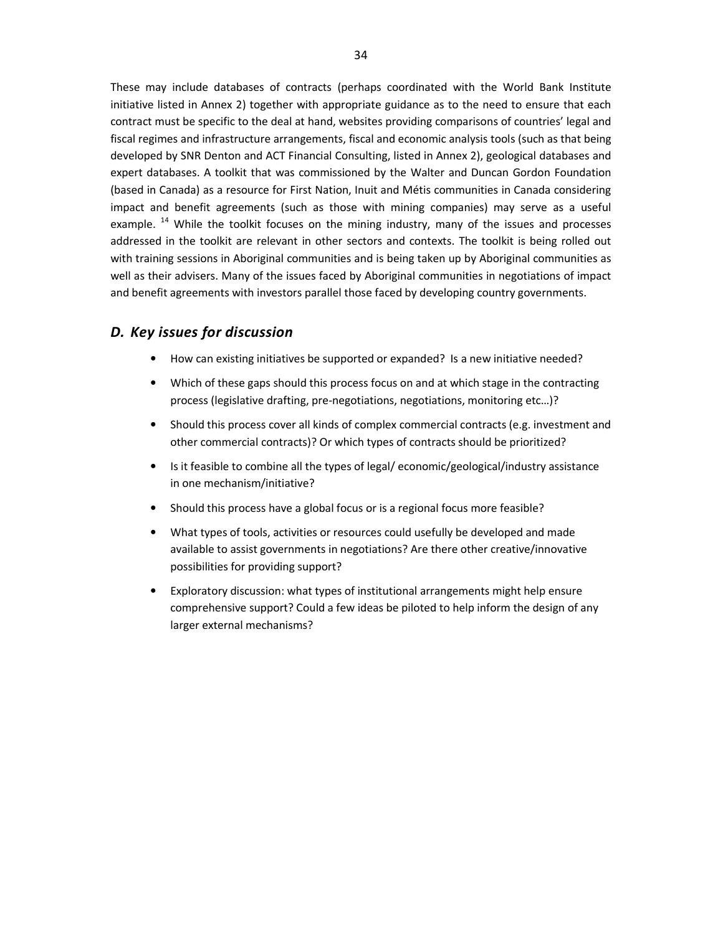These may include databases of contracts (perhaps coordinated with the World Bank Institute initiative listed in Annex 2) together with appropriate guidance as to the need to ensure that each contract must be specific to the deal at hand, websites providing comparisons of countries' legal and fiscal regimes and infrastructure arrangements, fiscal and economic analysis tools (such as that being developed by SNR Denton and ACT Financial Consulting, listed in Annex 2), geological databases and expert databases. A toolkit that was commissioned by the Walter and Duncan Gordon Foundation (based in Canada) as a resource for First Nation, Inuit and Métis communities in Canada considering impact and benefit agreements (such as those with mining companies) may serve as a useful example. <sup>14</sup> While the toolkit focuses on the mining industry, many of the issues and processes addressed in the toolkit are relevant in other sectors and contexts. The toolkit is being rolled out with training sessions in Aboriginal communities and is being taken up by Aboriginal communities as well as their advisers. Many of the issues faced by Aboriginal communities in negotiations of impact and benefit agreements with investors parallel those faced by developing country governments.

## D. Key issues for discussion

- How can existing initiatives be supported or expanded? Is a new initiative needed?
- Which of these gaps should this process focus on and at which stage in the contracting process (legislative drafting, pre-negotiations, negotiations, monitoring etc…)?
- Should this process cover all kinds of complex commercial contracts (e.g. investment and other commercial contracts)? Or which types of contracts should be prioritized?
- Is it feasible to combine all the types of legal/ economic/geological/industry assistance in one mechanism/initiative?
- Should this process have a global focus or is a regional focus more feasible?
- What types of tools, activities or resources could usefully be developed and made available to assist governments in negotiations? Are there other creative/innovative possibilities for providing support?
- Exploratory discussion: what types of institutional arrangements might help ensure comprehensive support? Could a few ideas be piloted to help inform the design of any larger external mechanisms?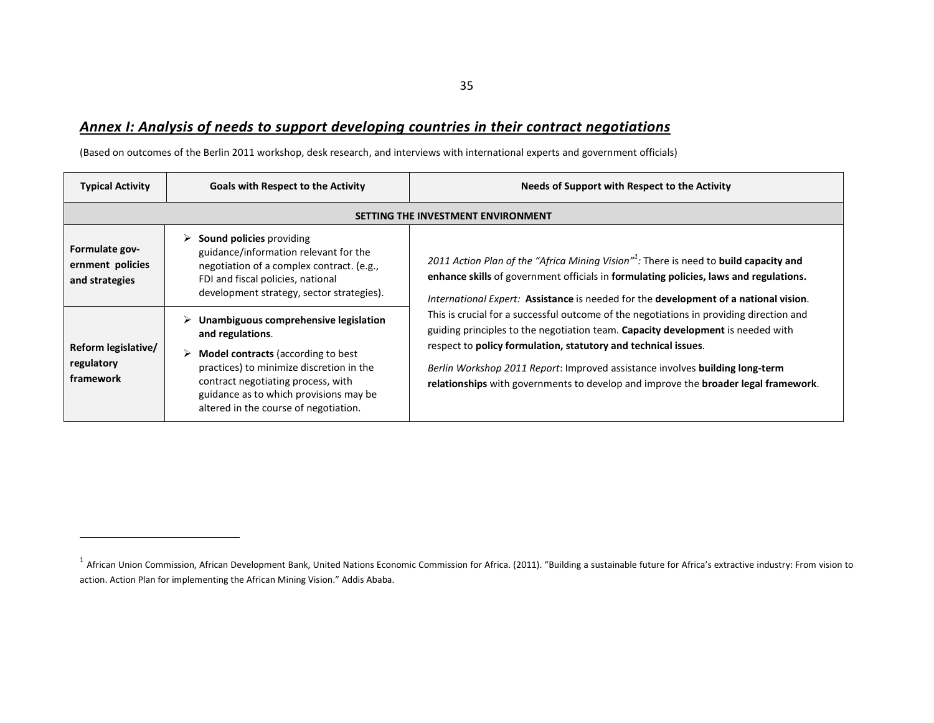## Annex I: Analysis of needs to support developing countries in their contract negotiations

(Based on outcomes of the Berlin 2011 workshop, desk research, and interviews with international experts and government officials)

| <b>Typical Activity</b>                              | <b>Goals with Respect to the Activity</b>                                                                                                                                                                                                                                             | Needs of Support with Respect to the Activity                                                                                                                                                                                                                                                                                                                                                                      |  |  |  |  |  |  |
|------------------------------------------------------|---------------------------------------------------------------------------------------------------------------------------------------------------------------------------------------------------------------------------------------------------------------------------------------|--------------------------------------------------------------------------------------------------------------------------------------------------------------------------------------------------------------------------------------------------------------------------------------------------------------------------------------------------------------------------------------------------------------------|--|--|--|--|--|--|
| SETTING THE INVESTMENT ENVIRONMENT                   |                                                                                                                                                                                                                                                                                       |                                                                                                                                                                                                                                                                                                                                                                                                                    |  |  |  |  |  |  |
| Formulate gov-<br>ernment policies<br>and strategies | <b>Sound policies providing</b><br>guidance/information relevant for the<br>negotiation of a complex contract. (e.g.,<br>FDI and fiscal policies, national<br>development strategy, sector strategies).                                                                               | 2011 Action Plan of the "Africa Mining Vision" <sup>1</sup> : There is need to <b>build capacity and</b><br>enhance skills of government officials in formulating policies, laws and regulations.<br>International Expert: Assistance is needed for the development of a national vision.                                                                                                                          |  |  |  |  |  |  |
| Reform legislative/<br>regulatory<br>framework       | Unambiguous comprehensive legislation<br>and regulations.<br>$\triangleright$ Model contracts (according to best<br>practices) to minimize discretion in the<br>contract negotiating process, with<br>guidance as to which provisions may be<br>altered in the course of negotiation. | This is crucial for a successful outcome of the negotiations in providing direction and<br>guiding principles to the negotiation team. Capacity development is needed with<br>respect to policy formulation, statutory and technical issues.<br>Berlin Workshop 2011 Report: Improved assistance involves building long-term<br>relationships with governments to develop and improve the broader legal framework. |  |  |  |  |  |  |

 $^1$  African Union Commission, African Development Bank, United Nations Economic Commission for Africa. (2011). "Building a sustainable future for Africa's extractive industry: From vision to action. Action Plan for implementing the African Mining Vision." Addis Ababa.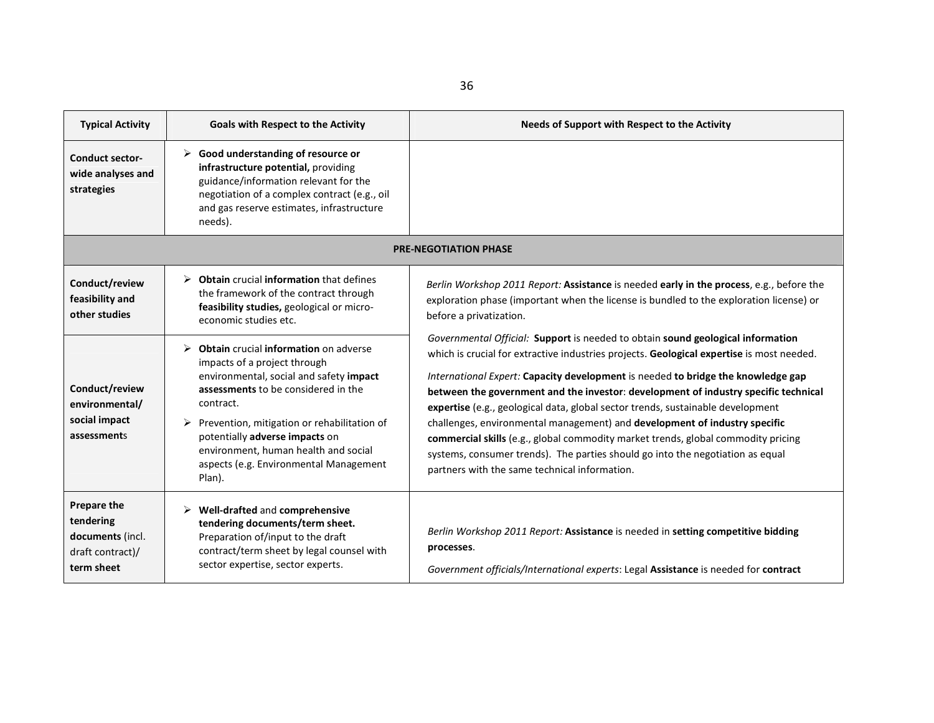| <b>Typical Activity</b>                                                               | Goals with Respect to the Activity                                                                                                                                                                                                                                                                                                                              | Needs of Support with Respect to the Activity                                                                                                                                                                                                                                                                                                                                                                                                                                                                                                                                                                                                                                                                                                    |
|---------------------------------------------------------------------------------------|-----------------------------------------------------------------------------------------------------------------------------------------------------------------------------------------------------------------------------------------------------------------------------------------------------------------------------------------------------------------|--------------------------------------------------------------------------------------------------------------------------------------------------------------------------------------------------------------------------------------------------------------------------------------------------------------------------------------------------------------------------------------------------------------------------------------------------------------------------------------------------------------------------------------------------------------------------------------------------------------------------------------------------------------------------------------------------------------------------------------------------|
| <b>Conduct sector-</b><br>wide analyses and<br>strategies                             | $\triangleright$ Good understanding of resource or<br>infrastructure potential, providing<br>guidance/information relevant for the<br>negotiation of a complex contract (e.g., oil<br>and gas reserve estimates, infrastructure<br>needs).                                                                                                                      |                                                                                                                                                                                                                                                                                                                                                                                                                                                                                                                                                                                                                                                                                                                                                  |
|                                                                                       |                                                                                                                                                                                                                                                                                                                                                                 | <b>PRE-NEGOTIATION PHASE</b>                                                                                                                                                                                                                                                                                                                                                                                                                                                                                                                                                                                                                                                                                                                     |
| Conduct/review<br>feasibility and<br>other studies                                    | $\triangleright$ Obtain crucial information that defines<br>the framework of the contract through<br>feasibility studies, geological or micro-<br>economic studies etc.                                                                                                                                                                                         | Berlin Workshop 2011 Report: Assistance is needed early in the process, e.g., before the<br>exploration phase (important when the license is bundled to the exploration license) or<br>before a privatization.                                                                                                                                                                                                                                                                                                                                                                                                                                                                                                                                   |
| Conduct/review<br>environmental/<br>social impact<br>assessments                      | <b>Obtain</b> crucial <b>information</b> on adverse<br>impacts of a project through<br>environmental, social and safety impact<br>assessments to be considered in the<br>contract.<br>Prevention, mitigation or rehabilitation of<br>potentially adverse impacts on<br>environment, human health and social<br>aspects (e.g. Environmental Management<br>Plan). | Governmental Official: Support is needed to obtain sound geological information<br>which is crucial for extractive industries projects. Geological expertise is most needed.<br>International Expert: Capacity development is needed to bridge the knowledge gap<br>between the government and the investor: development of industry specific technical<br>expertise (e.g., geological data, global sector trends, sustainable development<br>challenges, environmental management) and development of industry specific<br>commercial skills (e.g., global commodity market trends, global commodity pricing<br>systems, consumer trends). The parties should go into the negotiation as equal<br>partners with the same technical information. |
| <b>Prepare the</b><br>tendering<br>documents (incl.<br>draft contract)/<br>term sheet | Well-drafted and comprehensive<br>tendering documents/term sheet.<br>Preparation of/input to the draft<br>contract/term sheet by legal counsel with<br>sector expertise, sector experts.                                                                                                                                                                        | Berlin Workshop 2011 Report: Assistance is needed in setting competitive bidding<br>processes.<br>Government officials/International experts: Legal Assistance is needed for contract                                                                                                                                                                                                                                                                                                                                                                                                                                                                                                                                                            |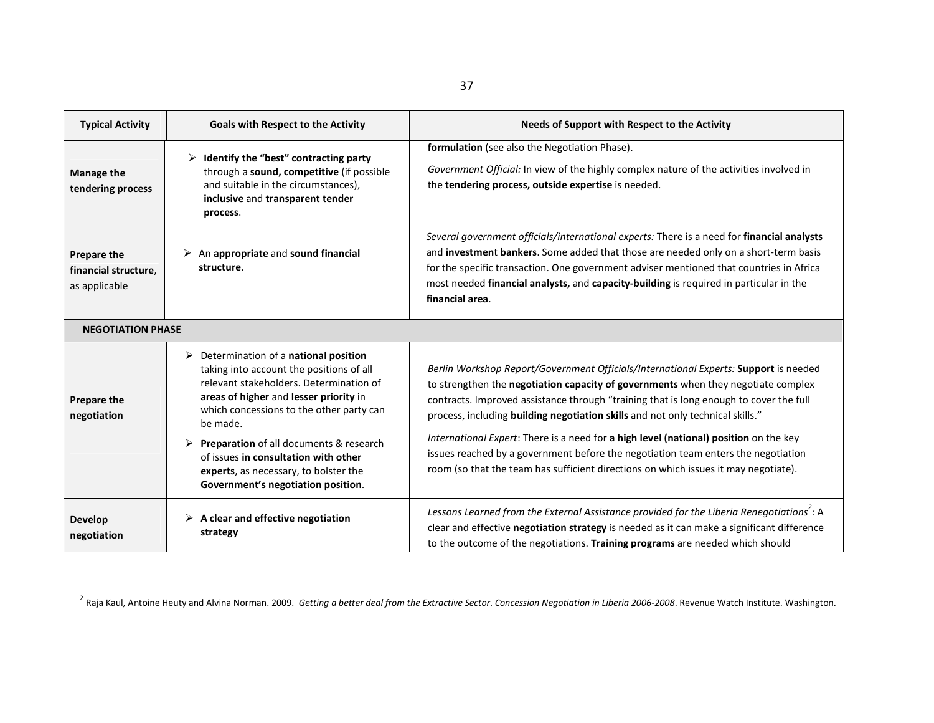| I<br>$-$ |
|----------|
|----------|

| <b>Typical Activity</b>                              | <b>Goals with Respect to the Activity</b>                                                                                                                                                                                                                                                                                                                                                                        | Needs of Support with Respect to the Activity                                                                                                                                                                                                                                                                                                                                                                                                                                                                                                                                                                              |
|------------------------------------------------------|------------------------------------------------------------------------------------------------------------------------------------------------------------------------------------------------------------------------------------------------------------------------------------------------------------------------------------------------------------------------------------------------------------------|----------------------------------------------------------------------------------------------------------------------------------------------------------------------------------------------------------------------------------------------------------------------------------------------------------------------------------------------------------------------------------------------------------------------------------------------------------------------------------------------------------------------------------------------------------------------------------------------------------------------------|
| <b>Manage the</b><br>tendering process               | Identify the "best" contracting party<br>⋗<br>through a sound, competitive (if possible<br>and suitable in the circumstances),<br>inclusive and transparent tender<br>process.                                                                                                                                                                                                                                   | formulation (see also the Negotiation Phase).<br>Government Official: In view of the highly complex nature of the activities involved in<br>the tendering process, outside expertise is needed.                                                                                                                                                                                                                                                                                                                                                                                                                            |
| Prepare the<br>financial structure,<br>as applicable | $\triangleright$ An appropriate and sound financial<br>structure.                                                                                                                                                                                                                                                                                                                                                | Several government officials/international experts: There is a need for financial analysts<br>and investment bankers. Some added that those are needed only on a short-term basis<br>for the specific transaction. One government adviser mentioned that countries in Africa<br>most needed financial analysts, and capacity-building is required in particular in the<br>financial area.                                                                                                                                                                                                                                  |
| <b>NEGOTIATION PHASE</b>                             |                                                                                                                                                                                                                                                                                                                                                                                                                  |                                                                                                                                                                                                                                                                                                                                                                                                                                                                                                                                                                                                                            |
| <b>Prepare the</b><br>negotiation                    | $\triangleright$ Determination of a national position<br>taking into account the positions of all<br>relevant stakeholders. Determination of<br>areas of higher and lesser priority in<br>which concessions to the other party can<br>be made.<br>Preparation of all documents & research<br>of issues in consultation with other<br>experts, as necessary, to bolster the<br>Government's negotiation position. | Berlin Workshop Report/Government Officials/International Experts: Support is needed<br>to strengthen the negotiation capacity of governments when they negotiate complex<br>contracts. Improved assistance through "training that is long enough to cover the full<br>process, including building negotiation skills and not only technical skills."<br>International Expert: There is a need for a high level (national) position on the key<br>issues reached by a government before the negotiation team enters the negotiation<br>room (so that the team has sufficient directions on which issues it may negotiate). |
| Develop<br>negotiation                               | A clear and effective negotiation<br>strategy                                                                                                                                                                                                                                                                                                                                                                    | Lessons Learned from the External Assistance provided for the Liberia Renegotiations <sup>2</sup> : A<br>clear and effective negotiation strategy is needed as it can make a significant difference<br>to the outcome of the negotiations. Training programs are needed which should                                                                                                                                                                                                                                                                                                                                       |

 $^2$  Raja Kaul, Antoine Heuty and Alvina Norman. 2009. *Getting a better deal from the Extractive Sector. Concession Negotiation in Liberia 2006-2008*. Revenue Watch Institute. Washington.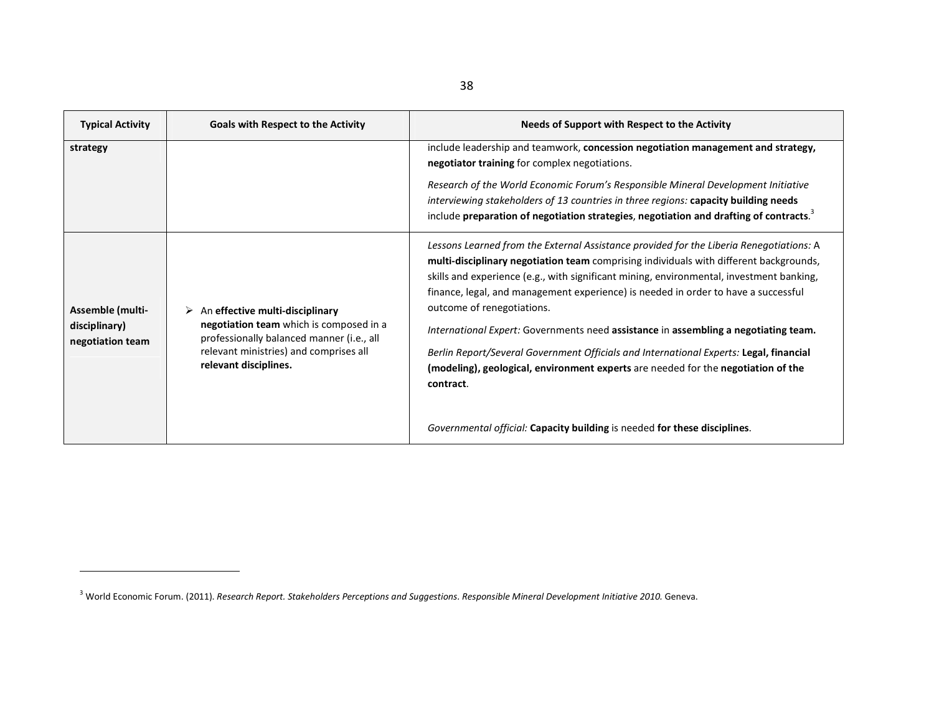| <b>Typical Activity</b>                                      | Goals with Respect to the Activity                                                                                                                                                                          | Needs of Support with Respect to the Activity                                                                                                                                                                                                                                                                                                                                                                                                                                                                                                                                                                                                                                                                                                                     |
|--------------------------------------------------------------|-------------------------------------------------------------------------------------------------------------------------------------------------------------------------------------------------------------|-------------------------------------------------------------------------------------------------------------------------------------------------------------------------------------------------------------------------------------------------------------------------------------------------------------------------------------------------------------------------------------------------------------------------------------------------------------------------------------------------------------------------------------------------------------------------------------------------------------------------------------------------------------------------------------------------------------------------------------------------------------------|
| strategy                                                     |                                                                                                                                                                                                             | include leadership and teamwork, concession negotiation management and strategy,<br>negotiator training for complex negotiations.<br>Research of the World Economic Forum's Responsible Mineral Development Initiative<br>interviewing stakeholders of 13 countries in three regions: capacity building needs<br>include preparation of negotiation strategies, negotiation and drafting of contracts. <sup>3</sup>                                                                                                                                                                                                                                                                                                                                               |
| <b>Assemble (multi-</b><br>disciplinary)<br>negotiation team | $\triangleright$ An effective multi-disciplinary<br>negotiation team which is composed in a<br>professionally balanced manner (i.e., all<br>relevant ministries) and comprises all<br>relevant disciplines. | Lessons Learned from the External Assistance provided for the Liberia Renegotiations: A<br>multi-disciplinary negotiation team comprising individuals with different backgrounds,<br>skills and experience (e.g., with significant mining, environmental, investment banking,<br>finance, legal, and management experience) is needed in order to have a successful<br>outcome of renegotiations.<br>International Expert: Governments need assistance in assembling a negotiating team.<br>Berlin Report/Several Government Officials and International Experts: Legal, financial<br>(modeling), geological, environment experts are needed for the negotiation of the<br>contract.<br>Governmental official: Capacity building is needed for these disciplines. |

<sup>&</sup>lt;sup>3</sup> World Economic Forum. (2011). Research Report. Stakeholders Perceptions and Suggestions. Responsible Mineral Development Initiative 2010. Geneva.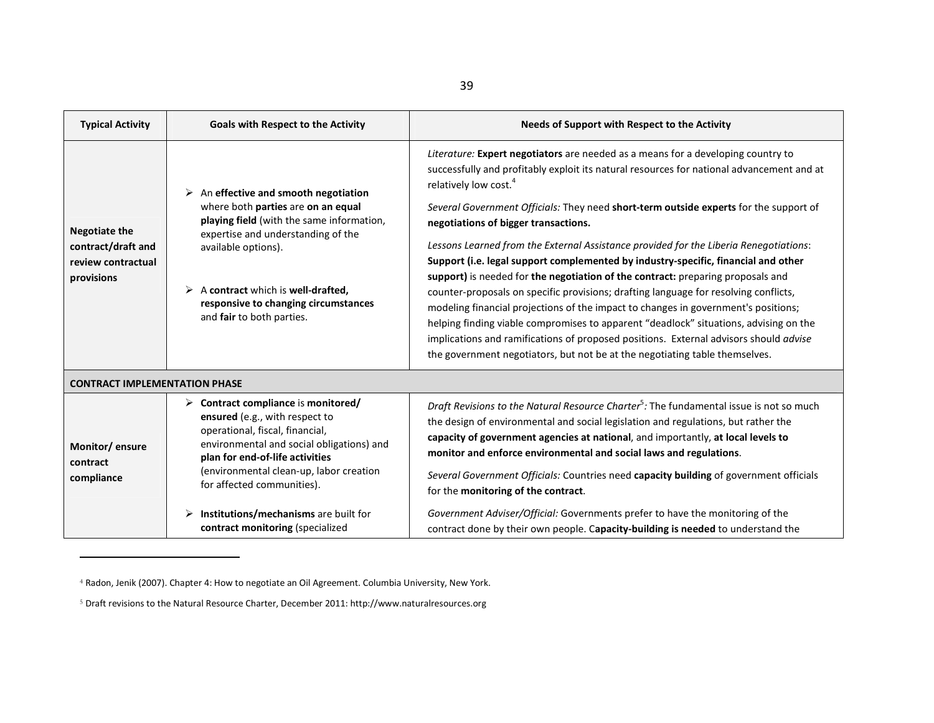| <b>Typical Activity</b>                                                        | <b>Goals with Respect to the Activity</b>                                                                                                                                                                                                                                                               | Needs of Support with Respect to the Activity                                                                                                                                                                                                                                                                                                                                                                                                                                                                                                                                                                                                                                                                                                                                                                                                                                                                                                                                                                                                                        |  |  |  |  |
|--------------------------------------------------------------------------------|---------------------------------------------------------------------------------------------------------------------------------------------------------------------------------------------------------------------------------------------------------------------------------------------------------|----------------------------------------------------------------------------------------------------------------------------------------------------------------------------------------------------------------------------------------------------------------------------------------------------------------------------------------------------------------------------------------------------------------------------------------------------------------------------------------------------------------------------------------------------------------------------------------------------------------------------------------------------------------------------------------------------------------------------------------------------------------------------------------------------------------------------------------------------------------------------------------------------------------------------------------------------------------------------------------------------------------------------------------------------------------------|--|--|--|--|
| <b>Negotiate the</b><br>contract/draft and<br>review contractual<br>provisions | An effective and smooth negotiation<br>➤<br>where both parties are on an equal<br>playing field (with the same information,<br>expertise and understanding of the<br>available options).<br>A contract which is well-drafted,<br>➤<br>responsive to changing circumstances<br>and fair to both parties. | Literature: Expert negotiators are needed as a means for a developing country to<br>successfully and profitably exploit its natural resources for national advancement and at<br>relatively low cost. <sup>4</sup><br>Several Government Officials: They need short-term outside experts for the support of<br>negotiations of bigger transactions.<br>Lessons Learned from the External Assistance provided for the Liberia Renegotiations:<br>Support (i.e. legal support complemented by industry-specific, financial and other<br>support) is needed for the negotiation of the contract: preparing proposals and<br>counter-proposals on specific provisions; drafting language for resolving conflicts,<br>modeling financial projections of the impact to changes in government's positions;<br>helping finding viable compromises to apparent "deadlock" situations, advising on the<br>implications and ramifications of proposed positions. External advisors should advise<br>the government negotiators, but not be at the negotiating table themselves. |  |  |  |  |
| <b>CONTRACT IMPLEMENTATION PHASE</b>                                           |                                                                                                                                                                                                                                                                                                         |                                                                                                                                                                                                                                                                                                                                                                                                                                                                                                                                                                                                                                                                                                                                                                                                                                                                                                                                                                                                                                                                      |  |  |  |  |
| Monitor/ ensure<br>contract<br>compliance                                      | $\triangleright$ Contract compliance is monitored/<br>ensured (e.g., with respect to<br>operational, fiscal, financial,<br>environmental and social obligations) and<br>plan for end-of-life activities<br>(environmental clean-up, labor creation<br>for affected communities).                        | Draft Revisions to the Natural Resource Charter <sup>5</sup> : The fundamental issue is not so much<br>the design of environmental and social legislation and regulations, but rather the<br>capacity of government agencies at national, and importantly, at local levels to<br>monitor and enforce environmental and social laws and regulations.<br>Several Government Officials: Countries need capacity building of government officials<br>for the monitoring of the contract.                                                                                                                                                                                                                                                                                                                                                                                                                                                                                                                                                                                 |  |  |  |  |
|                                                                                | Institutions/mechanisms are built for<br>⋗<br>contract monitoring (specialized                                                                                                                                                                                                                          | Government Adviser/Official: Governments prefer to have the monitoring of the<br>contract done by their own people. Capacity-building is needed to understand the                                                                                                                                                                                                                                                                                                                                                                                                                                                                                                                                                                                                                                                                                                                                                                                                                                                                                                    |  |  |  |  |

4 Radon, Jenik (2007). Chapter 4: How to negotiate an Oil Agreement. Columbia University, New York.

5 Draft revisions to the Natural Resource Charter, December 2011: http://www.naturalresources.org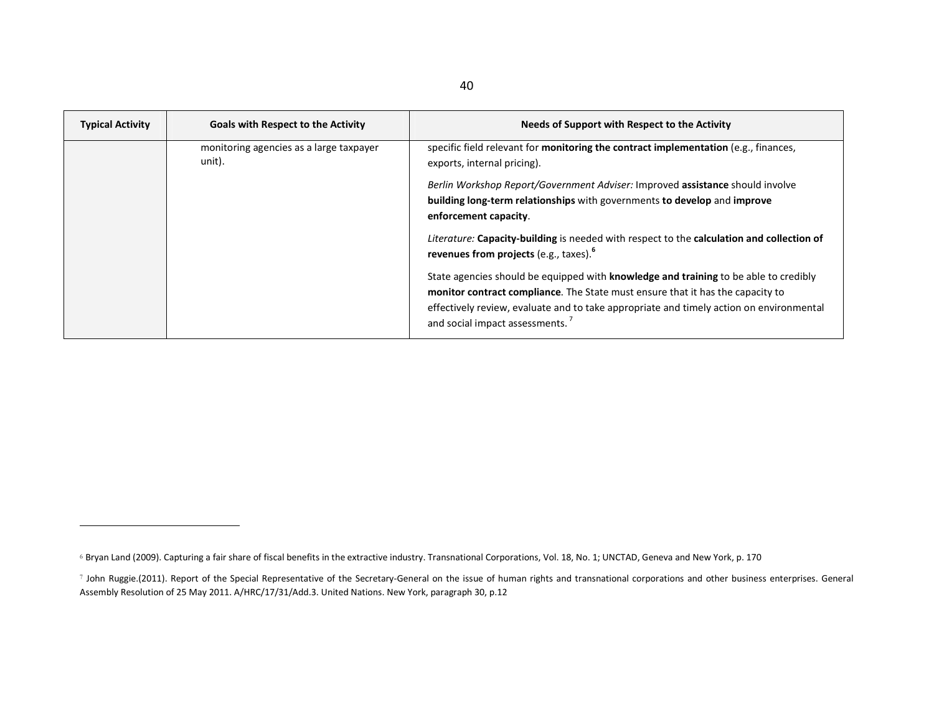| <b>Typical Activity</b> | <b>Goals with Respect to the Activity</b>         | Needs of Support with Respect to the Activity                                                                                                                                                                                                                                                                    |
|-------------------------|---------------------------------------------------|------------------------------------------------------------------------------------------------------------------------------------------------------------------------------------------------------------------------------------------------------------------------------------------------------------------|
|                         | monitoring agencies as a large taxpayer<br>unit). | specific field relevant for monitoring the contract implementation (e.g., finances,<br>exports, internal pricing).                                                                                                                                                                                               |
|                         |                                                   | Berlin Workshop Report/Government Adviser: Improved assistance should involve<br>building long-term relationships with governments to develop and improve<br>enforcement capacity.                                                                                                                               |
|                         |                                                   | Literature: Capacity-building is needed with respect to the calculation and collection of<br>revenues from projects (e.g., taxes). $6$                                                                                                                                                                           |
|                         |                                                   | State agencies should be equipped with knowledge and training to be able to credibly<br>monitor contract compliance. The State must ensure that it has the capacity to<br>effectively review, evaluate and to take appropriate and timely action on environmental<br>and social impact assessments. <sup>7</sup> |

 $^6$  Bryan Land (2009). Capturing a fair share of fiscal benefits in the extractive industry. Transnational Corporations, Vol. 18, No. 1; UNCTAD, Geneva and New York, p. 170  $\,$ 

<sup>7</sup> John Ruggie.(2011). Report of the Special Representative of the Secretary-General on the issue of human rights and transnational corporations and other business enterprises. General Assembly Resolution of 25 May 2011. A/HRC/17/31/Add.3. United Nations. New York, paragraph 30, p.12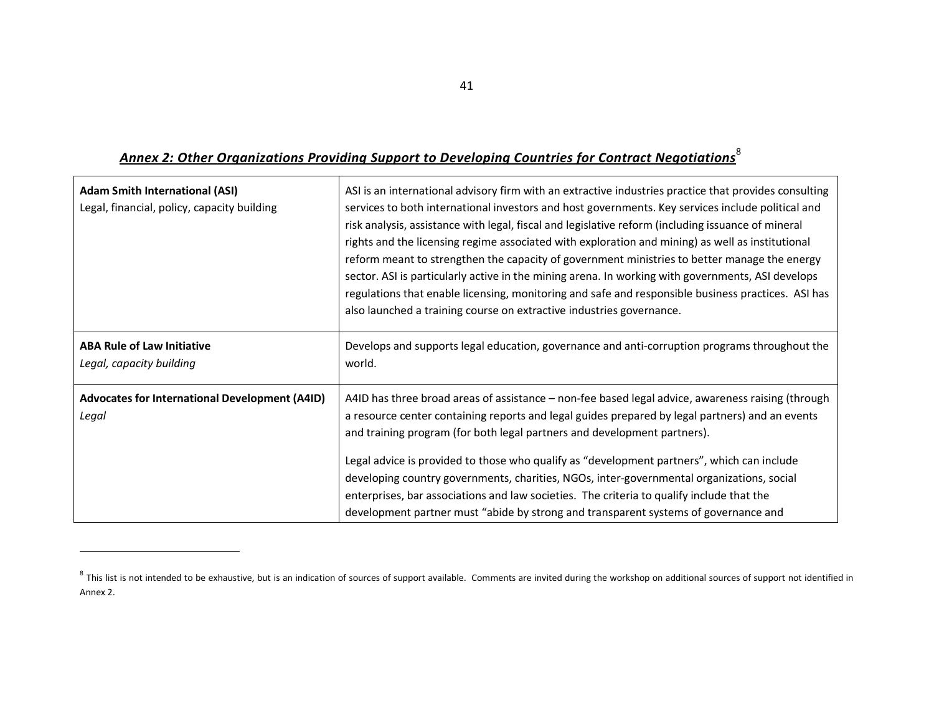|  |  |  |  |  | <u>Annex 2: Other Organizations Providing Support to Developing Countries for Contract Negotiations<math>^8</math></u> |
|--|--|--|--|--|------------------------------------------------------------------------------------------------------------------------|
|--|--|--|--|--|------------------------------------------------------------------------------------------------------------------------|

| <b>Adam Smith International (ASI)</b><br>Legal, financial, policy, capacity building | ASI is an international advisory firm with an extractive industries practice that provides consulting<br>services to both international investors and host governments. Key services include political and<br>risk analysis, assistance with legal, fiscal and legislative reform (including issuance of mineral<br>rights and the licensing regime associated with exploration and mining) as well as institutional<br>reform meant to strengthen the capacity of government ministries to better manage the energy<br>sector. ASI is particularly active in the mining arena. In working with governments, ASI develops<br>regulations that enable licensing, monitoring and safe and responsible business practices. ASI has<br>also launched a training course on extractive industries governance. |  |
|--------------------------------------------------------------------------------------|---------------------------------------------------------------------------------------------------------------------------------------------------------------------------------------------------------------------------------------------------------------------------------------------------------------------------------------------------------------------------------------------------------------------------------------------------------------------------------------------------------------------------------------------------------------------------------------------------------------------------------------------------------------------------------------------------------------------------------------------------------------------------------------------------------|--|
| <b>ABA Rule of Law Initiative</b><br>Legal, capacity building                        | Develops and supports legal education, governance and anti-corruption programs throughout the<br>world.                                                                                                                                                                                                                                                                                                                                                                                                                                                                                                                                                                                                                                                                                                 |  |
| <b>Advocates for International Development (A4ID)</b><br>Legal                       | A4ID has three broad areas of assistance - non-fee based legal advice, awareness raising (through<br>a resource center containing reports and legal guides prepared by legal partners) and an events<br>and training program (for both legal partners and development partners).<br>Legal advice is provided to those who qualify as "development partners", which can include<br>developing country governments, charities, NGOs, inter-governmental organizations, social<br>enterprises, bar associations and law societies. The criteria to qualify include that the<br>development partner must "abide by strong and transparent systems of governance and                                                                                                                                         |  |

 $^8$  This list is not intended to be exhaustive, but is an indication of sources of support available. Comments are invited during the workshop on additional sources of support not identified in Annex 2.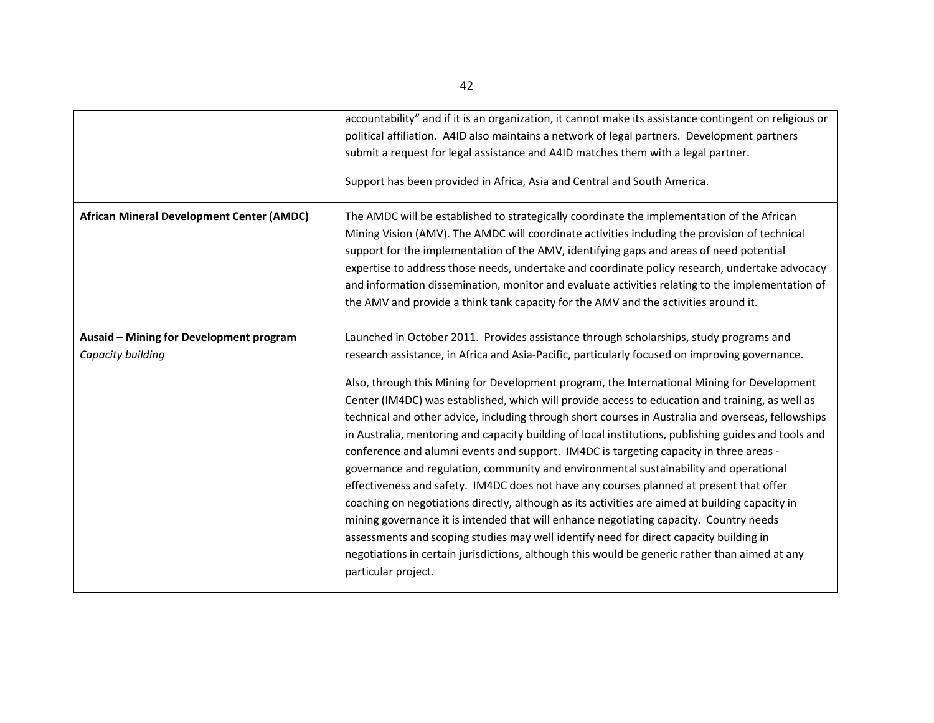|                                                              | accountability" and if it is an organization, it cannot make its assistance contingent on religious or<br>political affiliation. A4ID also maintains a network of legal partners. Development partners<br>submit a request for legal assistance and A4ID matches them with a legal partner.<br>Support has been provided in Africa, Asia and Central and South America.                                                                                                                                                                                                                                                                                                                                                                                                                                                                                                                                                                                                                                                                                                                                                                                                                                                                                                                                |
|--------------------------------------------------------------|--------------------------------------------------------------------------------------------------------------------------------------------------------------------------------------------------------------------------------------------------------------------------------------------------------------------------------------------------------------------------------------------------------------------------------------------------------------------------------------------------------------------------------------------------------------------------------------------------------------------------------------------------------------------------------------------------------------------------------------------------------------------------------------------------------------------------------------------------------------------------------------------------------------------------------------------------------------------------------------------------------------------------------------------------------------------------------------------------------------------------------------------------------------------------------------------------------------------------------------------------------------------------------------------------------|
| <b>African Mineral Development Center (AMDC)</b>             | The AMDC will be established to strategically coordinate the implementation of the African<br>Mining Vision (AMV). The AMDC will coordinate activities including the provision of technical<br>support for the implementation of the AMV, identifying gaps and areas of need potential<br>expertise to address those needs, undertake and coordinate policy research, undertake advocacy<br>and information dissemination, monitor and evaluate activities relating to the implementation of<br>the AMV and provide a think tank capacity for the AMV and the activities around it.                                                                                                                                                                                                                                                                                                                                                                                                                                                                                                                                                                                                                                                                                                                    |
| Ausaid - Mining for Development program<br>Capacity building | Launched in October 2011. Provides assistance through scholarships, study programs and<br>research assistance, in Africa and Asia-Pacific, particularly focused on improving governance.<br>Also, through this Mining for Development program, the International Mining for Development<br>Center (IM4DC) was established, which will provide access to education and training, as well as<br>technical and other advice, including through short courses in Australia and overseas, fellowships<br>in Australia, mentoring and capacity building of local institutions, publishing guides and tools and<br>conference and alumni events and support. IM4DC is targeting capacity in three areas -<br>governance and regulation, community and environmental sustainability and operational<br>effectiveness and safety. IM4DC does not have any courses planned at present that offer<br>coaching on negotiations directly, although as its activities are aimed at building capacity in<br>mining governance it is intended that will enhance negotiating capacity. Country needs<br>assessments and scoping studies may well identify need for direct capacity building in<br>negotiations in certain jurisdictions, although this would be generic rather than aimed at any<br>particular project. |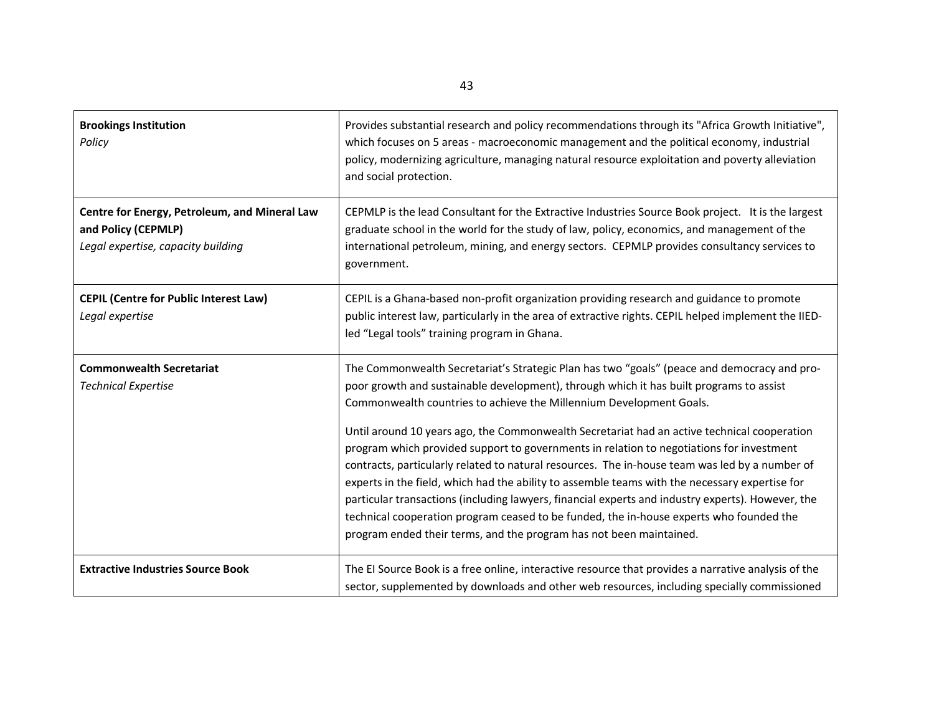| <b>Brookings Institution</b><br>Policy                                                                     | Provides substantial research and policy recommendations through its "Africa Growth Initiative",<br>which focuses on 5 areas - macroeconomic management and the political economy, industrial<br>policy, modernizing agriculture, managing natural resource exploitation and poverty alleviation<br>and social protection.                                                                                                                                                                                                                                                                                                                                                                                                                                                                                                                                                                                                          |  |
|------------------------------------------------------------------------------------------------------------|-------------------------------------------------------------------------------------------------------------------------------------------------------------------------------------------------------------------------------------------------------------------------------------------------------------------------------------------------------------------------------------------------------------------------------------------------------------------------------------------------------------------------------------------------------------------------------------------------------------------------------------------------------------------------------------------------------------------------------------------------------------------------------------------------------------------------------------------------------------------------------------------------------------------------------------|--|
| Centre for Energy, Petroleum, and Mineral Law<br>and Policy (CEPMLP)<br>Legal expertise, capacity building | CEPMLP is the lead Consultant for the Extractive Industries Source Book project. It is the largest<br>graduate school in the world for the study of law, policy, economics, and management of the<br>international petroleum, mining, and energy sectors. CEPMLP provides consultancy services to<br>government.                                                                                                                                                                                                                                                                                                                                                                                                                                                                                                                                                                                                                    |  |
| <b>CEPIL (Centre for Public Interest Law)</b><br>Legal expertise                                           | CEPIL is a Ghana-based non-profit organization providing research and guidance to promote<br>public interest law, particularly in the area of extractive rights. CEPIL helped implement the IIED-<br>led "Legal tools" training program in Ghana.                                                                                                                                                                                                                                                                                                                                                                                                                                                                                                                                                                                                                                                                                   |  |
| <b>Commonwealth Secretariat</b><br><b>Technical Expertise</b>                                              | The Commonwealth Secretariat's Strategic Plan has two "goals" (peace and democracy and pro-<br>poor growth and sustainable development), through which it has built programs to assist<br>Commonwealth countries to achieve the Millennium Development Goals.<br>Until around 10 years ago, the Commonwealth Secretariat had an active technical cooperation<br>program which provided support to governments in relation to negotiations for investment<br>contracts, particularly related to natural resources. The in-house team was led by a number of<br>experts in the field, which had the ability to assemble teams with the necessary expertise for<br>particular transactions (including lawyers, financial experts and industry experts). However, the<br>technical cooperation program ceased to be funded, the in-house experts who founded the<br>program ended their terms, and the program has not been maintained. |  |
| <b>Extractive Industries Source Book</b>                                                                   | The EI Source Book is a free online, interactive resource that provides a narrative analysis of the<br>sector, supplemented by downloads and other web resources, including specially commissioned                                                                                                                                                                                                                                                                                                                                                                                                                                                                                                                                                                                                                                                                                                                                  |  |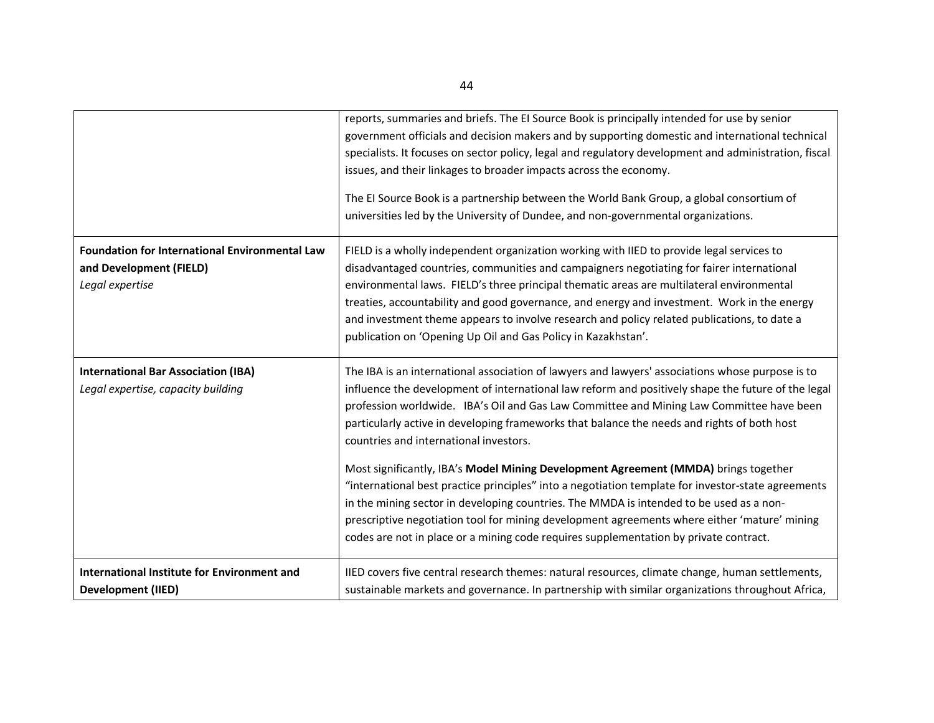|                                                                                                     | reports, summaries and briefs. The EI Source Book is principally intended for use by senior<br>government officials and decision makers and by supporting domestic and international technical<br>specialists. It focuses on sector policy, legal and regulatory development and administration, fiscal<br>issues, and their linkages to broader impacts across the economy.<br>The EI Source Book is a partnership between the World Bank Group, a global consortium of<br>universities led by the University of Dundee, and non-governmental organizations.                                                                            |
|-----------------------------------------------------------------------------------------------------|------------------------------------------------------------------------------------------------------------------------------------------------------------------------------------------------------------------------------------------------------------------------------------------------------------------------------------------------------------------------------------------------------------------------------------------------------------------------------------------------------------------------------------------------------------------------------------------------------------------------------------------|
| <b>Foundation for International Environmental Law</b><br>and Development (FIELD)<br>Legal expertise | FIELD is a wholly independent organization working with IIED to provide legal services to<br>disadvantaged countries, communities and campaigners negotiating for fairer international<br>environmental laws. FIELD's three principal thematic areas are multilateral environmental<br>treaties, accountability and good governance, and energy and investment. Work in the energy<br>and investment theme appears to involve research and policy related publications, to date a<br>publication on 'Opening Up Oil and Gas Policy in Kazakhstan'.                                                                                       |
| <b>International Bar Association (IBA)</b><br>Legal expertise, capacity building                    | The IBA is an international association of lawyers and lawyers' associations whose purpose is to<br>influence the development of international law reform and positively shape the future of the legal<br>profession worldwide. IBA's Oil and Gas Law Committee and Mining Law Committee have been<br>particularly active in developing frameworks that balance the needs and rights of both host<br>countries and international investors.<br>Most significantly, IBA's Model Mining Development Agreement (MMDA) brings together<br>"international best practice principles" into a negotiation template for investor-state agreements |
|                                                                                                     | in the mining sector in developing countries. The MMDA is intended to be used as a non-<br>prescriptive negotiation tool for mining development agreements where either 'mature' mining<br>codes are not in place or a mining code requires supplementation by private contract.                                                                                                                                                                                                                                                                                                                                                         |
| International Institute for Environment and<br><b>Development (IIED)</b>                            | IIED covers five central research themes: natural resources, climate change, human settlements,<br>sustainable markets and governance. In partnership with similar organizations throughout Africa,                                                                                                                                                                                                                                                                                                                                                                                                                                      |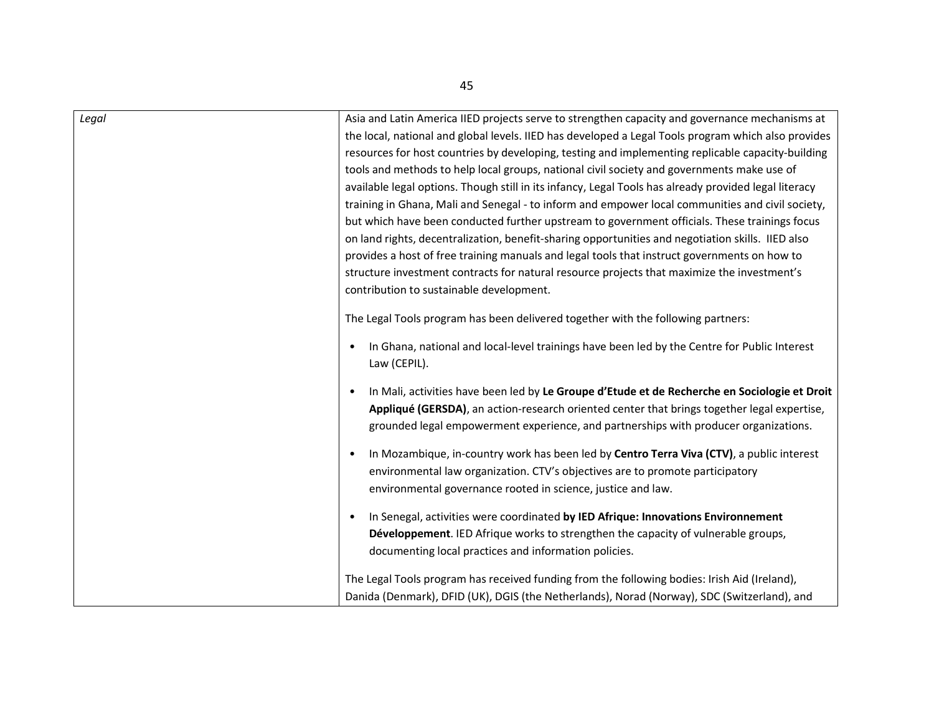egal and Latin America IIED projects serve to strengthen capacity and governance mechanisms at the local, national and global levels. IIED has developed a Legal Tools program which also provides resources for host countries by developing, testing and implementing replicable capacity-building tools and methods to help local groups, national civil society and governments make use of available legal options. Though still in its infancy, Legal Tools has already provided legal literacy training in Ghana, Mali and Senegal - to inform and empower local communities and civil society, but which have been conducted further upstream to government officials. These trainings focus on land rights, decentralization, benefit-sharing opportunities and negotiation skills. IIED also provides a host of free training manuals and legal tools that instruct governments on how to structure investment contracts for natural resource projects that maximize the investment's contribution to sustainable development.

The Legal Tools program has been delivered together with the following partners:

- In Ghana, national and local-level trainings have been led by the Centre for Public Interest Law (CEPIL).
- •In Mali, activities have been led by Le Groupe d'Etude et de Recherche en Sociologie et Droit Appliqué (GERSDA), an action-research oriented center that brings together legal expertise, grounded legal empowerment experience, and partnerships with producer organizations.
- In Mozambique, in-country work has been led by **Centro Terra Viva (CTV)**, a public interest environmental law organization. CTV's objectives are to promote participatory environmental governance rooted in science, justice and law.
- •In Senegal, activities were coordinated by IED Afrique: Innovations Environnement Développement. IED Afrique works to strengthen the capacity of vulnerable groups, documenting local practices and information policies.

The Legal Tools program has received funding from the following bodies: Irish Aid (Ireland), Danida (Denmark), DFID (UK), DGIS (the Netherlands), Norad (Norway), SDC (Switzerland), and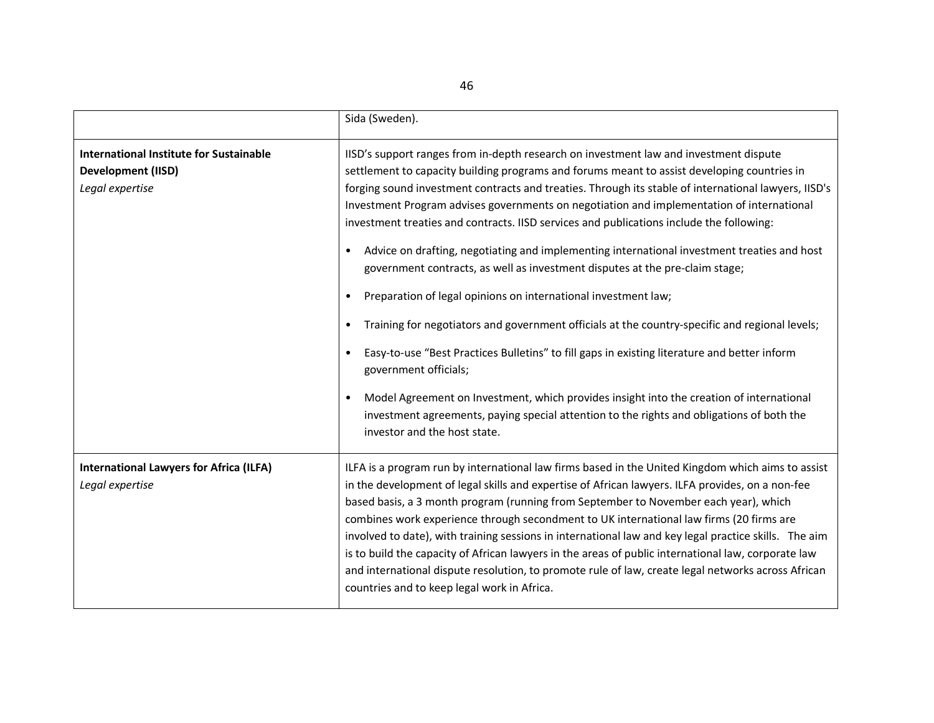|                                                                                         | Sida (Sweden).                                                                                                                                                                                                                                                                                                                                                                                                                                                                                                                                                                                                                                                                                                                                                                                                                                                                                                                                                                                                                                                                                                                                                                                               |
|-----------------------------------------------------------------------------------------|--------------------------------------------------------------------------------------------------------------------------------------------------------------------------------------------------------------------------------------------------------------------------------------------------------------------------------------------------------------------------------------------------------------------------------------------------------------------------------------------------------------------------------------------------------------------------------------------------------------------------------------------------------------------------------------------------------------------------------------------------------------------------------------------------------------------------------------------------------------------------------------------------------------------------------------------------------------------------------------------------------------------------------------------------------------------------------------------------------------------------------------------------------------------------------------------------------------|
| <b>International Institute for Sustainable</b><br>Development (IISD)<br>Legal expertise | IISD's support ranges from in-depth research on investment law and investment dispute<br>settlement to capacity building programs and forums meant to assist developing countries in<br>forging sound investment contracts and treaties. Through its stable of international lawyers, IISD's<br>Investment Program advises governments on negotiation and implementation of international<br>investment treaties and contracts. IISD services and publications include the following:<br>Advice on drafting, negotiating and implementing international investment treaties and host<br>government contracts, as well as investment disputes at the pre-claim stage;<br>Preparation of legal opinions on international investment law;<br>$\bullet$<br>Training for negotiators and government officials at the country-specific and regional levels;<br>٠<br>Easy-to-use "Best Practices Bulletins" to fill gaps in existing literature and better inform<br>government officials;<br>Model Agreement on Investment, which provides insight into the creation of international<br>investment agreements, paying special attention to the rights and obligations of both the<br>investor and the host state. |
| <b>International Lawyers for Africa (ILFA)</b><br>Legal expertise                       | ILFA is a program run by international law firms based in the United Kingdom which aims to assist<br>in the development of legal skills and expertise of African lawyers. ILFA provides, on a non-fee<br>based basis, a 3 month program (running from September to November each year), which<br>combines work experience through secondment to UK international law firms (20 firms are<br>involved to date), with training sessions in international law and key legal practice skills. The aim<br>is to build the capacity of African lawyers in the areas of public international law, corporate law<br>and international dispute resolution, to promote rule of law, create legal networks across African<br>countries and to keep legal work in Africa.                                                                                                                                                                                                                                                                                                                                                                                                                                                |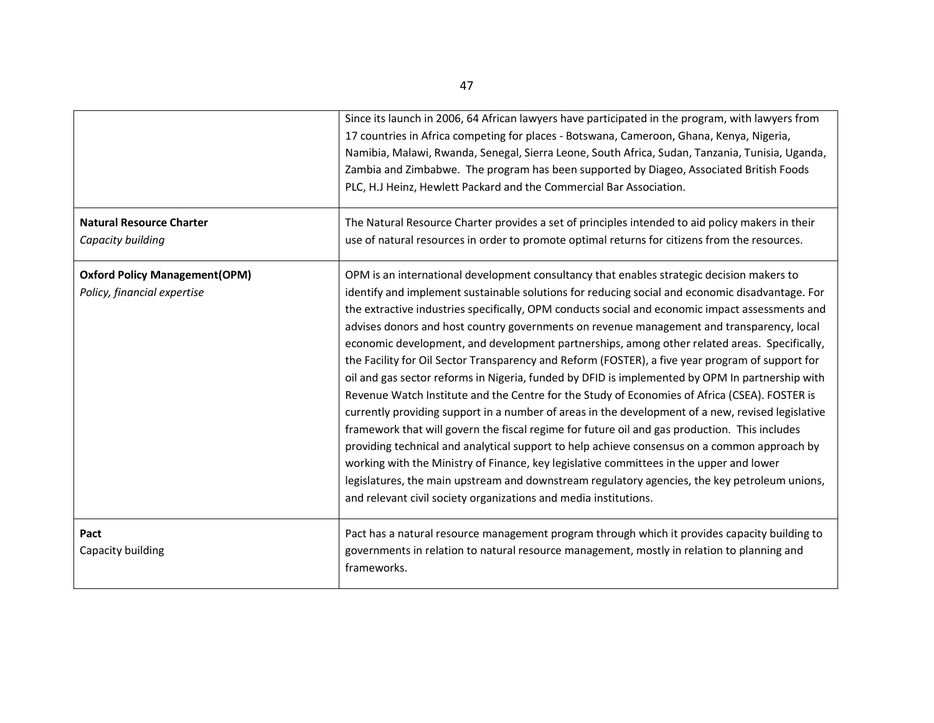|                                                                      | Since its launch in 2006, 64 African lawyers have participated in the program, with lawyers from<br>17 countries in Africa competing for places - Botswana, Cameroon, Ghana, Kenya, Nigeria,<br>Namibia, Malawi, Rwanda, Senegal, Sierra Leone, South Africa, Sudan, Tanzania, Tunisia, Uganda,<br>Zambia and Zimbabwe. The program has been supported by Diageo, Associated British Foods<br>PLC, H.J Heinz, Hewlett Packard and the Commercial Bar Association.                                                                                                                                                                                                                                                                                                                                                                                                                                                                                                                                                                                                                                                                                                                                                                                                                                                                                                          |
|----------------------------------------------------------------------|----------------------------------------------------------------------------------------------------------------------------------------------------------------------------------------------------------------------------------------------------------------------------------------------------------------------------------------------------------------------------------------------------------------------------------------------------------------------------------------------------------------------------------------------------------------------------------------------------------------------------------------------------------------------------------------------------------------------------------------------------------------------------------------------------------------------------------------------------------------------------------------------------------------------------------------------------------------------------------------------------------------------------------------------------------------------------------------------------------------------------------------------------------------------------------------------------------------------------------------------------------------------------------------------------------------------------------------------------------------------------|
| <b>Natural Resource Charter</b><br>Capacity building                 | The Natural Resource Charter provides a set of principles intended to aid policy makers in their<br>use of natural resources in order to promote optimal returns for citizens from the resources.                                                                                                                                                                                                                                                                                                                                                                                                                                                                                                                                                                                                                                                                                                                                                                                                                                                                                                                                                                                                                                                                                                                                                                          |
| <b>Oxford Policy Management (OPM)</b><br>Policy, financial expertise | OPM is an international development consultancy that enables strategic decision makers to<br>identify and implement sustainable solutions for reducing social and economic disadvantage. For<br>the extractive industries specifically, OPM conducts social and economic impact assessments and<br>advises donors and host country governments on revenue management and transparency, local<br>economic development, and development partnerships, among other related areas. Specifically,<br>the Facility for Oil Sector Transparency and Reform (FOSTER), a five year program of support for<br>oil and gas sector reforms in Nigeria, funded by DFID is implemented by OPM In partnership with<br>Revenue Watch Institute and the Centre for the Study of Economies of Africa (CSEA). FOSTER is<br>currently providing support in a number of areas in the development of a new, revised legislative<br>framework that will govern the fiscal regime for future oil and gas production. This includes<br>providing technical and analytical support to help achieve consensus on a common approach by<br>working with the Ministry of Finance, key legislative committees in the upper and lower<br>legislatures, the main upstream and downstream regulatory agencies, the key petroleum unions,<br>and relevant civil society organizations and media institutions. |
| Pact<br>Capacity building                                            | Pact has a natural resource management program through which it provides capacity building to<br>governments in relation to natural resource management, mostly in relation to planning and<br>frameworks.                                                                                                                                                                                                                                                                                                                                                                                                                                                                                                                                                                                                                                                                                                                                                                                                                                                                                                                                                                                                                                                                                                                                                                 |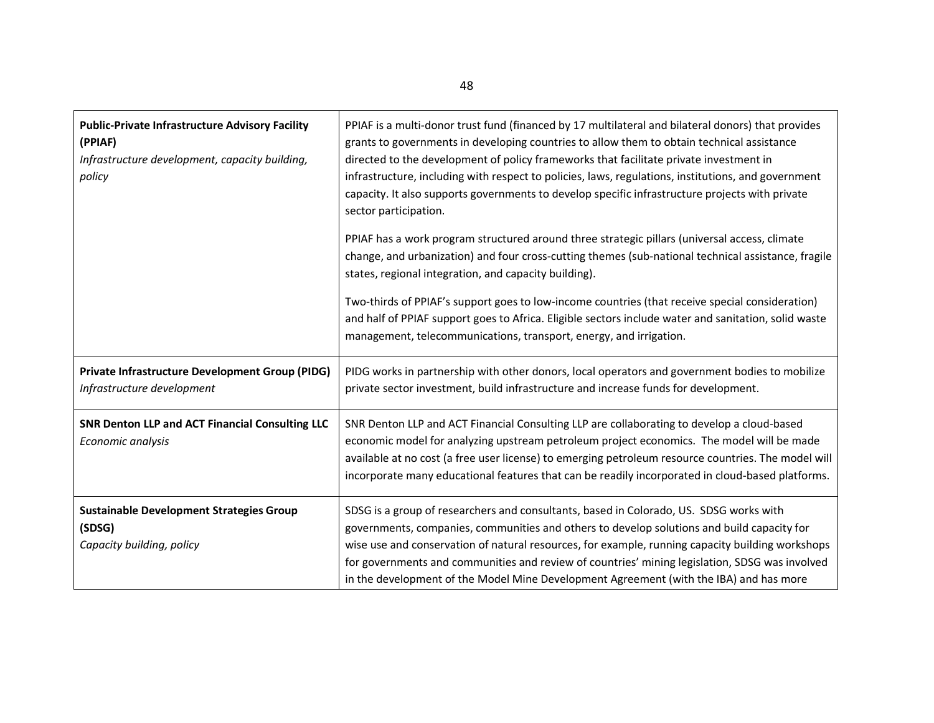| <b>Public-Private Infrastructure Advisory Facility</b><br>(PPIAF)<br>Infrastructure development, capacity building,<br>policy | PPIAF is a multi-donor trust fund (financed by 17 multilateral and bilateral donors) that provides<br>grants to governments in developing countries to allow them to obtain technical assistance<br>directed to the development of policy frameworks that facilitate private investment in<br>infrastructure, including with respect to policies, laws, regulations, institutions, and government<br>capacity. It also supports governments to develop specific infrastructure projects with private<br>sector participation.<br>PPIAF has a work program structured around three strategic pillars (universal access, climate<br>change, and urbanization) and four cross-cutting themes (sub-national technical assistance, fragile<br>states, regional integration, and capacity building).<br>Two-thirds of PPIAF's support goes to low-income countries (that receive special consideration)<br>and half of PPIAF support goes to Africa. Eligible sectors include water and sanitation, solid waste<br>management, telecommunications, transport, energy, and irrigation. |
|-------------------------------------------------------------------------------------------------------------------------------|---------------------------------------------------------------------------------------------------------------------------------------------------------------------------------------------------------------------------------------------------------------------------------------------------------------------------------------------------------------------------------------------------------------------------------------------------------------------------------------------------------------------------------------------------------------------------------------------------------------------------------------------------------------------------------------------------------------------------------------------------------------------------------------------------------------------------------------------------------------------------------------------------------------------------------------------------------------------------------------------------------------------------------------------------------------------------------|
| <b>Private Infrastructure Development Group (PIDG)</b><br>Infrastructure development                                          | PIDG works in partnership with other donors, local operators and government bodies to mobilize<br>private sector investment, build infrastructure and increase funds for development.                                                                                                                                                                                                                                                                                                                                                                                                                                                                                                                                                                                                                                                                                                                                                                                                                                                                                           |
| SNR Denton LLP and ACT Financial Consulting LLC<br>Economic analysis                                                          | SNR Denton LLP and ACT Financial Consulting LLP are collaborating to develop a cloud-based<br>economic model for analyzing upstream petroleum project economics. The model will be made<br>available at no cost (a free user license) to emerging petroleum resource countries. The model will<br>incorporate many educational features that can be readily incorporated in cloud-based platforms.                                                                                                                                                                                                                                                                                                                                                                                                                                                                                                                                                                                                                                                                              |
| <b>Sustainable Development Strategies Group</b><br>(SDSG)<br>Capacity building, policy                                        | SDSG is a group of researchers and consultants, based in Colorado, US. SDSG works with<br>governments, companies, communities and others to develop solutions and build capacity for<br>wise use and conservation of natural resources, for example, running capacity building workshops<br>for governments and communities and review of countries' mining legislation, SDSG was involved<br>in the development of the Model Mine Development Agreement (with the IBA) and has more                                                                                                                                                                                                                                                                                                                                                                                                                                                                                                                                                                                            |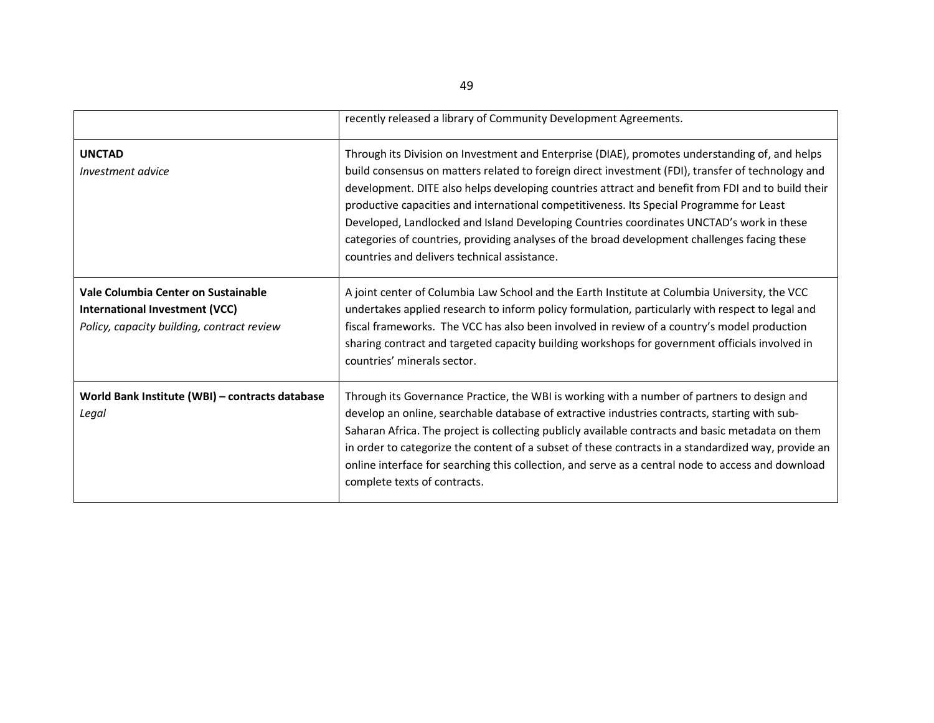|                                                                                                                     | recently released a library of Community Development Agreements.                                                                                                                                                                                                                                                                                                                                                                                                                                                                                                                                                                                 |
|---------------------------------------------------------------------------------------------------------------------|--------------------------------------------------------------------------------------------------------------------------------------------------------------------------------------------------------------------------------------------------------------------------------------------------------------------------------------------------------------------------------------------------------------------------------------------------------------------------------------------------------------------------------------------------------------------------------------------------------------------------------------------------|
| <b>UNCTAD</b><br>Investment advice                                                                                  | Through its Division on Investment and Enterprise (DIAE), promotes understanding of, and helps<br>build consensus on matters related to foreign direct investment (FDI), transfer of technology and<br>development. DITE also helps developing countries attract and benefit from FDI and to build their<br>productive capacities and international competitiveness. Its Special Programme for Least<br>Developed, Landlocked and Island Developing Countries coordinates UNCTAD's work in these<br>categories of countries, providing analyses of the broad development challenges facing these<br>countries and delivers technical assistance. |
| Vale Columbia Center on Sustainable<br>International Investment (VCC)<br>Policy, capacity building, contract review | A joint center of Columbia Law School and the Earth Institute at Columbia University, the VCC<br>undertakes applied research to inform policy formulation, particularly with respect to legal and<br>fiscal frameworks. The VCC has also been involved in review of a country's model production<br>sharing contract and targeted capacity building workshops for government officials involved in<br>countries' minerals sector.                                                                                                                                                                                                                |
| World Bank Institute (WBI) - contracts database<br>Legal                                                            | Through its Governance Practice, the WBI is working with a number of partners to design and<br>develop an online, searchable database of extractive industries contracts, starting with sub-<br>Saharan Africa. The project is collecting publicly available contracts and basic metadata on them<br>in order to categorize the content of a subset of these contracts in a standardized way, provide an<br>online interface for searching this collection, and serve as a central node to access and download<br>complete texts of contracts.                                                                                                   |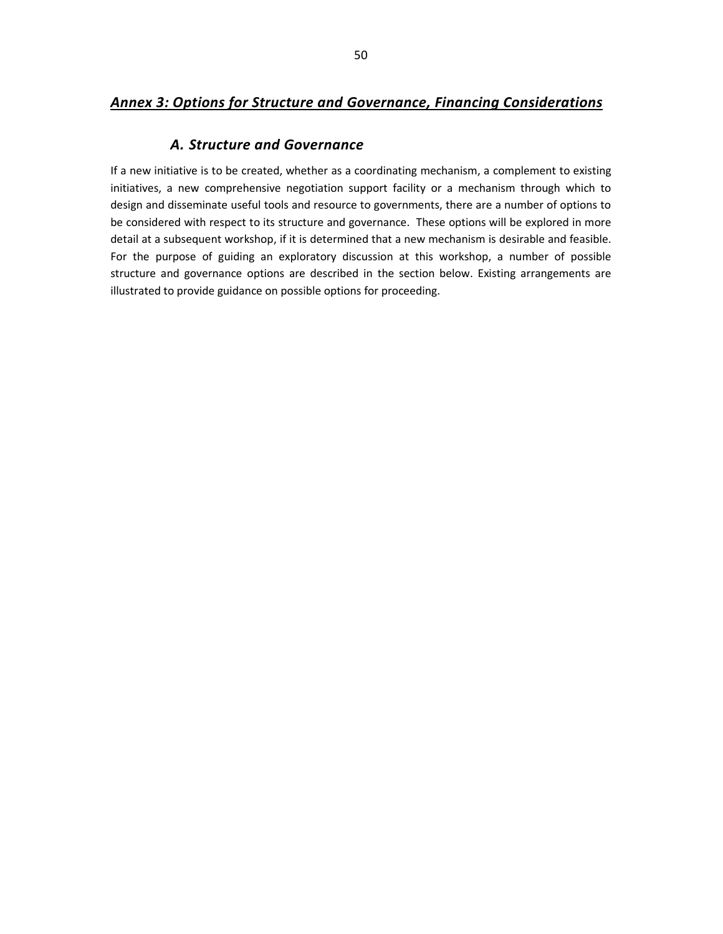## A. Structure and Governance

If a new initiative is to be created, whether as a coordinating mechanism, a complement to existing initiatives, a new comprehensive negotiation support facility or a mechanism through which to design and disseminate useful tools and resource to governments, there are a number of options to be considered with respect to its structure and governance. These options will be explored in more detail at a subsequent workshop, if it is determined that a new mechanism is desirable and feasible. For the purpose of guiding an exploratory discussion at this workshop, a number of possible structure and governance options are described in the section below. Existing arrangements are illustrated to provide guidance on possible options for proceeding.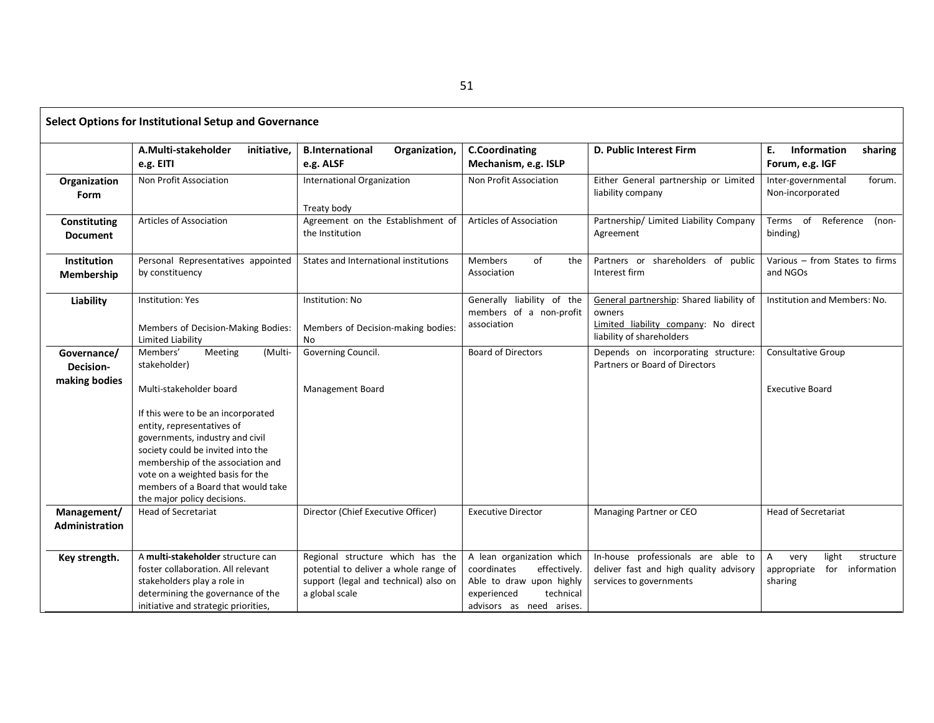|                                  | <b>Select Options for Institutional Setup and Governance</b>                                                                                                                                                                                                                                                      |                                                                                                                                      |                                                                                                                                              |                                                                                                                         |                                                                                         |
|----------------------------------|-------------------------------------------------------------------------------------------------------------------------------------------------------------------------------------------------------------------------------------------------------------------------------------------------------------------|--------------------------------------------------------------------------------------------------------------------------------------|----------------------------------------------------------------------------------------------------------------------------------------------|-------------------------------------------------------------------------------------------------------------------------|-----------------------------------------------------------------------------------------|
|                                  | A.Multi-stakeholder<br>initiative,<br>e.g. EITI                                                                                                                                                                                                                                                                   | <b>B.International</b><br>Organization,<br>e.g. ALSF                                                                                 | <b>C.Coordinating</b><br>Mechanism, e.g. ISLP                                                                                                | <b>D. Public Interest Firm</b>                                                                                          | Information<br>Е.<br>sharing<br>Forum, e.g. IGF                                         |
| Organization<br>Form             | Non Profit Association                                                                                                                                                                                                                                                                                            | <b>International Organization</b><br>Treaty body                                                                                     | Non Profit Association                                                                                                                       | Either General partnership or Limited<br>liability company                                                              | Inter-governmental<br>forum.<br>Non-incorporated                                        |
| Constituting<br><b>Document</b>  | Articles of Association                                                                                                                                                                                                                                                                                           | Agreement on the Establishment of<br>the Institution                                                                                 | Articles of Association                                                                                                                      | Partnership/ Limited Liability Company<br>Agreement                                                                     | of<br>Terms<br>Reference<br>(non-<br>binding)                                           |
| <b>Institution</b><br>Membership | Personal Representatives appointed<br>by constituency                                                                                                                                                                                                                                                             | States and International institutions                                                                                                | Members<br>of<br>the<br>Association                                                                                                          | Partners or shareholders of public<br>Interest firm                                                                     | Various - from States to firms<br>and NGOs                                              |
| Liability                        | <b>Institution: Yes</b><br>Members of Decision-Making Bodies:<br>Limited Liability                                                                                                                                                                                                                                | Institution: No<br>Members of Decision-making bodies:<br>No                                                                          | Generally liability of the<br>members of a non-profit<br>association                                                                         | General partnership: Shared liability of<br>owners<br>Limited liability company: No direct<br>liability of shareholders | Institution and Members: No.                                                            |
| Governance/<br>Decision-         | Members'<br>Meeting<br>(Multi-<br>stakeholder)                                                                                                                                                                                                                                                                    | Governing Council.                                                                                                                   | <b>Board of Directors</b>                                                                                                                    | Depends on incorporating structure:<br>Partners or Board of Directors                                                   | Consultative Group                                                                      |
| making bodies                    | Multi-stakeholder board<br>If this were to be an incorporated<br>entity, representatives of<br>governments, industry and civil<br>society could be invited into the<br>membership of the association and<br>vote on a weighted basis for the<br>members of a Board that would take<br>the major policy decisions. | Management Board                                                                                                                     |                                                                                                                                              |                                                                                                                         | <b>Executive Board</b>                                                                  |
| Management/<br>Administration    | <b>Head of Secretariat</b>                                                                                                                                                                                                                                                                                        | Director (Chief Executive Officer)                                                                                                   | <b>Executive Director</b>                                                                                                                    | Managing Partner or CEO                                                                                                 | <b>Head of Secretariat</b>                                                              |
| Key strength.                    | A multi-stakeholder structure can<br>foster collaboration. All relevant<br>stakeholders play a role in<br>determining the governance of the<br>initiative and strategic priorities,                                                                                                                               | Regional structure which has the<br>potential to deliver a whole range of<br>support (legal and technical) also on<br>a global scale | A lean organization which<br>coordinates<br>effectively.<br>Able to draw upon highly<br>technical<br>experienced<br>advisors as need arises. | In-house professionals are able to<br>deliver fast and high quality advisory<br>services to governments                 | light<br>$\mathsf{A}$<br>structure<br>very<br>appropriate<br>for information<br>sharing |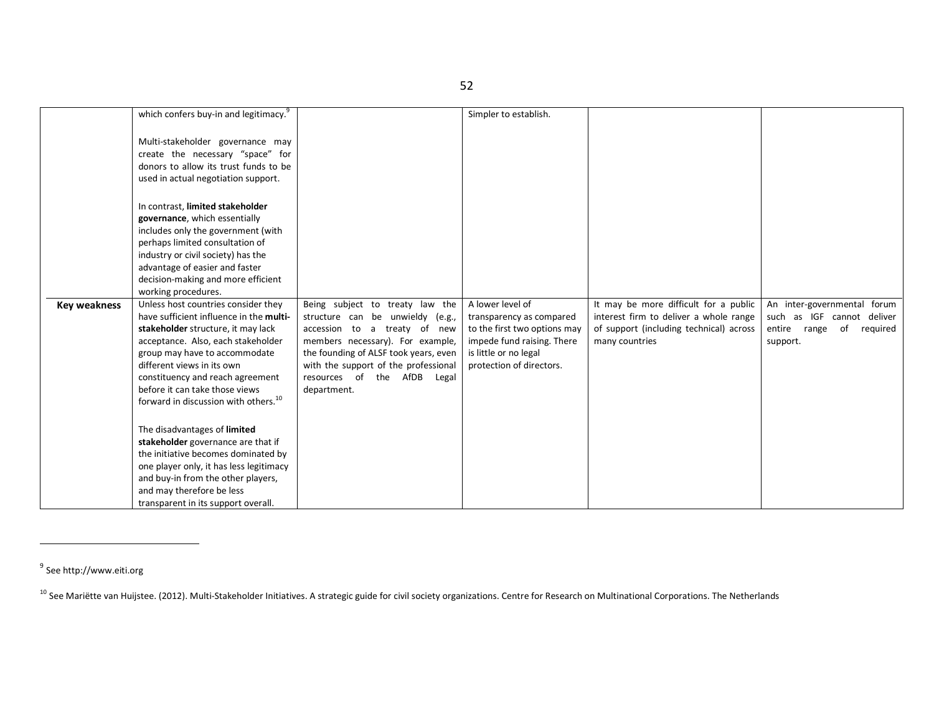|                     | which confers buy-in and legitimacy.                                                                                                                                                                                                                                                                         |                                                                                                                                                                                                                                     | Simpler to establish.                                                                                                                       |                                                                                                     |                                                                                                      |
|---------------------|--------------------------------------------------------------------------------------------------------------------------------------------------------------------------------------------------------------------------------------------------------------------------------------------------------------|-------------------------------------------------------------------------------------------------------------------------------------------------------------------------------------------------------------------------------------|---------------------------------------------------------------------------------------------------------------------------------------------|-----------------------------------------------------------------------------------------------------|------------------------------------------------------------------------------------------------------|
|                     | Multi-stakeholder governance may<br>create the necessary "space" for<br>donors to allow its trust funds to be<br>used in actual negotiation support.                                                                                                                                                         |                                                                                                                                                                                                                                     |                                                                                                                                             |                                                                                                     |                                                                                                      |
|                     | In contrast, limited stakeholder<br>governance, which essentially<br>includes only the government (with<br>perhaps limited consultation of<br>industry or civil society) has the<br>advantage of easier and faster<br>decision-making and more efficient<br>working procedures.                              |                                                                                                                                                                                                                                     |                                                                                                                                             |                                                                                                     |                                                                                                      |
|                     | Unless host countries consider they                                                                                                                                                                                                                                                                          | Being subject to treaty law the                                                                                                                                                                                                     | A lower level of                                                                                                                            | It may be more difficult for a public                                                               |                                                                                                      |
| <b>Key weakness</b> | have sufficient influence in the multi-<br>stakeholder structure, it may lack<br>acceptance. Also, each stakeholder<br>group may have to accommodate<br>different views in its own<br>constituency and reach agreement<br>before it can take those views<br>forward in discussion with others. <sup>10</sup> | structure can be unwieldy (e.g.,<br>accession to a treaty of new<br>members necessary). For example,<br>the founding of ALSF took years, even<br>with the support of the professional<br>resources of the AfDB Legal<br>department. | transparency as compared<br>to the first two options may<br>impede fund raising. There<br>is little or no legal<br>protection of directors. | interest firm to deliver a whole range<br>of support (including technical) across<br>many countries | An inter-governmental forum<br>such as IGF cannot deliver<br>entire range<br>of required<br>support. |
|                     | The disadvantages of limited<br>stakeholder governance are that if<br>the initiative becomes dominated by<br>one player only, it has less legitimacy<br>and buy-in from the other players,<br>and may therefore be less<br>transparent in its support overall.                                               |                                                                                                                                                                                                                                     |                                                                                                                                             |                                                                                                     |                                                                                                      |

<sup>9</sup> See http://www.eiti.org

 $10$  See Mariëtte van Huijstee. (2012). Multi-Stakeholder Initiatives. A strategic guide for civil society organizations. Centre for Research on Multinational Corporations. The Netherlands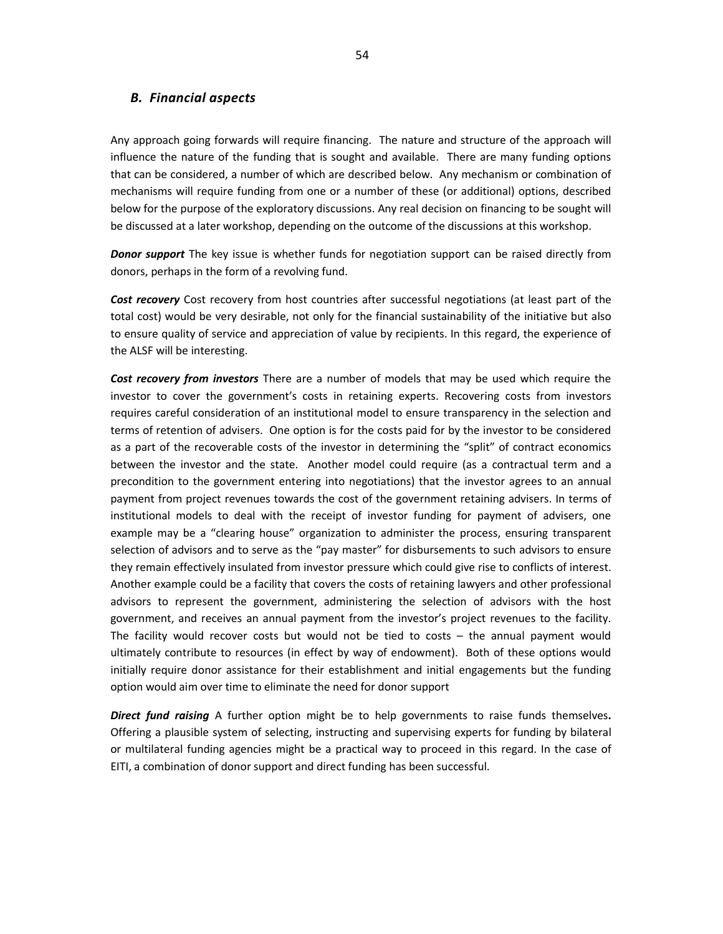#### B. Financial aspects

Any approach going forwards will require financing. The nature and structure of the approach will influence the nature of the funding that is sought and available. There are many funding options that can be considered, a number of which are described below. Any mechanism or combination of mechanisms will require funding from one or a number of these (or additional) options, described below for the purpose of the exploratory discussions. Any real decision on financing to be sought will be discussed at a later workshop, depending on the outcome of the discussions at this workshop.

**Donor support** The key issue is whether funds for negotiation support can be raised directly from donors, perhaps in the form of a revolving fund.

Cost recovery Cost recovery from host countries after successful negotiations (at least part of the total cost) would be very desirable, not only for the financial sustainability of the initiative but also to ensure quality of service and appreciation of value by recipients. In this regard, the experience of the ALSF will be interesting.

Cost recovery from investors There are a number of models that may be used which require the investor to cover the government's costs in retaining experts. Recovering costs from investors requires careful consideration of an institutional model to ensure transparency in the selection and terms of retention of advisers. One option is for the costs paid for by the investor to be considered as a part of the recoverable costs of the investor in determining the "split" of contract economics between the investor and the state. Another model could require (as a contractual term and a precondition to the government entering into negotiations) that the investor agrees to an annual payment from project revenues towards the cost of the government retaining advisers. In terms of institutional models to deal with the receipt of investor funding for payment of advisers, one example may be a "clearing house" organization to administer the process, ensuring transparent selection of advisors and to serve as the "pay master" for disbursements to such advisors to ensure they remain effectively insulated from investor pressure which could give rise to conflicts of interest. Another example could be a facility that covers the costs of retaining lawyers and other professional advisors to represent the government, administering the selection of advisors with the host government, and receives an annual payment from the investor's project revenues to the facility. The facility would recover costs but would not be tied to costs  $-$  the annual payment would ultimately contribute to resources (in effect by way of endowment). Both of these options would initially require donor assistance for their establishment and initial engagements but the funding option would aim over time to eliminate the need for donor support

Direct fund raising A further option might be to help governments to raise funds themselves. Offering a plausible system of selecting, instructing and supervising experts for funding by bilateral or multilateral funding agencies might be a practical way to proceed in this regard. In the case of EITI, a combination of donor support and direct funding has been successful.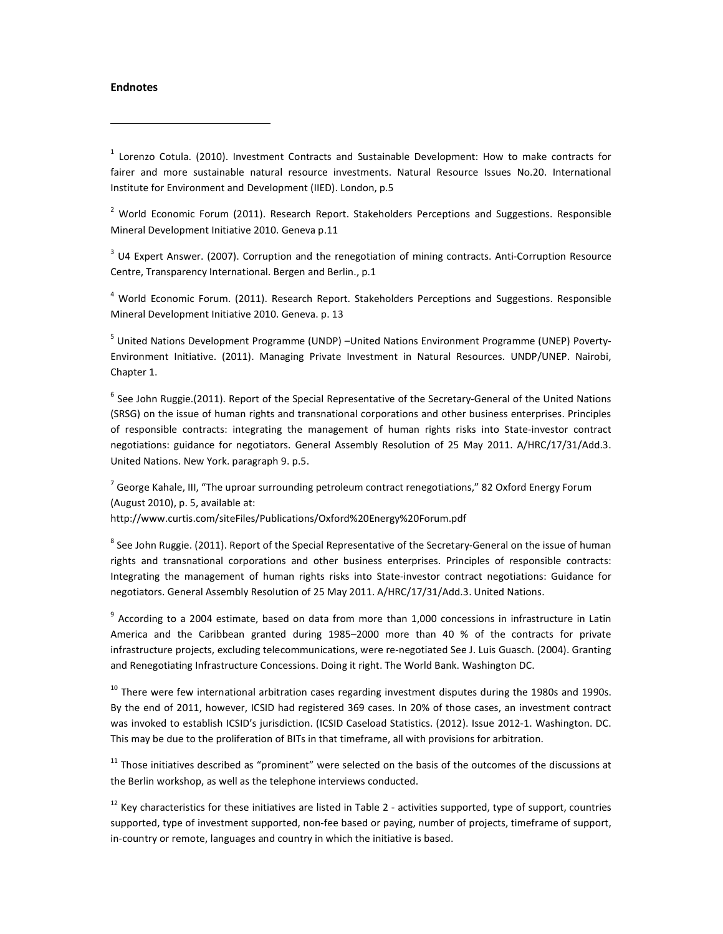#### **Endnotes**

1

 $<sup>1</sup>$  Lorenzo Cotula. (2010). Investment Contracts and Sustainable Development: How to make contracts for</sup> fairer and more sustainable natural resource investments. Natural Resource Issues No.20. International Institute for Environment and Development (IIED). London, p.5

<sup>2</sup> World Economic Forum (2011). Research Report. Stakeholders Perceptions and Suggestions. Responsible Mineral Development Initiative 2010. Geneva p.11

 $3$  U4 Expert Answer. (2007). Corruption and the renegotiation of mining contracts. Anti-Corruption Resource Centre, Transparency International. Bergen and Berlin., p.1

<sup>4</sup> World Economic Forum. (2011). Research Report. Stakeholders Perceptions and Suggestions. Responsible Mineral Development Initiative 2010. Geneva. p. 13

<sup>5</sup> United Nations Development Programme (UNDP) –United Nations Environment Programme (UNEP) Poverty-Environment Initiative. (2011). Managing Private Investment in Natural Resources. UNDP/UNEP. Nairobi, Chapter 1.

<sup>6</sup> See John Ruggie.(2011). Report of the Special Representative of the Secretary-General of the United Nations (SRSG) on the issue of human rights and transnational corporations and other business enterprises. Principles of responsible contracts: integrating the management of human rights risks into State-investor contract negotiations: guidance for negotiators. General Assembly Resolution of 25 May 2011. A/HRC/17/31/Add.3. United Nations. New York. paragraph 9. p.5.

<sup>7</sup> George Kahale, III, "The uproar surrounding petroleum contract renegotiations," 82 Oxford Energy Forum (August 2010), p. 5, available at:

http://www.curtis.com/siteFiles/Publications/Oxford%20Energy%20Forum.pdf

 $^8$  See John Ruggie. (2011). Report of the Special Representative of the Secretary-General on the issue of human rights and transnational corporations and other business enterprises. Principles of responsible contracts: Integrating the management of human rights risks into State-investor contract negotiations: Guidance for negotiators. General Assembly Resolution of 25 May 2011. A/HRC/17/31/Add.3. United Nations.

<sup>9</sup> According to a 2004 estimate, based on data from more than 1,000 concessions in infrastructure in Latin America and the Caribbean granted during 1985–2000 more than 40 % of the contracts for private infrastructure projects, excluding telecommunications, were re-negotiated See J. Luis Guasch. (2004). Granting and Renegotiating Infrastructure Concessions. Doing it right. The World Bank. Washington DC.

 $10$  There were few international arbitration cases regarding investment disputes during the 1980s and 1990s. By the end of 2011, however, ICSID had registered 369 cases. In 20% of those cases, an investment contract was invoked to establish ICSID's jurisdiction. (ICSID Caseload Statistics. (2012). Issue 2012-1. Washington. DC. This may be due to the proliferation of BITs in that timeframe, all with provisions for arbitration.

 $11$  Those initiatives described as "prominent" were selected on the basis of the outcomes of the discussions at the Berlin workshop, as well as the telephone interviews conducted.

 $12$  Key characteristics for these initiatives are listed in Table 2 - activities supported, type of support, countries supported, type of investment supported, non-fee based or paying, number of projects, timeframe of support, in-country or remote, languages and country in which the initiative is based.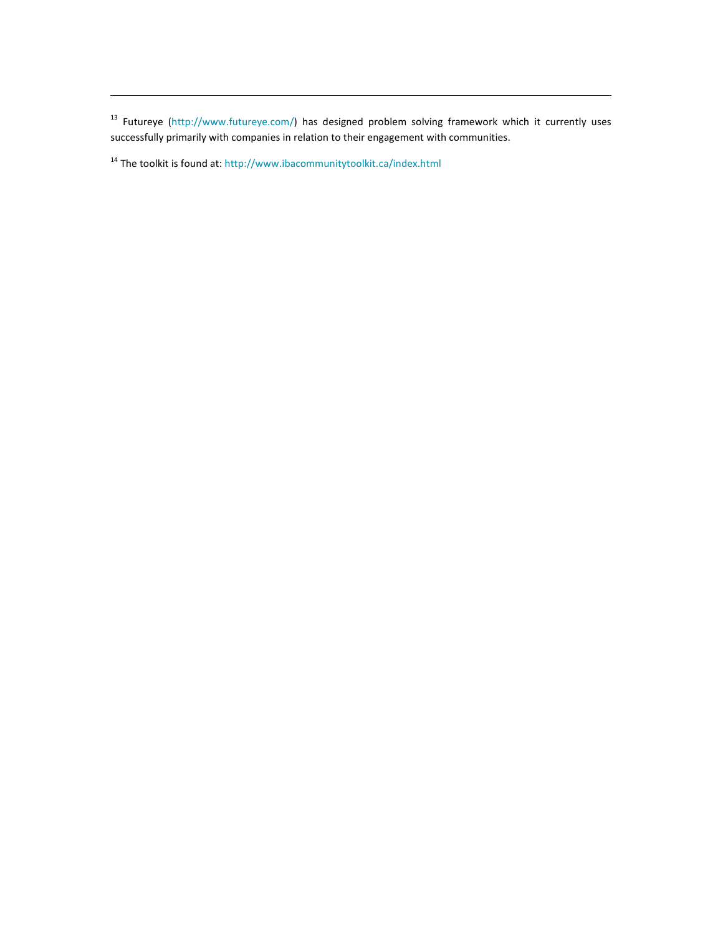<sup>13</sup> Futureye (http://www.futureye.com/) has designed problem solving framework which it currently uses successfully primarily with companies in relation to their engagement with communities.

<sup>14</sup> The toolkit is found at: http://www.ibacommunitytoolkit.ca/index.html

l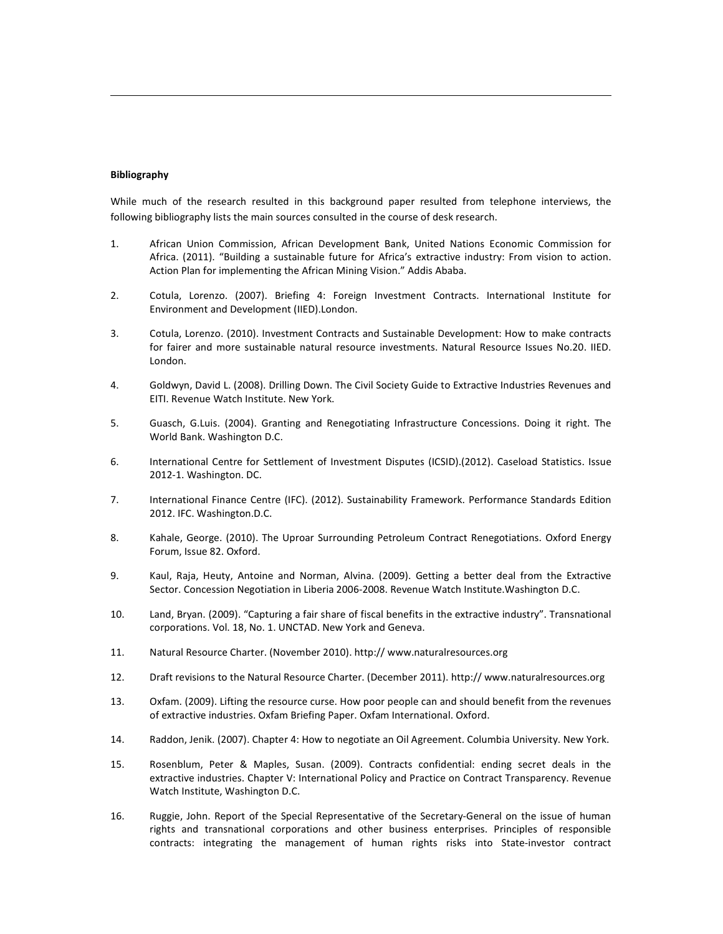#### Bibliography

l

While much of the research resulted in this background paper resulted from telephone interviews, the following bibliography lists the main sources consulted in the course of desk research.

- 1. African Union Commission, African Development Bank, United Nations Economic Commission for Africa. (2011). "Building a sustainable future for Africa's extractive industry: From vision to action. Action Plan for implementing the African Mining Vision." Addis Ababa.
- 2. Cotula, Lorenzo. (2007). Briefing 4: Foreign Investment Contracts. International Institute for Environment and Development (IIED).London.
- 3. Cotula, Lorenzo. (2010). Investment Contracts and Sustainable Development: How to make contracts for fairer and more sustainable natural resource investments. Natural Resource Issues No.20. IIED. London.
- 4. Goldwyn, David L. (2008). Drilling Down. The Civil Society Guide to Extractive Industries Revenues and EITI. Revenue Watch Institute. New York.
- 5. Guasch, G.Luis. (2004). Granting and Renegotiating Infrastructure Concessions. Doing it right. The World Bank. Washington D.C.
- 6. International Centre for Settlement of Investment Disputes (ICSID).(2012). Caseload Statistics. Issue 2012-1. Washington. DC.
- 7. International Finance Centre (IFC). (2012). Sustainability Framework. Performance Standards Edition 2012. IFC. Washington.D.C.
- 8. Kahale, George. (2010). The Uproar Surrounding Petroleum Contract Renegotiations. Oxford Energy Forum, Issue 82. Oxford.
- 9. Kaul, Raja, Heuty, Antoine and Norman, Alvina. (2009). Getting a better deal from the Extractive Sector. Concession Negotiation in Liberia 2006-2008. Revenue Watch Institute.Washington D.C.
- 10. Land, Bryan. (2009). "Capturing a fair share of fiscal benefits in the extractive industry". Transnational corporations. Vol. 18, No. 1. UNCTAD. New York and Geneva.
- 11. Natural Resource Charter. (November 2010). http:// www.naturalresources.org
- 12. Draft revisions to the Natural Resource Charter. (December 2011). http:// www.naturalresources.org
- 13. Oxfam. (2009). Lifting the resource curse. How poor people can and should benefit from the revenues of extractive industries. Oxfam Briefing Paper. Oxfam International. Oxford.
- 14. Raddon, Jenik. (2007). Chapter 4: How to negotiate an Oil Agreement. Columbia University. New York.
- 15. Rosenblum, Peter & Maples, Susan. (2009). Contracts confidential: ending secret deals in the extractive industries. Chapter V: International Policy and Practice on Contract Transparency. Revenue Watch Institute, Washington D.C.
- 16. Ruggie, John. Report of the Special Representative of the Secretary-General on the issue of human rights and transnational corporations and other business enterprises. Principles of responsible contracts: integrating the management of human rights risks into State-investor contract